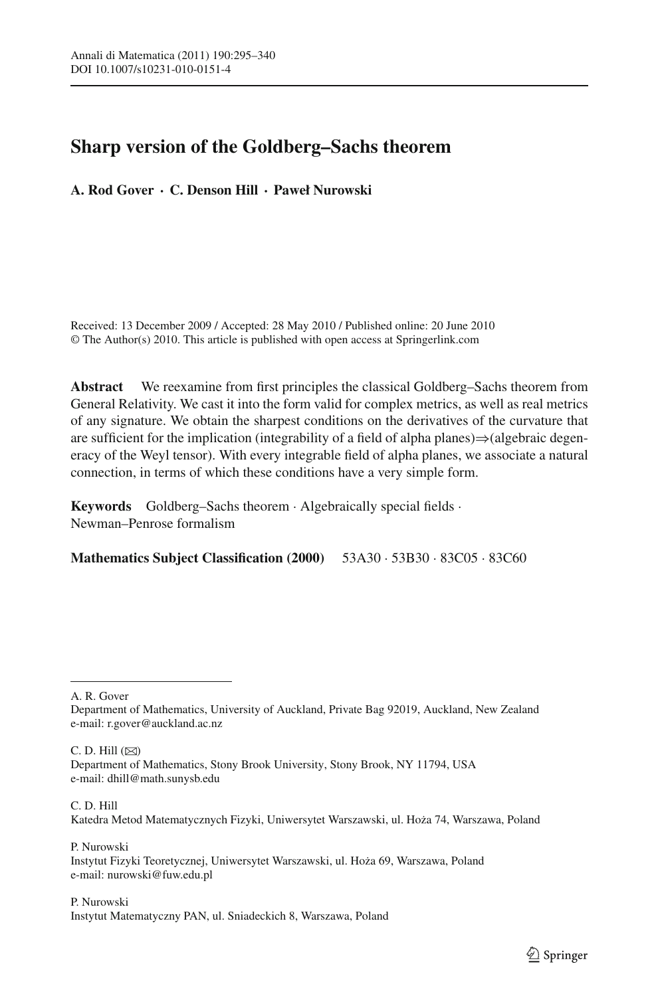# **Sharp version of the Goldberg–Sachs theorem**

**A. Rod Gover · C. Denson Hill · Paweł Nurowski**

Received: 13 December 2009 / Accepted: 28 May 2010 / Published online: 20 June 2010 © The Author(s) 2010. This article is published with open access at Springerlink.com

**Abstract** We reexamine from first principles the classical Goldberg–Sachs theorem from General Relativity. We cast it into the form valid for complex metrics, as well as real metrics of any signature. We obtain the sharpest conditions on the derivatives of the curvature that are sufficient for the implication (integrability of a field of alpha planes)⇒(algebraic degeneracy of the Weyl tensor). With every integrable field of alpha planes, we associate a natural connection, in terms of which these conditions have a very simple form.

**Keywords** Goldberg–Sachs theorem · Algebraically special fields · Newman–Penrose formalism

**Mathematics Subject Classification (2000)** 53A30 · 53B30 · 83C05 · 83C60

A. R. Gover

 $C. D. Hill (\boxtimes)$ 

Department of Mathematics, Stony Brook University, Stony Brook, NY 11794, USA e-mail: dhill@math.sunysb.edu

C. D. Hill

Katedra Metod Matematycznych Fizyki, Uniwersytet Warszawski, ul. Hoża 74, Warszawa, Poland

P. Nurowski Instytut Fizyki Teoretycznej, Uniwersytet Warszawski, ul. Hoża 69, Warszawa, Poland e-mail: nurowski@fuw.edu.pl

P. Nurowski Instytut Matematyczny PAN, ul. Sniadeckich 8, Warszawa, Poland

Department of Mathematics, University of Auckland, Private Bag 92019, Auckland, New Zealand e-mail: r.gover@auckland.ac.nz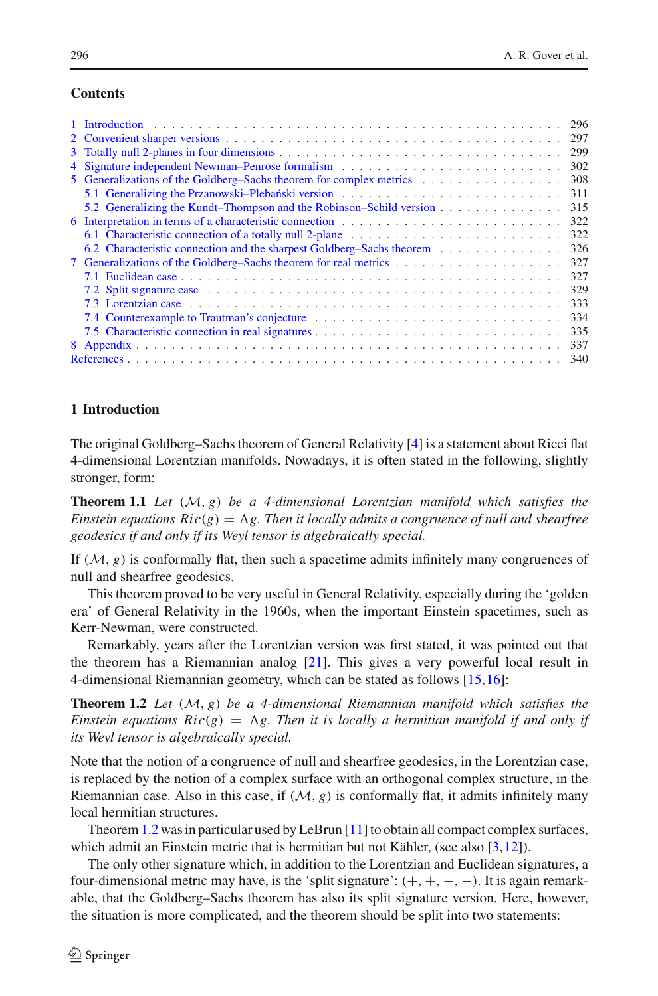# **Contents**

|                                                                                                                                                                                                                               | 296 |
|-------------------------------------------------------------------------------------------------------------------------------------------------------------------------------------------------------------------------------|-----|
|                                                                                                                                                                                                                               | 297 |
|                                                                                                                                                                                                                               | 299 |
|                                                                                                                                                                                                                               | 302 |
|                                                                                                                                                                                                                               | 308 |
|                                                                                                                                                                                                                               | 311 |
| 5.2 Generalizing the Kundt-Thompson and the Robinson-Schild version                                                                                                                                                           | 315 |
|                                                                                                                                                                                                                               | 322 |
| 6.1 Characteristic connection of a totally null 2-plane entering in the set of the set of the set of the set of the set of the set of the set of the set of the set of the set of the set of the set of the set of the set of |     |
|                                                                                                                                                                                                                               |     |
|                                                                                                                                                                                                                               | 327 |
|                                                                                                                                                                                                                               | 327 |
|                                                                                                                                                                                                                               | 329 |
|                                                                                                                                                                                                                               | 333 |
|                                                                                                                                                                                                                               | 334 |
|                                                                                                                                                                                                                               | 335 |
|                                                                                                                                                                                                                               | 337 |
|                                                                                                                                                                                                                               |     |

# <span id="page-1-0"></span>**1 Introduction**

The original Goldberg–Sachs theorem of General Relativity [\[4\]](#page-45-0) is a statement about Ricci flat 4-dimensional Lorentzian manifolds. Nowadays, it is often stated in the following, slightly stronger, form:

**Theorem 1.1** *Let* (*M*, *g*) *be a 4-dimensional Lorentzian manifold which satisfies the Einstein equations*  $Ric(g) = \Lambda g$ *. Then it locally admits a congruence of null and shearfree geodesics if and only if its Weyl tensor is algebraically special.*

If  $(M, g)$  is conformally flat, then such a spacetime admits infinitely many congruences of null and shearfree geodesics.

This theorem proved to be very useful in General Relativity, especially during the 'golden era' of General Relativity in the 1960s, when the important Einstein spacetimes, such as Kerr-Newman, were constructed.

Remarkably, years after the Lorentzian version was first stated, it was pointed out that the theorem has a Riemannian analog [\[21\]](#page-45-1). This gives a very powerful local result in 4-dimensional Riemannian geometry, which can be stated as follows [\[15](#page-45-2)[,16](#page-45-3)]:

<span id="page-1-1"></span>**Theorem 1.2** *Let* (*M*, *g*) *be a 4-dimensional Riemannian manifold which satisfies the Einstein equations*  $Ric(g) = \Lambda g$ *. Then it is locally a hermitian manifold if and only if its Weyl tensor is algebraically special.*

Note that the notion of a congruence of null and shearfree geodesics, in the Lorentzian case, is replaced by the notion of a complex surface with an orthogonal complex structure, in the Riemannian case. Also in this case, if  $(M, g)$  is conformally flat, it admits infinitely many local hermitian structures.

Theorem[1.2](#page-1-1) was in particular used by LeBrun [\[11\]](#page-45-4) to obtain all compact complex surfaces, which admit an Einstein metric that is hermitian but not Kähler, (see also [\[3,](#page-45-5)[12](#page-45-6)]).

<span id="page-1-2"></span>The only other signature which, in addition to the Lorentzian and Euclidean signatures, a four-dimensional metric may have, is the 'split signature':  $(+, +, -, -)$ . It is again remarkable, that the Goldberg–Sachs theorem has also its split signature version. Here, however, the situation is more complicated, and the theorem should be split into two statements: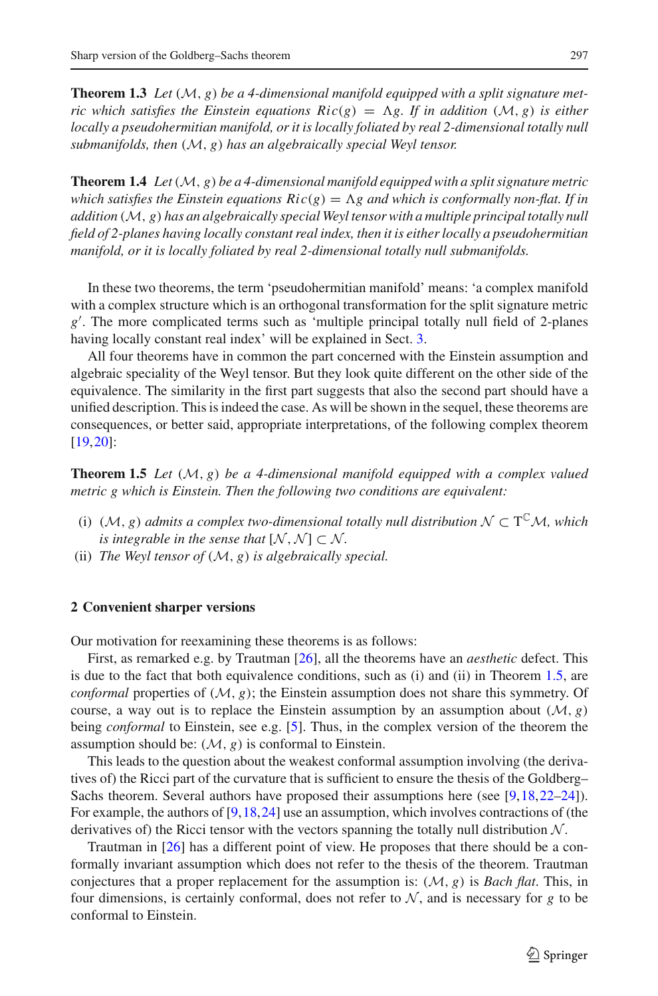**Theorem 1.3** Let  $(M, g)$  be a 4-dimensional manifold equipped with a split signature met*ric which satisfies the Einstein equations*  $Ric(g) = \Lambda g$ *. If in addition*  $(M, g)$  *is either locally a pseudohermitian manifold, or it is locally foliated by real 2-dimensional totally null submanifolds, then* (*M*, *g*) *has an algebraically special Weyl tensor.*

<span id="page-2-2"></span>**Theorem 1.4** *Let*(*M*, *g*) *be a 4-dimensional manifold equipped with a split signature metric* which satisfies the Einstein equations  $\mathop{Ric}\nolimits(g) = \Lambda g$  and which is conformally non-flat. If in *addition* (*M*, *g*) *has an algebraically special Weyl tensor with a multiple principal totally null field of 2-planes having locally constant real index, then it is either locally a pseudohermitian manifold, or it is locally foliated by real 2-dimensional totally null submanifolds.*

In these two theorems, the term 'pseudohermitian manifold' means: 'a complex manifold with a complex structure which is an orthogonal transformation for the split signature metric *g* . The more complicated terms such as 'multiple principal totally null field of 2-planes having locally constant real index' will be explained in Sect. [3.](#page-4-0)

All four theorems have in common the part concerned with the Einstein assumption and algebraic speciality of the Weyl tensor. But they look quite different on the other side of the equivalence. The similarity in the first part suggests that also the second part should have a unified description. This is indeed the case. As will be shown in the sequel, these theorems are consequences, or better said, appropriate interpretations, of the following complex theorem [\[19,](#page-45-7)[20](#page-45-8)]:

<span id="page-2-1"></span>**Theorem 1.5** *Let* (*M*, *g*) *be a 4-dimensional manifold equipped with a complex valued metric g which is Einstein. Then the following two conditions are equivalent:*

- (i)  $(M, g)$  *admits a complex two-dimensional totally null distribution*  $N \subset T^{\mathbb{C}}M$ *, which is integrable in the sense that*  $[N, N] \subset N$ .
- (ii) *The Weyl tensor of* (*M*, *g*) *is algebraically special.*

# <span id="page-2-0"></span>**2 Convenient sharper versions**

Our motivation for reexamining these theorems is as follows:

First, as remarked e.g. by Trautman [\[26](#page-45-9)], all the theorems have an *aesthetic* defect. This is due to the fact that both equivalence conditions, such as (i) and (ii) in Theorem  $1.5$ , are *conformal* properties of (*M*, *g*); the Einstein assumption does not share this symmetry. Of course, a way out is to replace the Einstein assumption by an assumption about  $(M, g)$ being *conformal* to Einstein, see e.g. [\[5](#page-45-10)]. Thus, in the complex version of the theorem the assumption should be:  $(M, g)$  is conformal to Einstein.

This leads to the question about the weakest conformal assumption involving (the derivatives of) the Ricci part of the curvature that is sufficient to ensure the thesis of the Goldberg– Sachs theorem. Several authors have proposed their assumptions here (see [\[9](#page-45-11)[,18,](#page-45-12)[22](#page-45-13)[–24](#page-45-14)]). For example, the authors of [\[9](#page-45-11)[,18,](#page-45-12)[24](#page-45-14)] use an assumption, which involves contractions of (the derivatives of) the Ricci tensor with the vectors spanning the totally null distribution *N* .

Trautman in [\[26\]](#page-45-9) has a different point of view. He proposes that there should be a conformally invariant assumption which does not refer to the thesis of the theorem. Trautman conjectures that a proper replacement for the assumption is:  $(M, g)$  is *Bach flat*. This, in four dimensions, is certainly conformal, does not refer to  $N$ , and is necessary for  $g$  to be conformal to Einstein.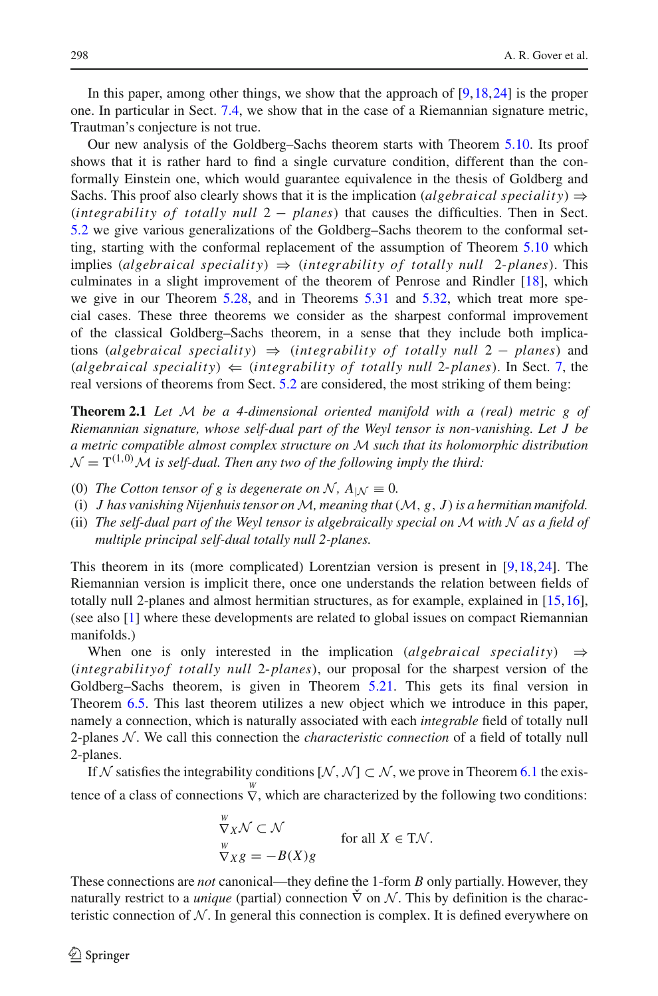In this paper, among other things, we show that the approach of [\[9](#page-45-11)[,18](#page-45-12),[24](#page-45-14)] is the proper one. In particular in Sect. [7.4,](#page-39-0) we show that in the case of a Riemannian signature metric, Trautman's conjecture is not true.

Our new analysis of the Goldberg–Sachs theorem starts with Theorem [5.10.](#page-17-0) Its proof shows that it is rather hard to find a single curvature condition, different than the conformally Einstein one, which would guarantee equivalence in the thesis of Goldberg and Sachs. This proof also clearly shows that it is the implication (*algebraical speciality*)  $\Rightarrow$ (*integrability of totally null* 2 − *planes*) that causes the difficulties. Then in Sect. [5.2](#page-20-0) we give various generalizations of the Goldberg–Sachs theorem to the conformal setting, starting with the conformal replacement of the assumption of Theorem [5.10](#page-17-0) which implies (*algebraical speciality*)  $\Rightarrow$  (*integrability of totally null* 2-*planes*). This culminates in a slight improvement of the theorem of Penrose and Rindler [\[18\]](#page-45-12), which we give in our Theorem [5.28,](#page-24-0) and in Theorems [5.31](#page-25-0) and [5.32,](#page-25-1) which treat more special cases. These three theorems we consider as the sharpest conformal improvement of the classical Goldberg–Sachs theorem, in a sense that they include both implications (*algebraical speciality*) ⇒ (*integrability of totally null* 2 − *planes*) and  $(\text{algebraical specificity}) \leftarrow (\text{integrability of totally null 2-planes}).$  In Sect. [7,](#page-32-0) the real versions of theorems from Sect. [5.2](#page-20-0) are considered, the most striking of them being:

<span id="page-3-0"></span>**Theorem 2.1** *Let M be a 4-dimensional oriented manifold with a (real) metric g of Riemannian signature, whose self-dual part of the Weyl tensor is non-vanishing. Let J be a metric compatible almost complex structure on M such that its holomorphic distribution*  $\mathcal{N} = T^{(1,0)} \mathcal{M}$  *is self-dual. Then any two of the following imply the third:* 

- (0) *The Cotton tensor of g is degenerate on*  $\mathcal{N}$ ,  $A_{|\mathcal{N}} \equiv 0$ *.*
- (i) *J has vanishing Nijenhuis tensor onM, meaning that*(*M*, *g*, *J* )*is a hermitian manifold.*
- (ii) *The self-dual part of the Weyl tensor is algebraically special on*  $M$  *with*  $N$  *as a field of multiple principal self-dual totally null 2-planes.*

This theorem in its (more complicated) Lorentzian version is present in [\[9,](#page-45-11)[18](#page-45-12)[,24\]](#page-45-14). The Riemannian version is implicit there, once one understands the relation between fields of totally null 2-planes and almost hermitian structures, as for example, explained in [\[15](#page-45-2)[,16\]](#page-45-3), (see also [\[1](#page-45-15)] where these developments are related to global issues on compact Riemannian manifolds.)

When one is only interested in the implication (*algebraical speciality*)  $\Rightarrow$ (*integrabilityof totally null* 2-*planes*), our proposal for the sharpest version of the Goldberg–Sachs theorem, is given in Theorem [5.21.](#page-22-0) This gets its final version in Theorem [6.5.](#page-31-1) This last theorem utilizes a new object which we introduce in this paper, namely a connection, which is naturally associated with each *integrable* field of totally null 2-planes *N* . We call this connection the *characteristic connection* of a field of totally null 2-planes.

If *N* satisfies the integrability conditions  $[N, N] \subset N$ , we prove in Theorem [6.1](#page-28-0) the existence of a class of connections  $\nabla$ , which are characterized by the following two conditions:

$$
\nabla_X \mathcal{N} \subset \mathcal{N}
$$
  
\n
$$
\nabla_X g = -B(X)g
$$
 for all  $X \in T\mathcal{N}$ .

These connections are *not* canonical—they define the 1-form *B* only partially. However, they naturally restrict to a *unique* (partial) connection  $\nabla$  on  $\mathcal N$ . This by definition is the characteristic connection of  $N$ . In general this connection is complex. It is defined everywhere on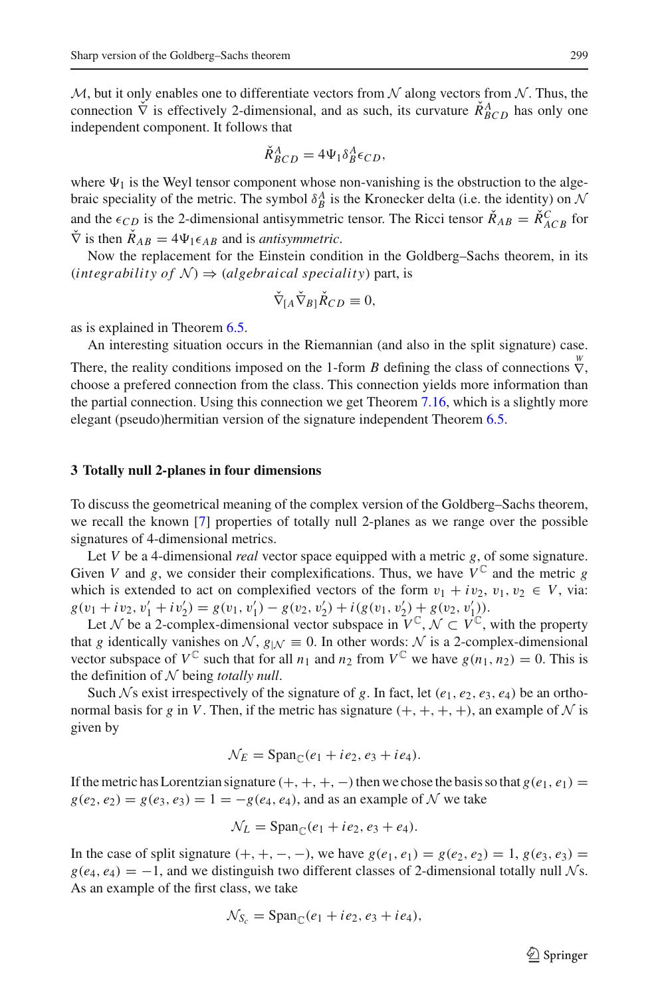$M$ , but it only enables one to differentiate vectors from  $N$  along vectors from  $N$ . Thus, the connection  $\check{\nabla}$  is effectively 2-dimensional, and as such, its curvature  $\check{R}_{BCD}^{A}$  has only one independent component. It follows that

$$
\check{R}^{A}_{BCD} = 4\Psi_1 \delta^A_B \epsilon_{CD},
$$

where  $\Psi_1$  is the Weyl tensor component whose non-vanishing is the obstruction to the algebraic speciality of the metric. The symbol  $\delta_B^A$  is the Kronecker delta (i.e. the identity) on *N* and the  $\epsilon_{CD}$  is the 2-dimensional antisymmetric tensor. The Ricci tensor  $\check{R}_{AB} = \check{R}_{ACB}^C$  for  $\check{\nabla}$  is then  $\check{R}_{AB} = 4\Psi_1 \epsilon_{AB}$  and is *antisymmetric*.

Now the replacement for the Einstein condition in the Goldberg–Sachs theorem, in its (*integrability of*  $N$ )  $\Rightarrow$  (*algebraical speciality*) part, is

$$
\check{\nabla}_{[A}\check{\nabla}_{B]}\check{R}_{CD}\equiv 0,
$$

as is explained in Theorem [6.5.](#page-31-1)

An interesting situation occurs in the Riemannian (and also in the split signature) case. There, the reality conditions imposed on the 1-form *B* defining the class of connections  $\overline{V}$ , choose a prefered connection from the class. This connection yields more information than the partial connection. Using this connection we get Theorem [7.16,](#page-42-1) which is a slightly more elegant (pseudo)hermitian version of the signature independent Theorem [6.5.](#page-31-1)

## <span id="page-4-0"></span>**3 Totally null 2-planes in four dimensions**

To discuss the geometrical meaning of the complex version of the Goldberg–Sachs theorem, we recall the known [\[7\]](#page-45-16) properties of totally null 2-planes as we range over the possible signatures of 4-dimensional metrics.

Let *V* be a 4-dimensional *real* vector space equipped with a metric *g*, of some signature. Given *V* and *g*, we consider their complexifications. Thus, we have  $V^{\mathbb{C}}$  and the metric *g* which is extended to act on complexified vectors of the form  $v_1 + iv_2, v_1, v_2 \in V$ , via:  $g(v_1 + iv_2, v'_1 + iv'_2) = g(v_1, v'_1) - g(v_2, v'_2) + i(g(v_1, v'_2) + g(v_2, v'_1)).$ 

Let N be a 2-complex-dimensional vector subspace in  $V^{\mathbb{C}}, \mathcal{N} \subset V^{\mathbb{C}}$ , with the property that *g* identically vanishes on  $N$ ,  $g_N \equiv 0$ . In other words:  $N$  is a 2-complex-dimensional vector subspace of  $V^{\mathbb{C}}$  such that for all  $n_1$  and  $n_2$  from  $V^{\mathbb{C}}$  we have  $g(n_1, n_2) = 0$ . This is the definition of *N* being *totally null*.

Such  $\mathcal N$ s exist irrespectively of the signature of *g*. In fact, let  $(e_1, e_2, e_3, e_4)$  be an orthonormal basis for *g* in *V*. Then, if the metric has signature  $(+, +, +, +)$ , an example of  $N$  is given by

$$
\mathcal{N}_E = \mathrm{Span}_{\mathbb{C}}(e_1 + ie_2, e_3 + ie_4).
$$

If the metric has Lorentzian signature  $(+, +, +, -)$  then we chose the basis so that  $g(e_1, e_1) =$  $g(e_2, e_2) = g(e_3, e_3) = 1 = -g(e_4, e_4)$ , and as an example of *N* we take

$$
\mathcal{N}_L = \mathrm{Span}_{\mathbb{C}}(e_1 + ie_2, e_3 + e_4).
$$

In the case of split signature  $(+, +, -, -)$ , we have  $g(e_1, e_1) = g(e_2, e_2) = 1$ ,  $g(e_3, e_3) =$  $g(e_4, e_4) = -1$ , and we distinguish two different classes of 2-dimensional totally null *N*s. As an example of the first class, we take

$$
\mathcal{N}_{S_c} = \mathrm{Span}_{\mathbb{C}}(e_1 + ie_2, e_3 + ie_4),
$$

 $\mathcal{L}$  Springer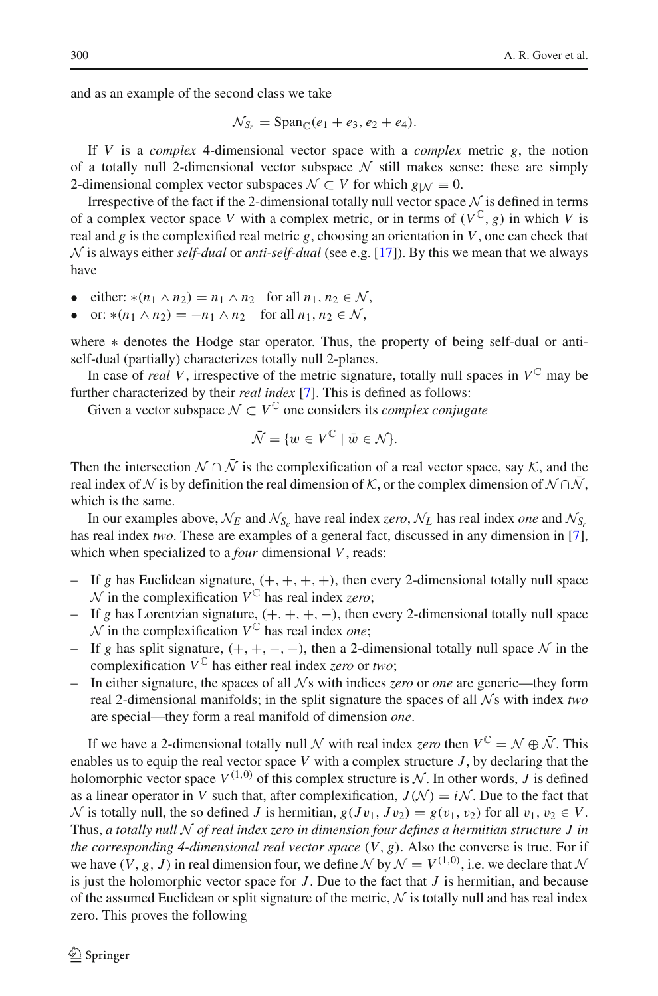and as an example of the second class we take

$$
\mathcal{N}_{S_r} = \mathrm{Span}_{\mathbb{C}}(e_1 + e_3, e_2 + e_4).
$$

If *V* is a *complex* 4-dimensional vector space with a *complex* metric *g*, the notion of a totally null 2-dimensional vector subspace  $N$  still makes sense: these are simply 2-dimensional complex vector subspaces  $\mathcal{N} \subset V$  for which  $g_{| \mathcal{N}} \equiv 0$ .

Irrespective of the fact if the 2-dimensional totally null vector space  $\mathcal N$  is defined in terms of a complex vector space *V* with a complex metric, or in terms of  $(V^{\mathbb{C}}, g)$  in which *V* is real and *g* is the complexified real metric *g*, choosing an orientation in *V*, one can check that *N* is always either *self-dual* or *anti-self-dual* (see e.g. [\[17](#page-45-17)]). By this we mean that we always have

- either: \* $(n_1 \wedge n_2) = n_1 \wedge n_2$  for all  $n_1, n_2 \in \mathcal{N}$ ,
- or: \* $(n_1 \wedge n_2) = -n_1 \wedge n_2$  for all  $n_1, n_2 \in \mathcal{N}$ ,

where \* denotes the Hodge star operator. Thus, the property of being self-dual or antiself-dual (partially) characterizes totally null 2-planes.

In case of *real V*, irrespective of the metric signature, totally null spaces in  $V^{\mathbb{C}}$  may be further characterized by their *real index* [\[7\]](#page-45-16). This is defined as follows:

Given a vector subspace  $\mathcal{N} \subset V^{\mathbb{C}}$  one considers its *complex conjugate* 

$$
\bar{\mathcal{N}} = \{ w \in V^{\mathbb{C}} \mid \bar{w} \in \mathcal{N} \}.
$$

Then the intersection  $N \cap \overline{N}$  is the complexification of a real vector space, say  $K$ , and the real index of  $\mathcal N$  is by definition the real dimension of  $\mathcal K$ , or the complex dimension of  $\mathcal N \cap \overline{\mathcal N}$ , which is the same.

In our examples above,  $N_E$  and  $N_{S_c}$  have real index *zero*,  $N_L$  has real index *one* and  $N_{S_c}$ has real index *two*. These are examples of a general fact, discussed in any dimension in [\[7\]](#page-45-16), which when specialized to a *four* dimensional *V*, reads:

- If *g* has Euclidean signature,  $(+, +, +, +)$ , then every 2-dimensional totally null space  $\mathcal N$  in the complexification  $V^{\mathbb C}$  has real index *zero*;
- If *g* has Lorentzian signature, (+, +, +, −), then every 2-dimensional totally null space  $N$  in the complexification  $V^{\mathbb{C}}$  has real index *one*;
- If *g* has split signature, (+, +, −, −), then a 2-dimensional totally null space *<sup>N</sup>* in the complexification  $V^{\mathbb{C}}$  has either real index *zero* or *two*;
- In either signature, the spaces of all *N* s with indices *zero* or *one* are generic—they form real 2-dimensional manifolds; in the split signature the spaces of all *N* s with index *two* are special—they form a real manifold of dimension *one*.

<span id="page-5-0"></span>If we have a 2-dimensional totally null *N* with real index *zero* then  $V^{\mathbb{C}} = N \oplus \overline{N}$ . This enables us to equip the real vector space *V* with a complex structure *J* , by declaring that the holomorphic vector space  $V^{(1,0)}$  of this complex structure is N. In other words, J is defined as a linear operator in *V* such that, after complexification,  $J(\mathcal{N}) = i\mathcal{N}$ . Due to the fact that *N* is totally null, the so defined *J* is hermitian,  $g(Jv_1, Jv_2) = g(v_1, v_2)$  for all  $v_1, v_2 \in V$ . Thus, *a totally null N of real index zero in dimension four defines a hermitian structure J in the corresponding 4-dimensional real vector space* (*V*, *g*). Also the converse is true. For if we have  $(V, g, J)$  in real dimension four, we define  $\mathcal N$  by  $\mathcal N = V^{(1,0)}$ , i.e. we declare that  $\mathcal N$ is just the holomorphic vector space for *J* . Due to the fact that *J* is hermitian, and because of the assumed Euclidean or split signature of the metric,  $N$  is totally null and has real index zero. This proves the following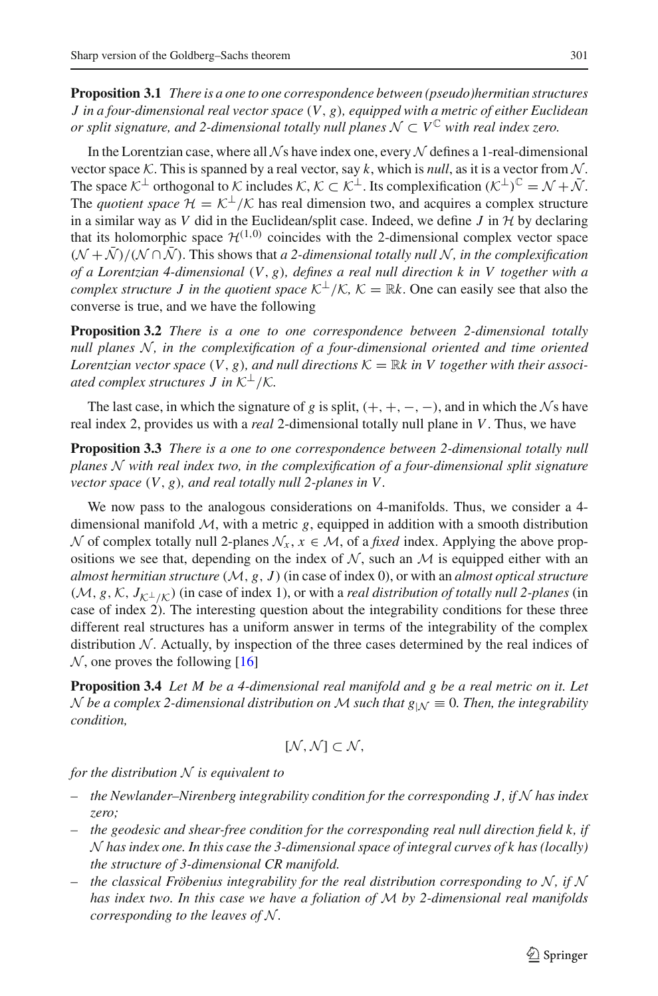**Proposition 3.1** *There is a one to one correspondence between (pseudo)hermitian structures J in a four-dimensional real vector space* (*V*, *g*)*, equipped with a metric of either Euclidean or split signature, and 2-dimensional totally null planes*  $\mathcal{N} \subset V^{\mathbb{C}}$  *with real index zero.* 

In the Lorentzian case, where all *N* s have index one, every *N* defines a 1-real-dimensional vector space *K*. This is spanned by a real vector, say *k*, which is *null*, as it is a vector from  $N$ . The space  $K^{\perp}$  orthogonal to *K* includes  $K, K \subset K^{\perp}$ . Its complexification  $(K^{\perp})^{\mathbb{C}} = \mathcal{N} + \bar{\mathcal{N}}$ . The *quotient space*  $H = \mathcal{K}^{\perp}/\mathcal{K}$  has real dimension two, and acquires a complex structure in a similar way as V did in the Euclidean/split case. Indeed, we define  $J$  in  $H$  by declaring that its holomorphic space  $\mathcal{H}^{(1,0)}$  coincides with the 2-dimensional complex vector space  $(N + \bar{N})/(N \cap \bar{N})$ . This shows that *a* 2-dimensional totally null *N*, in the complexification *of a Lorentzian 4-dimensional* (*V*, *g*)*, defines a real null direction k in V together with a complex structure J in the quotient space*  $K^{\perp}/K$ ,  $K = \mathbb{R}k$ . One can easily see that also the converse is true, and we have the following

**Proposition 3.2** *There is a one to one correspondence between 2-dimensional totally null planes N , in the complexification of a four-dimensional oriented and time oriented Lorentzian vector space*  $(V, g)$ *, and null directions*  $K = \mathbb{R}$ *k in V together with their associated complex structures J in*  $K^{\perp}/K$ *.* 

The last case, in which the signature of *g* is split,  $(+, +, -, -)$ , and in which the *N*'s have real index 2, provides us with a *real* 2-dimensional totally null plane in *V*. Thus, we have

**Proposition 3.3** *There is a one to one correspondence between 2-dimensional totally null planes N with real index two, in the complexification of a four-dimensional split signature vector space* (*V*, *g*)*, and real totally null 2-planes in V .*

We now pass to the analogous considerations on 4-manifolds. Thus, we consider a 4 dimensional manifold  $M$ , with a metric  $g$ , equipped in addition with a smooth distribution *N* of complex totally null 2-planes  $N$ <sup>*x*</sup>, *x* ∈ *M*, of a *fixed* index. Applying the above propositions we see that, depending on the index of  $N$ , such an  $M$  is equipped either with an *almost hermitian structure* (*M*, *g*, *J* ) (in case of index 0), or with an *almost optical structure* (*M*, *<sup>g</sup>*, *<sup>K</sup>*, *<sup>J</sup>K*⊥/*K*) (in case of index 1), or with a *real distribution of totally null 2-planes* (in case of index 2). The interesting question about the integrability conditions for these three different real structures has a uniform answer in terms of the integrability of the complex distribution  $N$ . Actually, by inspection of the three cases determined by the real indices of  $N$ , one proves the following [\[16\]](#page-45-3)

**Proposition 3.4** *Let M be a 4-dimensional real manifold and g be a real metric on it. Let N* be a complex 2-dimensional distribution on *M* such that  $g_{|N} \equiv 0$ . Then, the integrability *condition,*

$$
[\mathcal{N},\mathcal{N}]\subset \mathcal{N},
$$

*for the distribution N is equivalent to*

- *the Newlander–Nirenberg integrability condition for the corresponding J, if N has index zero;*
- *the geodesic and shear-free condition for the corresponding real null direction field k, if N has index one. In this case the 3-dimensional space of integral curves of k has (locally) the structure of 3-dimensional CR manifold.*
- *the classical Fröbenius integrability for the real distribution corresponding to N , if N has index two. In this case we have a foliation of M by 2-dimensional real manifolds corresponding to the leaves of N .*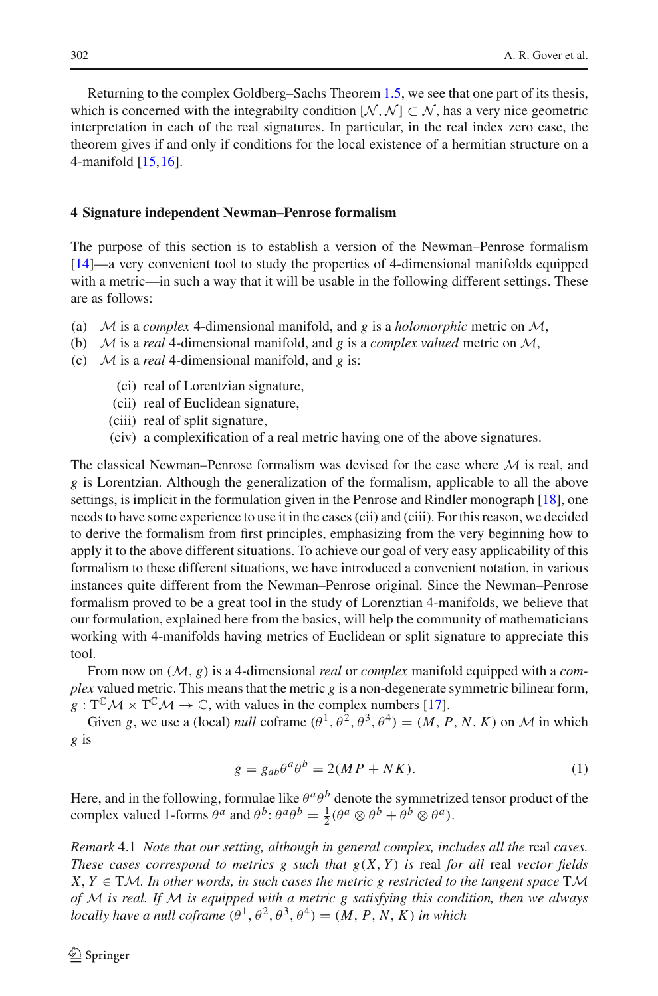Returning to the complex Goldberg–Sachs Theorem [1.5,](#page-2-1) we see that one part of its thesis, which is concerned with the integrabilty condition  $[N, N] \subset N$ , has a very nice geometric interpretation in each of the real signatures. In particular, in the real index zero case, the theorem gives if and only if conditions for the local existence of a hermitian structure on a 4-manifold [\[15](#page-45-2)[,16\]](#page-45-3).

## <span id="page-7-0"></span>**4 Signature independent Newman–Penrose formalism**

The purpose of this section is to establish a version of the Newman–Penrose formalism [\[14\]](#page-45-18)—a very convenient tool to study the properties of 4-dimensional manifolds equipped with a metric—in such a way that it will be usable in the following different settings. These are as follows:

- (a) *M* is a *complex* 4-dimensional manifold, and *g* is a *holomorphic* metric on *M*,
- (b) *M* is a *real* 4-dimensional manifold, and *g* is a *complex valued* metric on *M*,
- (c) *M* is a *real* 4-dimensional manifold, and *g* is:
	- (ci) real of Lorentzian signature,
	- (cii) real of Euclidean signature,
	- (ciii) real of split signature,
	- (civ) a complexification of a real metric having one of the above signatures.

The classical Newman–Penrose formalism was devised for the case where *M* is real, and *g* is Lorentzian. Although the generalization of the formalism, applicable to all the above settings, is implicit in the formulation given in the Penrose and Rindler monograph [\[18\]](#page-45-12), one needs to have some experience to use it in the cases (cii) and (ciii). For this reason, we decided to derive the formalism from first principles, emphasizing from the very beginning how to apply it to the above different situations. To achieve our goal of very easy applicability of this formalism to these different situations, we have introduced a convenient notation, in various instances quite different from the Newman–Penrose original. Since the Newman–Penrose formalism proved to be a great tool in the study of Lorenztian 4-manifolds, we believe that our formulation, explained here from the basics, will help the community of mathematicians working with 4-manifolds having metrics of Euclidean or split signature to appreciate this tool.

From now on (*M*, *g*) is a 4-dimensional *real* or *complex* manifold equipped with a *complex* valued metric. This means that the metric *g* is a non-degenerate symmetric bilinear form,  $g: T^{\mathbb{C}}\mathcal{M} \times T^{\mathbb{C}}\mathcal{M} \to \mathbb{C}$ , with values in the complex numbers [\[17](#page-45-17)].

Given *g*, we use a (local) *null* coframe  $(\theta^1, \theta^2, \theta^3, \theta^4) = (M, P, N, K)$  on *M* in which *g* is

$$
g = g_{ab}\theta^a \theta^b = 2(MP + NK). \tag{1}
$$

<span id="page-7-2"></span><span id="page-7-1"></span>Here, and in the following, formulae like  $\theta^a \theta^b$  denote the symmetrized tensor product of the complex valued 1-forms  $\theta^a$  and  $\theta^b$ :  $\theta^a \theta^b = \frac{1}{2} (\theta^a \otimes \theta^b + \theta^b \otimes \theta^a)$ .

*Remark* 4.1 *Note that our setting, although in general complex, includes all the* real *cases. These cases correspond to metrics g such that*  $g(X, Y)$  *is real for all real vector fields*  $X, Y \in T\mathcal{M}$ *. In other words, in such cases the metric g restricted to the tangent space*  $T\mathcal{M}$ *of M is real. If M is equipped with a metric g satisfying this condition, then we always locally have a null coframe*  $(\theta^1, \theta^2, \theta^3, \theta^4) = (M, P, N, K)$  *in which*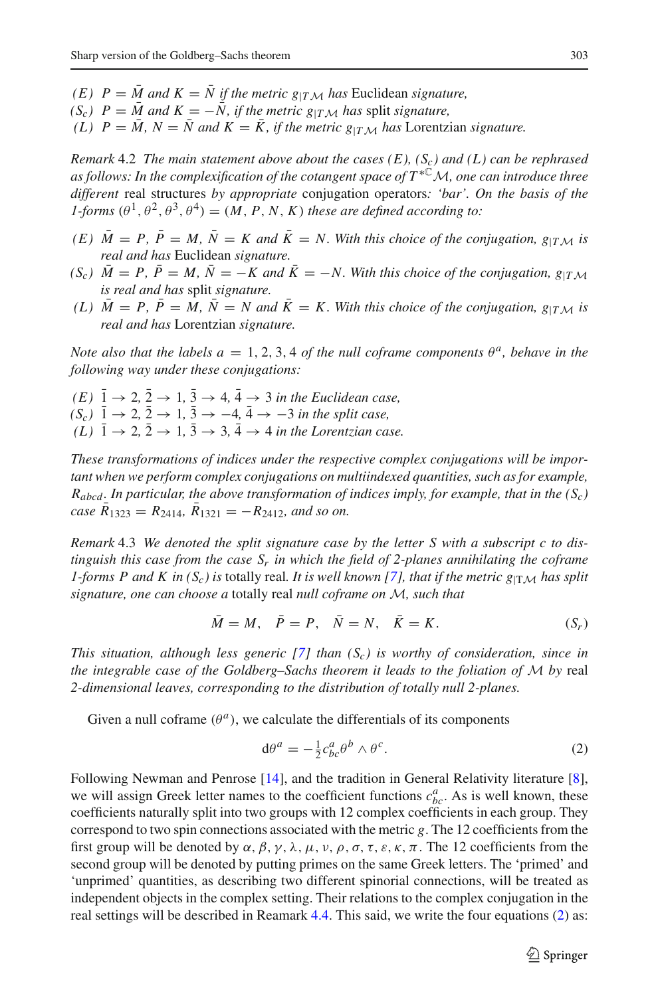*(E)*  $P = \overline{M}$  and  $K = \overline{N}$  *if the metric g*<sub> $|T\mathcal{M}|$ </sub> *has* Euclidean *signature*,

 $(S_c)$   $P = \overline{M}$  and  $K = -\overline{N}$ , if the metric  $g_{|TM}$  has split *signature*,

*(L)*  $P = \overline{M}$ ,  $N = \overline{N}$  and  $K = \overline{K}$ , if the metric  $g_{|TM}$  has Lorentzian *signature*.

<span id="page-8-1"></span>*Remark* 4.2 *The main statement above about the cases (E), (Sc) and (L) can be rephrased as follows: In the complexification of the cotangent space of T* <sup>∗</sup>C*M, one can introduce three different* real structures *by appropriate* conjugation operators*: 'bar'. On the basis of the 1-forms*  $(\theta^1, \theta^2, \theta^3, \theta^4) = (M, P, N, K)$  *these are defined according to:* 

- *(E)*  $\overline{M} = P$ ,  $\overline{P} = M$ ,  $\overline{N} = K$  and  $\overline{K} = N$ . With this choice of the conjugation,  $g_{|TM}$  is *real and has* Euclidean *signature.*
- $(S_c)$   $\overline{M} = P$ ,  $\overline{P} = M$ ,  $\overline{N} = -K$  and  $\overline{K} = -N$ . With this choice of the conjugation,  $g_{|T,M}$ *is real and has* split *signature.*
- *(L)*  $\overline{M} = P$ ,  $\overline{P} = M$ ,  $\overline{N} = N$  and  $\overline{K} = K$ . With this choice of the conjugation,  $g_{|TM}$  is *real and has* Lorentzian *signature.*

*Note also that the labels a* = 1, 2, 3, 4 *of the null coframe components*  $\theta^a$ *, behave in the following way under these conjugations:*

*(E)*  $\overline{1} \rightarrow 2$ ,  $\overline{2} \rightarrow 1$ ,  $\overline{3} \rightarrow 4$ ,  $\overline{4} \rightarrow 3$  *in the Euclidean case*,  $(S_c)$   $\bar{1}$  → 2,  $\bar{2}$  → 1,  $\bar{3}$  → −4,  $\bar{4}$  → −3 *in the split case*, *(L)*  $\bar{1} \rightarrow 2$ ,  $\bar{2} \rightarrow 1$ ,  $\bar{3} \rightarrow 3$ ,  $\bar{4} \rightarrow 4$  *in the Lorentzian case.* 

*These transformations of indices under the respective complex conjugations will be important when we perform complex conjugations on multiindexed quantities, such as for example, Rabcd . In particular, the above transformation of indices imply, for example, that in the (Sc)*  $case \ \bar{R}_{1323} = R_{2414}, \ \bar{R}_{1321} = -R_{2412}, \ and \ so \ on.$ 

<span id="page-8-2"></span>*Remark* 4.3 *We denoted the split signature case by the letter S with a subscript c to distinguish this case from the case Sr in which the field of 2-planes annihilating the coframe 1-forms P and K in (S<sub>c</sub>) is totally real. It is well known [\[7](#page-45-16)], that if the metric*  $g_{\text{ITM}}$  *has split signature, one can choose a* totally real *null coframe on M, such that*

$$
\overline{M} = M, \quad \overline{P} = P, \quad \overline{N} = N, \quad \overline{K} = K. \tag{S_r}
$$

*This situation, although less generic [\[7\]](#page-45-16) than (Sc) is worthy of consideration, since in the integrable case of the Goldberg–Sachs theorem it leads to the foliation of M by* real *2-dimensional leaves, corresponding to the distribution of totally null 2-planes.*

<span id="page-8-0"></span>Given a null coframe  $(\theta^a)$ , we calculate the differentials of its components

$$
d\theta^a = -\frac{1}{2}c_{bc}^a \theta^b \wedge \theta^c. \tag{2}
$$

Following Newman and Penrose [\[14\]](#page-45-18), and the tradition in General Relativity literature [\[8\]](#page-45-19), we will assign Greek letter names to the coefficient functions  $c_{bc}^a$ . As is well known, these coefficients naturally split into two groups with 12 complex coefficients in each group. They correspond to two spin connections associated with the metric *g*. The 12 coefficients from the first group will be denoted by  $\alpha$ ,  $\beta$ ,  $\gamma$ ,  $\lambda$ ,  $\mu$ ,  $\nu$ ,  $\rho$ ,  $\sigma$ ,  $\tau$ ,  $\varepsilon$ ,  $\kappa$ ,  $\pi$ . The 12 coefficients from the second group will be denoted by putting primes on the same Greek letters. The 'primed' and 'unprimed' quantities, as describing two different spinorial connections, will be treated as independent objects in the complex setting. Their relations to the complex conjugation in the real settings will be described in Reamark [4.4.](#page-9-0) This said, we write the four equations [\(2\)](#page-8-0) as: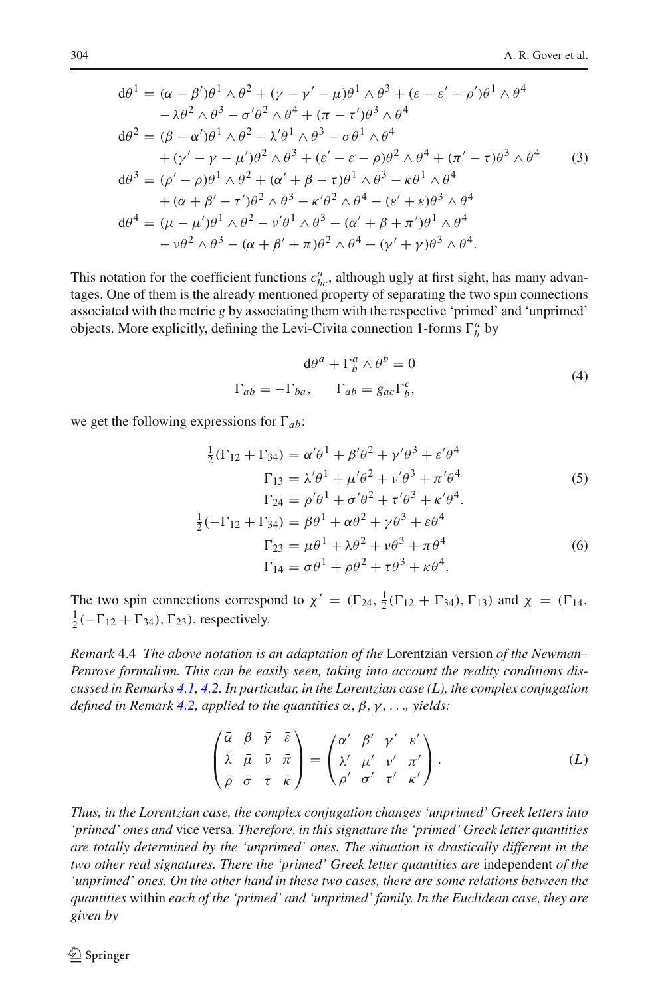<span id="page-9-2"></span>
$$
d\theta^{1} = (\alpha - \beta')\theta^{1} \wedge \theta^{2} + (\gamma - \gamma' - \mu)\theta^{1} \wedge \theta^{3} + (\varepsilon - \varepsilon' - \rho')\theta^{1} \wedge \theta^{4}
$$
  
\n
$$
- \lambda \theta^{2} \wedge \theta^{3} - \sigma'\theta^{2} \wedge \theta^{4} + (\pi - \tau')\theta^{3} \wedge \theta^{4}
$$
  
\n
$$
d\theta^{2} = (\beta - \alpha')\theta^{1} \wedge \theta^{2} - \lambda'\theta^{1} \wedge \theta^{3} - \sigma\theta^{1} \wedge \theta^{4}
$$
  
\n
$$
+ (\gamma' - \gamma - \mu')\theta^{2} \wedge \theta^{3} + (\varepsilon' - \varepsilon - \rho)\theta^{2} \wedge \theta^{4} + (\pi' - \tau)\theta^{3} \wedge \theta^{4}
$$
  
\n
$$
d\theta^{3} = (\rho' - \rho)\theta^{1} \wedge \theta^{2} + (\alpha' + \beta - \tau)\theta^{1} \wedge \theta^{3} - \kappa\theta^{1} \wedge \theta^{4}
$$
  
\n
$$
+ (\alpha + \beta' - \tau')\theta^{2} \wedge \theta^{3} - \kappa'\theta^{2} \wedge \theta^{4} - (\varepsilon' + \varepsilon)\theta^{3} \wedge \theta^{4}
$$
  
\n
$$
d\theta^{4} = (\mu - \mu')\theta^{1} \wedge \theta^{2} - \nu'\theta^{1} \wedge \theta^{3} - (\alpha' + \beta + \pi')\theta^{1} \wedge \theta^{4}
$$
  
\n
$$
- \nu\theta^{2} \wedge \theta^{3} - (\alpha + \beta' + \pi)\theta^{2} \wedge \theta^{4} - (\gamma' + \gamma)\theta^{3} \wedge \theta^{4}.
$$

This notation for the coefficient functions  $c_{bc}^a$ , although ugly at first sight, has many advantages. One of them is the already mentioned property of separating the two spin connections associated with the metric *g* by associating them with the respective 'primed' and 'unprimed' objects. More explicitly, defining the Levi-Civita connection 1-forms  $\Gamma_b^a$  by

<span id="page-9-3"></span>
$$
d\theta^{a} + \Gamma_{b}^{a} \wedge \theta^{b} = 0
$$
  

$$
\Gamma_{ab} = -\Gamma_{ba}, \qquad \Gamma_{ab} = g_{ac} \Gamma_{b}^{c},
$$
 (4)

<span id="page-9-1"></span>we get the following expressions for  $\Gamma_{ab}$ :

$$
\frac{1}{2}(\Gamma_{12} + \Gamma_{34}) = \alpha' \theta^{1} + \beta' \theta^{2} + \gamma' \theta^{3} + \varepsilon' \theta^{4}
$$
  
\n
$$
\Gamma_{13} = \lambda' \theta^{1} + \mu' \theta^{2} + \nu' \theta^{3} + \pi' \theta^{4}
$$
  
\n
$$
\Gamma_{24} = \rho' \theta^{1} + \sigma' \theta^{2} + \tau' \theta^{3} + \kappa' \theta^{4}
$$
  
\n
$$
\frac{1}{2}(-\Gamma_{12} + \Gamma_{34}) = \beta \theta^{1} + \alpha \theta^{2} + \gamma \theta^{3} + \varepsilon \theta^{4}
$$
  
\n
$$
\Gamma_{23} = \mu \theta^{1} + \lambda \theta^{2} + \nu \theta^{3} + \pi \theta^{4}
$$
  
\n
$$
\Gamma_{14} = \sigma \theta^{1} + \rho \theta^{2} + \tau \theta^{3} + \kappa \theta^{4}.
$$
  
\n(6)

<span id="page-9-0"></span>The two spin connections correspond to  $\chi' = (\Gamma_{24}, \frac{1}{2}(\Gamma_{12} + \Gamma_{34}), \Gamma_{13})$  and  $\chi = (\Gamma_{14}, \frac{1}{2}(-\Gamma_{12} + \Gamma_{24}), \Gamma_{23})$  respectively.  $\frac{1}{2}$ ( $-\Gamma_{12} + \Gamma_{34}$ ),  $\Gamma_{23}$ ), respectively.

*Remark* 4.4 *The above notation is an adaptation of the* Lorentzian version *of the Newman– Penrose formalism. This can be easily seen, taking into account the reality conditions discussed in Remarks [4.1,](#page-7-1) [4.2.](#page-8-1) In particular, in the Lorentzian case (L), the complex conjugation defined in Remark [4.2,](#page-8-1) applied to the quantities* α, β, γ , . . .*, yields:*

$$
\begin{pmatrix}\n\bar{\alpha} & \bar{\beta} & \bar{\gamma} & \bar{\varepsilon} \\
\bar{\lambda} & \bar{\mu} & \bar{\nu} & \bar{\pi} \\
\bar{\rho} & \bar{\sigma} & \bar{\tau} & \bar{\kappa}\n\end{pmatrix} = \begin{pmatrix}\n\alpha' & \beta' & \gamma' & \varepsilon' \\
\lambda' & \mu' & \nu' & \pi' \\
\rho' & \sigma' & \tau' & \kappa'\n\end{pmatrix}.
$$
\n(L)

*Thus, in the Lorentzian case, the complex conjugation changes 'unprimed' Greek letters into 'primed' ones and* vice versa*. Therefore, in this signature the 'primed' Greek letter quantities are totally determined by the 'unprimed' ones. The situation is drastically different in the two other real signatures. There the 'primed' Greek letter quantities are* independent *of the 'unprimed' ones. On the other hand in these two cases, there are some relations between the quantities* within *each of the 'primed' and 'unprimed' family. In the Euclidean case, they are given by*

 $\circledcirc$  Springer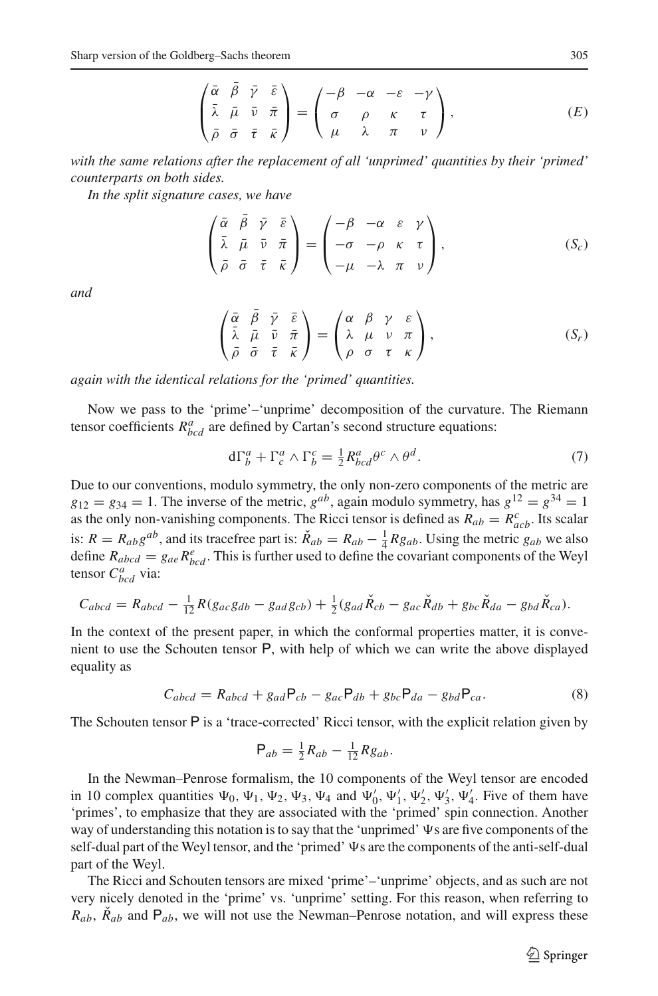$$
\begin{pmatrix}\n\bar{\alpha} & \bar{\beta} & \bar{\gamma} & \bar{\varepsilon} \\
\bar{\lambda} & \bar{\mu} & \bar{\nu} & \bar{\pi} \\
\bar{\rho} & \bar{\sigma} & \bar{\tau} & \bar{\kappa}\n\end{pmatrix} = \begin{pmatrix}\n-\beta & -\alpha & -\varepsilon & -\gamma \\
\sigma & \rho & \kappa & \tau \\
\mu & \lambda & \pi & \nu\n\end{pmatrix},
$$
\n(E)

*with the same relations after the replacement of all 'unprimed' quantities by their 'primed' counterparts on both sides.*

*In the split signature cases, we have*

$$
\begin{pmatrix}\n\bar{\alpha} & \bar{\beta} & \bar{\gamma} & \bar{\epsilon} \\
\bar{\lambda} & \bar{\mu} & \bar{\nu} & \bar{\pi} \\
\bar{\rho} & \bar{\sigma} & \bar{\tau} & \bar{\kappa}\n\end{pmatrix} = \begin{pmatrix}\n-\beta & -\alpha & \epsilon & \gamma \\
-\sigma & -\rho & \kappa & \tau \\
-\sigma & -\rho & \kappa & \tau \\
-\mu & -\lambda & \pi & \nu\n\end{pmatrix},
$$
\n(S<sub>c</sub>)

*and*

$$
\begin{pmatrix}\n\bar{\alpha} & \bar{\beta} & \bar{\gamma} & \bar{\epsilon} \\
\bar{\lambda} & \bar{\mu} & \bar{\nu} & \bar{\pi} \\
\bar{\rho} & \bar{\sigma} & \bar{\tau} & \bar{\kappa}\n\end{pmatrix} = \begin{pmatrix}\n\alpha & \beta & \gamma & \epsilon \\
\lambda & \mu & \nu & \pi \\
\rho & \sigma & \tau & \kappa\n\end{pmatrix},
$$
\n(S<sub>r</sub>)

*again with the identical relations for the 'primed' quantities.*

Now we pass to the 'prime'–'unprime' decomposition of the curvature. The Riemann tensor coefficients  $R_{bcd}^a$  are defined by Cartan's second structure equations:

$$
d\Gamma_b^a + \Gamma_c^a \wedge \Gamma_b^c = \frac{1}{2} R_{bcd}^a \theta^c \wedge \theta^d. \tag{7}
$$

<span id="page-10-0"></span>Due to our conventions, modulo symmetry, the only non-zero components of the metric are  $g_{12} = g_{34} = 1$ . The inverse of the metric,  $g^{ab}$ , again modulo symmetry, has  $g^{12} = g^{34} = 1$ as the only non-vanishing components. The Ricci tensor is defined as  $R_{ab} = R_{acb}^c$ . Its scalar is:  $R = R_{ab}g^{ab}$ , and its tracefree part is:  $\check{R}_{ab} = R_{ab} - \frac{1}{4}Rg_{ab}$ . Using the metric  $g_{ab}$  we also define  $R_{abcd} = g_{ae}R_{bcd}^e$ . This is further used to define the covariant components of the Weyl tensor  $C_{bcd}^a$  via:

$$
C_{abcd} = R_{abcd} - \frac{1}{12}R(g_{ac}g_{db} - g_{ad}g_{cb}) + \frac{1}{2}(g_{ad}\tilde{R}_{cb} - g_{ac}\tilde{R}_{db} + g_{bc}\tilde{R}_{da} - g_{bd}\tilde{R}_{ca}).
$$

In the context of the present paper, in which the conformal properties matter, it is convenient to use the Schouten tensor P, with help of which we can write the above displayed equality as

$$
C_{abcd} = R_{abcd} + g_{ad}P_{cb} - g_{ac}P_{db} + g_{bc}P_{da} - g_{bd}P_{ca}.
$$
\n(8)

The Schouten tensor P is a 'trace-corrected' Ricci tensor, with the explicit relation given by

$$
\mathsf{P}_{ab} = \tfrac{1}{2}R_{ab} - \tfrac{1}{12}Rg_{ab}.
$$

In the Newman–Penrose formalism, the 10 components of the Weyl tensor are encoded in 10 complex quantities  $\Psi_0$ ,  $\Psi_1$ ,  $\Psi_2$ ,  $\Psi_3$ ,  $\Psi_4$  and  $\Psi'_0$ ,  $\Psi'_1$ ,  $\Psi'_2$ ,  $\Psi'_3$ ,  $\Psi'_4$ . Five of them have 'primes', to emphasize that they are associated with the 'primed' spin connection. Another way of understanding this notation is to say that the 'unprimed'  $\Psi$ s are five components of the self-dual part of the Weyl tensor, and the 'primed'  $\Psi s$  are the components of the anti-self-dual part of the Weyl.

The Ricci and Schouten tensors are mixed 'prime'–'unprime' objects, and as such are not very nicely denoted in the 'prime' vs. 'unprime' setting. For this reason, when referring to  $R_{ab}$ ,  $\dot{R}_{ab}$  and  $P_{ab}$ , we will not use the Newman–Penrose notation, and will express these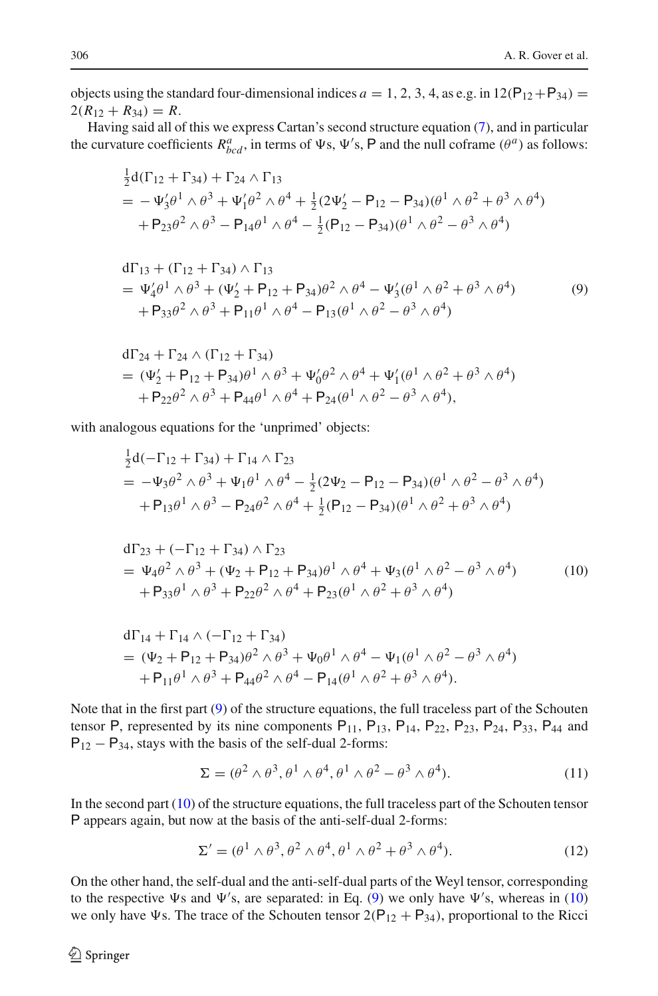objects using the standard four-dimensional indices  $a = 1, 2, 3, 4$ , as e.g. in  $12(P_{12}+P_{34}) =$  $2(R_{12} + R_{34}) = R$ .

<span id="page-11-0"></span>Having said all of this we express Cartan's second structure equation [\(7\)](#page-10-0), and in particular the curvature coefficients  $R^a_{bcd}$ , in terms of  $\Psi s$ ,  $\Psi's$ , **P** and the null coframe ( $\theta^a$ ) as follows:

$$
\frac{1}{2}d(\Gamma_{12} + \Gamma_{34}) + \Gamma_{24} \wedge \Gamma_{13} \n= -\Psi'_{3}\theta^{1} \wedge \theta^{3} + \Psi'_{1}\theta^{2} \wedge \theta^{4} + \frac{1}{2}(2\Psi'_{2} - \mathsf{P}_{12} - \mathsf{P}_{34})(\theta^{1} \wedge \theta^{2} + \theta^{3} \wedge \theta^{4}) \n+ \mathsf{P}_{23}\theta^{2} \wedge \theta^{3} - \mathsf{P}_{14}\theta^{1} \wedge \theta^{4} - \frac{1}{2}(\mathsf{P}_{12} - \mathsf{P}_{34})(\theta^{1} \wedge \theta^{2} - \theta^{3} \wedge \theta^{4})
$$

$$
d\Gamma_{13} + (\Gamma_{12} + \Gamma_{34}) \wedge \Gamma_{13}
$$
  
=  $\Psi_4' \theta^1 \wedge \theta^3 + (\Psi_2' + \mathsf{P}_{12} + \mathsf{P}_{34}) \theta^2 \wedge \theta^4 - \Psi_3' (\theta^1 \wedge \theta^2 + \theta^3 \wedge \theta^4)$   
+  $\mathsf{P}_{33} \theta^2 \wedge \theta^3 + \mathsf{P}_{11} \theta^1 \wedge \theta^4 - \mathsf{P}_{13} (\theta^1 \wedge \theta^2 - \theta^3 \wedge \theta^4)$  (9)

$$
d\Gamma_{24} + \Gamma_{24} \wedge (\Gamma_{12} + \Gamma_{34})
$$
  
=  $(\Psi'_2 + \mathsf{P}_{12} + \mathsf{P}_{34})\theta^1 \wedge \theta^3 + \Psi'_0 \theta^2 \wedge \theta^4 + \Psi'_1 (\theta^1 \wedge \theta^2 + \theta^3 \wedge \theta^4)$   
+  $\mathsf{P}_{22}\theta^2 \wedge \theta^3 + \mathsf{P}_{44}\theta^1 \wedge \theta^4 + \mathsf{P}_{24}(\theta^1 \wedge \theta^2 - \theta^3 \wedge \theta^4),$ 

<span id="page-11-1"></span>with analogous equations for the 'unprimed' objects:

$$
\frac{1}{2}d(-\Gamma_{12} + \Gamma_{34}) + \Gamma_{14} \wedge \Gamma_{23} \n= -\Psi_3 \theta^2 \wedge \theta^3 + \Psi_1 \theta^1 \wedge \theta^4 - \frac{1}{2}(2\Psi_2 - P_{12} - P_{34})(\theta^1 \wedge \theta^2 - \theta^3 \wedge \theta^4) \n+ P_{13}\theta^1 \wedge \theta^3 - P_{24}\theta^2 \wedge \theta^4 + \frac{1}{2}(P_{12} - P_{34})(\theta^1 \wedge \theta^2 + \theta^3 \wedge \theta^4)
$$

$$
\begin{aligned}\nd\Gamma_{23} + (-\Gamma_{12} + \Gamma_{34}) \wedge \Gamma_{23} \\
&= \Psi_4 \theta^2 \wedge \theta^3 + (\Psi_2 + \mathsf{P}_{12} + \mathsf{P}_{34}) \theta^1 \wedge \theta^4 + \Psi_3 (\theta^1 \wedge \theta^2 - \theta^3 \wedge \theta^4) \\
&\quad + \mathsf{P}_{33} \theta^1 \wedge \theta^3 + \mathsf{P}_{22} \theta^2 \wedge \theta^4 + \mathsf{P}_{23} (\theta^1 \wedge \theta^2 + \theta^3 \wedge \theta^4)\n\end{aligned} \tag{10}
$$

$$
d\Gamma_{14} + \Gamma_{14} \wedge (-\Gamma_{12} + \Gamma_{34})
$$
  
=  $(\Psi_2 + \mathsf{P}_{12} + \mathsf{P}_{34})\theta^2 \wedge \theta^3 + \Psi_0\theta^1 \wedge \theta^4 - \Psi_1(\theta^1 \wedge \theta^2 - \theta^3 \wedge \theta^4)$   
+  $\mathsf{P}_{11}\theta^1 \wedge \theta^3 + \mathsf{P}_{44}\theta^2 \wedge \theta^4 - \mathsf{P}_{14}(\theta^1 \wedge \theta^2 + \theta^3 \wedge \theta^4).$ 

Note that in the first part [\(9\)](#page-11-0) of the structure equations, the full traceless part of the Schouten tensor P, represented by its nine components  $P_{11}$ ,  $P_{13}$ ,  $P_{14}$ ,  $P_{22}$ ,  $P_{23}$ ,  $P_{24}$ ,  $P_{33}$ ,  $P_{44}$  and  $P_{12} - P_{34}$ , stays with the basis of the self-dual 2-forms:

$$
\Sigma = (\theta^2 \wedge \theta^3, \theta^1 \wedge \theta^4, \theta^1 \wedge \theta^2 - \theta^3 \wedge \theta^4). \tag{11}
$$

<span id="page-11-2"></span>In the second part  $(10)$  of the structure equations, the full traceless part of the Schouten tensor P appears again, but now at the basis of the anti-self-dual 2-forms:

$$
\Sigma' = (\theta^1 \wedge \theta^3, \theta^2 \wedge \theta^4, \theta^1 \wedge \theta^2 + \theta^3 \wedge \theta^4). \tag{12}
$$

<span id="page-11-3"></span>On the other hand, the self-dual and the anti-self-dual parts of the Weyl tensor, corresponding to the respective  $\Psi$ s and  $\Psi$ 's, are separated: in Eq. [\(9\)](#page-11-0) we only have  $\Psi$ 's, whereas in [\(10\)](#page-11-1) we only have  $\Psi$ s. The trace of the Schouten tensor  $2(P_{12} + P_{34})$ , proportional to the Ricci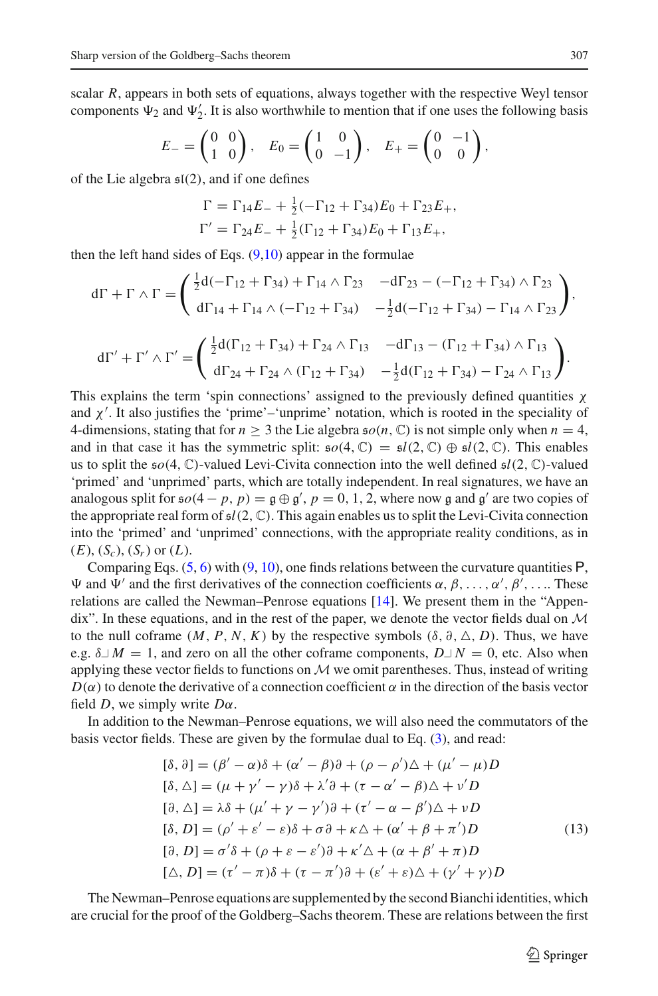scalar *R*, appears in both sets of equations, always together with the respective Weyl tensor components  $\Psi_2$  and  $\Psi_2'$ . It is also worthwhile to mention that if one uses the following basis

$$
E_{-} = \begin{pmatrix} 0 & 0 \\ 1 & 0 \end{pmatrix}, \quad E_{0} = \begin{pmatrix} 1 & 0 \\ 0 & -1 \end{pmatrix}, \quad E_{+} = \begin{pmatrix} 0 & -1 \\ 0 & 0 \end{pmatrix},
$$

of the Lie algebra  $\mathfrak{sl}(2)$ , and if one defines

$$
\Gamma = \Gamma_{14}E_{-} + \frac{1}{2}(-\Gamma_{12} + \Gamma_{34})E_0 + \Gamma_{23}E_{+},
$$
  
\n
$$
\Gamma' = \Gamma_{24}E_{-} + \frac{1}{2}(\Gamma_{12} + \Gamma_{34})E_0 + \Gamma_{13}E_{+},
$$

then the left hand sides of Eqs.  $(9,10)$  $(9,10)$  appear in the formulae

$$
d\Gamma + \Gamma \wedge \Gamma = \begin{pmatrix} \frac{1}{2}d(-\Gamma_{12} + \Gamma_{34}) + \Gamma_{14} \wedge \Gamma_{23} & -d\Gamma_{23} - (-\Gamma_{12} + \Gamma_{34}) \wedge \Gamma_{23} \\ d\Gamma_{14} + \Gamma_{14} \wedge (-\Gamma_{12} + \Gamma_{34}) & -\frac{1}{2}d(-\Gamma_{12} + \Gamma_{34}) - \Gamma_{14} \wedge \Gamma_{23} \end{pmatrix},
$$

$$
d\Gamma' + \Gamma' \wedge \Gamma' = \begin{pmatrix} \frac{1}{2}d(\Gamma_{12} + \Gamma_{34}) + \Gamma_{24} \wedge \Gamma_{13} & -d\Gamma_{13} - (\Gamma_{12} + \Gamma_{34}) \wedge \Gamma_{13} \\ d\Gamma_{24} + \Gamma_{24} \wedge (\Gamma_{12} + \Gamma_{34}) & -\frac{1}{2}d(\Gamma_{12} + \Gamma_{34}) - \Gamma_{24} \wedge \Gamma_{13} \end{pmatrix}.
$$

This explains the term 'spin connections' assigned to the previously defined quantities  $\chi$ and  $\chi'$ . It also justifies the 'prime'-'unprime' notation, which is rooted in the speciality of 4-dimensions, stating that for  $n \geq 3$  the Lie algebra  $\mathfrak{so}(n, \mathbb{C})$  is not simple only when  $n = 4$ , and in that case it has the symmetric split:  $\mathfrak{so}(4,\mathbb{C}) = \mathfrak{sl}(2,\mathbb{C}) \oplus \mathfrak{sl}(2,\mathbb{C})$ . This enables us to split the  $\mathfrak{so}(4,\mathbb{C})$ -valued Levi-Civita connection into the well defined  $\mathfrak{sl}(2,\mathbb{C})$ -valued 'primed' and 'unprimed' parts, which are totally independent. In real signatures, we have an analogous split for  $\mathfrak{so}(4 - p, p) = \mathfrak{g} \oplus \mathfrak{g}'$ ,  $p = 0, 1, 2$ , where now g and  $\mathfrak{g}'$  are two copies of the appropriate real form of  $\mathfrak{sl}(2, \mathbb{C})$ . This again enables us to split the Levi-Civita connection the appropriate real form of  $s/(2, \mathbb{C})$ . This again enables us to split the Levi-Civita connection into the 'primed' and 'unprimed' connections, with the appropriate reality conditions, as in  $(E)$ ,  $(S_c)$ ,  $(S_r)$  or  $(L)$ .

Comparing Eqs.  $(5, 6)$  $(5, 6)$  $(5, 6)$  with  $(9, 10)$  $(9, 10)$  $(9, 10)$ , one finds relations between the curvature quantities P,  $\Psi$  and  $\Psi'$  and the first derivatives of the connection coefficients  $\alpha, \beta, \ldots, \alpha', \beta', \ldots$ . These relations are called the Newman–Penrose equations [\[14\]](#page-45-18). We present them in the "Appendix". In these equations, and in the rest of the paper, we denote the vector fields dual on *M* to the null coframe  $(M, P, N, K)$  by the respective symbols  $(\delta, \partial, \Delta, D)$ . Thus, we have e.g.  $\delta$  | *M* = 1, and zero on all the other coframe components,  $D \perp N = 0$ , etc. Also when applying these vector fields to functions on *M* we omit parentheses. Thus, instead of writing  $D(\alpha)$  to denote the derivative of a connection coefficient  $\alpha$  in the direction of the basis vector field *D*, we simply write *D*α.

<span id="page-12-0"></span>In addition to the Newman–Penrose equations, we will also need the commutators of the basis vector fields. These are given by the formulae dual to Eq. [\(3\)](#page-9-2), and read:

$$
[\delta, \delta] = (\beta' - \alpha)\delta + (\alpha' - \beta)\partial + (\rho - \rho')\Delta + (\mu' - \mu)D
$$
  
\n
$$
[\delta, \Delta] = (\mu + \gamma' - \gamma)\delta + \lambda'\partial + (\tau - \alpha' - \beta)\Delta + \nu'D
$$
  
\n
$$
[\delta, \Delta] = \lambda\delta + (\mu' + \gamma - \gamma')\partial + (\tau' - \alpha - \beta')\Delta + \nu D
$$
  
\n
$$
[\delta, D] = (\rho' + \varepsilon' - \varepsilon)\delta + \sigma\partial + \kappa\Delta + (\alpha' + \beta + \pi')D
$$
  
\n
$$
[\delta, D] = \sigma'\delta + (\rho + \varepsilon - \varepsilon')\partial + \kappa'\Delta + (\alpha + \beta' + \pi)D
$$
  
\n
$$
[\Delta, D] = (\tau' - \pi)\delta + (\tau - \pi')\partial + (\varepsilon' + \varepsilon)\Delta + (\gamma' + \gamma)D
$$
 (13)

The Newman–Penrose equations are supplemented by the second Bianchi identities, which are crucial for the proof of the Goldberg–Sachs theorem. These are relations between the first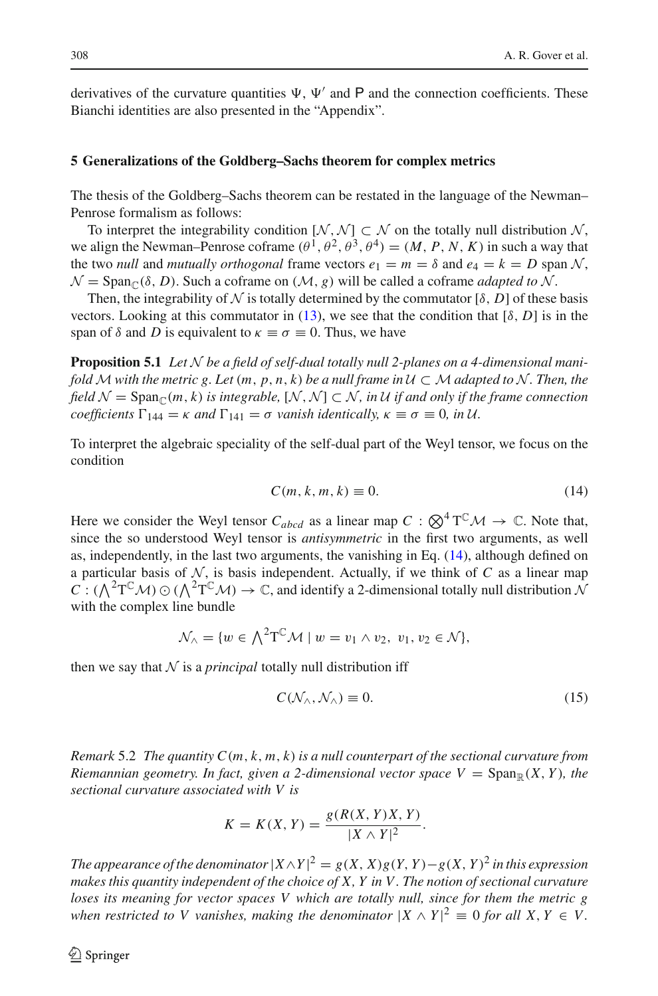derivatives of the curvature quantities  $\Psi$ ,  $\Psi'$  and P and the connection coefficients. These Bianchi identities are also presented in the "Appendix".

#### <span id="page-13-0"></span>**5 Generalizations of the Goldberg–Sachs theorem for complex metrics**

The thesis of the Goldberg–Sachs theorem can be restated in the language of the Newman– Penrose formalism as follows:

To interpret the integrability condition  $[\mathcal{N}, \mathcal{N}] \subset \mathcal{N}$  on the totally null distribution  $\mathcal{N}$ , we align the Newman–Penrose coframe  $(\theta^1, \theta^2, \theta^3, \theta^4) = (M, P, N, K)$  in such a way that the two *null* and *mutually orthogonal* frame vectors  $e_1 = m = \delta$  and  $e_4 = k = D$  span N,  $\mathcal{N} = \text{Span}_{\mathcal{C}}(\delta, D)$ . Such a coframe on  $(\mathcal{M}, g)$  will be called a coframe *adapted to*  $\mathcal{N}$ .

Then, the integrability of  $N$  is totally determined by the commutator  $[\delta, D]$  of these basis vectors. Looking at this commutator in [\(13\)](#page-12-0), we see that the condition that  $[\delta, D]$  is in the span of  $\delta$  and *D* is equivalent to  $\kappa \equiv \sigma \equiv 0$ . Thus, we have

**Proposition 5.1** *Let N be a field of self-dual totally null 2-planes on a 4-dimensional manifold*  $M$  *with the metric g. Let*  $(m, p, n, k)$  *be a null frame in*  $U \subset M$  *adapted to*  $N$ *. Then, the field*  $\mathcal{N} = \text{Span}_{\mathcal{C}}(m, k)$  *is integrable,*  $[\mathcal{N}, \mathcal{N}] \subset \mathcal{N}$ *, in U if and only if the frame connection coefficients*  $\Gamma_{144} = \kappa$  *and*  $\Gamma_{141} = \sigma$  *vanish identically,*  $\kappa \equiv \sigma \equiv 0$ *, in U.* 

To interpret the algebraic speciality of the self-dual part of the Weyl tensor, we focus on the condition

<span id="page-13-2"></span>
$$
C(m, k, m, k) \equiv 0. \tag{14}
$$

<span id="page-13-1"></span>Here we consider the Weyl tensor  $C_{abcd}$  as a linear map  $C : \bigotimes^4 T^{\mathbb{C}}\mathcal{M} \to \mathbb{C}$ . Note that, since the so understood Weyl tensor is *antisymmetric* in the first two arguments, as well as, independently, in the last two arguments, the vanishing in Eq. [\(14\)](#page-13-1), although defined on a particular basis of  $N$ , is basis independent. Actually, if we think of  $C$  as a linear map  $C: (\bigwedge^2 T^{\mathbb{C}}\mathcal{M}) \odot (\bigwedge^2 T^{\mathbb{C}}\mathcal{M}) \rightarrow \mathbb{C}$ , and identify a 2-dimensional totally null distribution  $\mathcal{M}$ with the complex line bundle

$$
\mathcal{N}_{\wedge} = \{ w \in \bigwedge^2 \mathrm{T}^{\mathbb{C}} \mathcal{M} \mid w = v_1 \wedge v_2, v_1, v_2 \in \mathcal{N} \},
$$

then we say that  $N$  is a *principal* totally null distribution iff

$$
C(\mathcal{N}_{\wedge}, \mathcal{N}_{\wedge}) \equiv 0. \tag{15}
$$

*Remark* 5.2 *The quantity C*(*m*, *k*, *m*, *k*) *is a null counterpart of the sectional curvature from Riemannian geometry. In fact, given a 2-dimensional vector space*  $V = \text{Span}_{\mathbb{R}}(X, Y)$ *, the sectional curvature associated with V is*

$$
K = K(X, Y) = \frac{g(R(X, Y)X, Y)}{|X \wedge Y|^2}.
$$

*The appearance of the denominator*  $|X \wedge Y|^2 = g(X, X)g(Y, Y) - g(X, Y)^2$  *in this expression makes this quantity independent of the choice of X, Y in V . The notion of sectional curvature loses its meaning for vector spaces V which are totally null, since for them the metric g when restricted to V vanishes, making the denominator*  $|X \wedge Y|^2 \equiv 0$  *for all*  $X, Y \in V$ .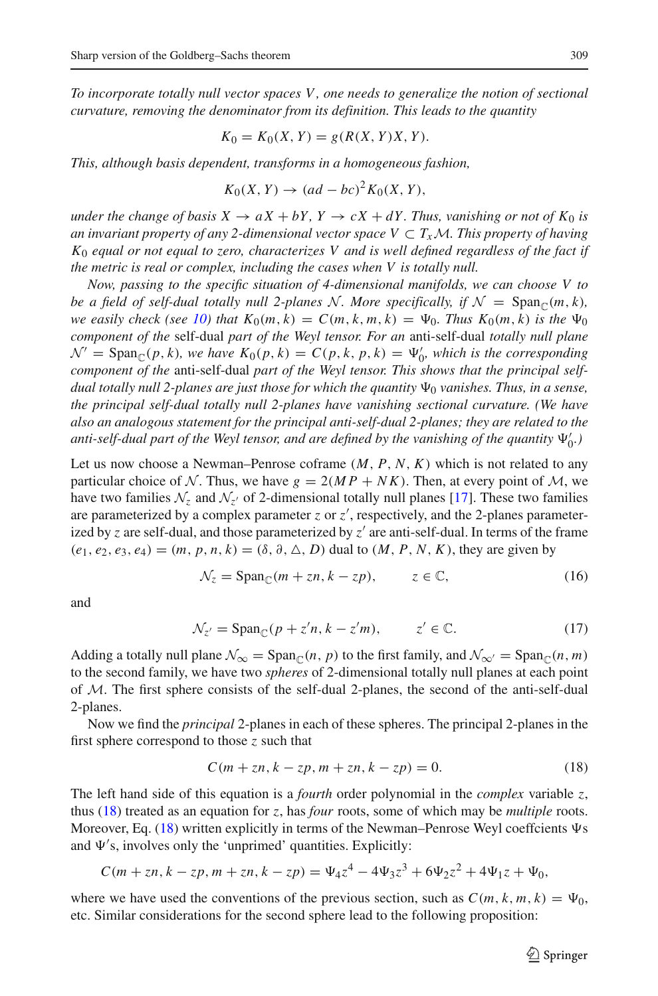*To incorporate totally null vector spaces V , one needs to generalize the notion of sectional curvature, removing the denominator from its definition. This leads to the quantity*

$$
K_0 = K_0(X, Y) = g(R(X, Y)X, Y).
$$

*This, although basis dependent, transforms in a homogeneous fashion,*

$$
K_0(X, Y) \to (ad - bc)^2 K_0(X, Y),
$$

*under the change of basis*  $X \rightarrow aX + bY$ ,  $Y \rightarrow cX + dY$ . Thus, vanishing or not of  $K_0$  is *an invariant property of any 2-dimensional vector space*  $V \subset T_x \mathcal{M}$ *. This property of having K*<sup>0</sup> *equal or not equal to zero, characterizes V and is well defined regardless of the fact if the metric is real or complex, including the cases when V is totally null.*

*Now, passing to the specific situation of 4-dimensional manifolds, we can choose V to be a field of self-dual totally null 2-planes N. More specifically, if*  $\mathcal{N} = \text{Span}_{\mathbb{C}}(m, k)$ *, we easily check (see [10\)](#page-11-1)* that  $K_0(m, k) = C(m, k, m, k) = \Psi_0$ . Thus  $K_0(m, k)$  is the  $\Psi_0$ *component of the* self-dual *part of the Weyl tensor. For an* anti-self-dual *totally null plane*  $\mathcal{N}' = \text{Span}_{\mathbb{C}}(p, k)$ *, we have*  $K_0(p, k) = C(p, k, p, k) = \Psi'_0$ *, which is the corresponding component of the* anti-self-dual *part of the Weyl tensor. This shows that the principal selfdual totally null 2-planes are just those for which the quantity*  $\Psi_0$  *vanishes. Thus, in a sense, the principal self-dual totally null 2-planes have vanishing sectional curvature. (We have also an analogous statement for the principal anti-self-dual 2-planes; they are related to the* anti-self-dual part of the Weyl tensor, and are defined by the vanishing of the quantity  $\Psi_0'$ .)

Let us now choose a Newman–Penrose coframe (*M*, *P*, *N*, *K*) which is not related to any particular choice of N. Thus, we have  $g = 2(MP + NK)$ . Then, at every point of M, we have two families  $\mathcal{N}_z$  and  $\mathcal{N}_{z'}$  of 2-dimensional totally null planes [\[17\]](#page-45-17). These two families are parameterized by a complex parameter  $z$  or  $z'$ , respectively, and the 2-planes parameterized by  $\zeta$  are self-dual, and those parameterized by  $\zeta'$  are anti-self-dual. In terms of the frame  $(e_1, e_2, e_3, e_4) = (m, p, n, k) = (\delta, \delta, \Delta, D)$  dual to  $(M, P, N, K)$ , they are given by

$$
\mathcal{N}_z = \text{Span}_{\mathbb{C}}(m + zn, k - zp), \qquad z \in \mathbb{C}, \tag{16}
$$

<span id="page-14-1"></span>and

$$
\mathcal{N}_{z'} = \text{Span}_{\mathbb{C}}(p + z'n, k - z'm), \qquad z' \in \mathbb{C}.\tag{17}
$$

Adding a totally null plane  $\mathcal{N}_{\infty}$  = Span<sub>C</sub>(*n*, *p*) to the first family, and  $\mathcal{N}_{\infty'}$  = Span<sub>C</sub>(*n*, *m*) to the second family, we have two *spheres* of 2-dimensional totally null planes at each point of *M*. The first sphere consists of the self-dual 2-planes, the second of the anti-self-dual 2-planes.

Now we find the *principal* 2-planes in each of these spheres. The principal 2-planes in the first sphere correspond to those *z* such that

$$
C(m + zn, k - zp, m + zn, k - zp) = 0.
$$
\n
$$
(18)
$$

<span id="page-14-0"></span>The left hand side of this equation is a *fourth* order polynomial in the *complex* variable *z*, thus [\(18\)](#page-14-0) treated as an equation for *z*, has *four* roots, some of which may be *multiple* roots. Moreover, Eq. [\(18\)](#page-14-0) written explicitly in terms of the Newman–Penrose Weyl coeffcients  $\Psi$ s and  $\Psi$ 's, involves only the 'unprimed' quantities. Explicitly:

$$
C(m + zn, k - zp, m + zn, k - zp) = \Psi_4 z^4 - 4\Psi_3 z^3 + 6\Psi_2 z^2 + 4\Psi_1 z + \Psi_0,
$$

where we have used the conventions of the previous section, such as  $C(m, k, m, k) = \Psi_0$ , etc. Similar considerations for the second sphere lead to the following proposition: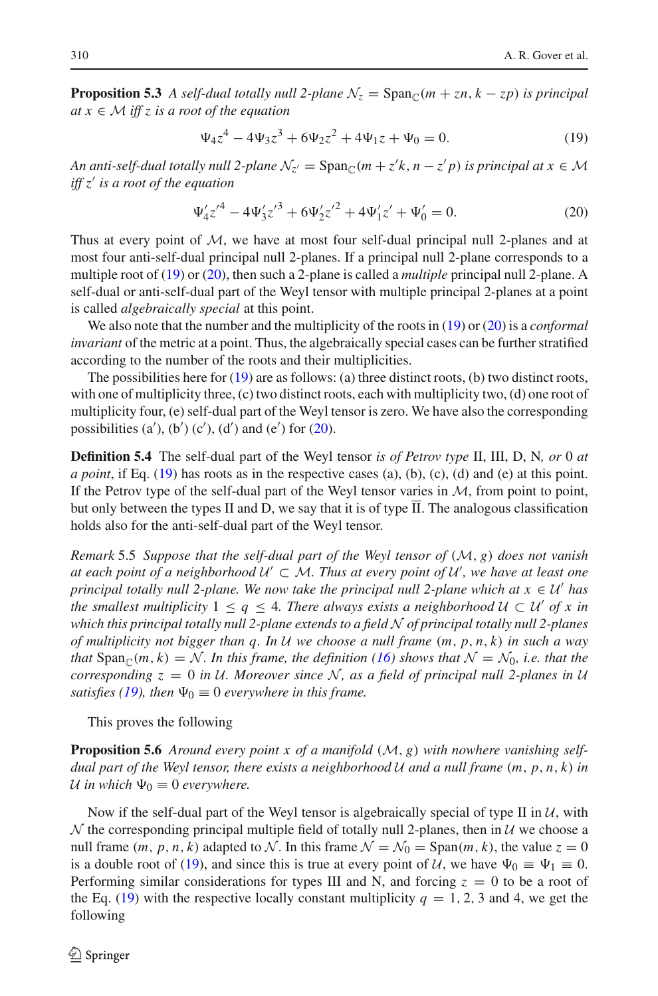**Proposition 5.3** *A self-dual totally null 2-plane*  $\mathcal{N}_z = \text{Span}_{\mathcal{C}}(m + zn, k - zp)$  *is principal at x* ∈ *<sup>M</sup> iff z is a root of the equation*

$$
\Psi_4 z^4 - 4\Psi_3 z^3 + 6\Psi_2 z^2 + 4\Psi_1 z + \Psi_0 = 0.
$$
\n(19)

<span id="page-15-0"></span>*An anti-self-dual totally null 2-plane*  $\mathcal{N}_{z'} = \text{Span}_{\mathbb{C}}(m + z'k, n - z'p)$  *is principal at*  $x \in \mathcal{M}$ *iff z is a root of the equation*

$$
\Psi_4' z'^4 - 4\Psi_3' z'^3 + 6\Psi_2' z'^2 + 4\Psi_1' z' + \Psi_0' = 0.
$$
 (20)

<span id="page-15-1"></span>Thus at every point of *M*, we have at most four self-dual principal null 2-planes and at most four anti-self-dual principal null 2-planes. If a principal null 2-plane corresponds to a multiple root of [\(19\)](#page-15-0) or [\(20\)](#page-15-1), then such a 2-plane is called a *multiple* principal null 2-plane. A self-dual or anti-self-dual part of the Weyl tensor with multiple principal 2-planes at a point is called *algebraically special* at this point.

We also note that the number and the multiplicity of the roots in [\(19\)](#page-15-0) or [\(20\)](#page-15-1) is a *conformal invariant* of the metric at a point. Thus, the algebraically special cases can be further stratified according to the number of the roots and their multiplicities.

The possibilities here for [\(19\)](#page-15-0) are as follows: (a) three distinct roots, (b) two distinct roots, with one of multiplicity three, (c) two distinct roots, each with multiplicity two, (d) one root of multiplicity four, (e) self-dual part of the Weyl tensor is zero. We have also the corresponding possibilities  $(a')$ ,  $(b')$   $(c')$ ,  $(d')$  and  $(e')$  for  $(20)$ .

<span id="page-15-3"></span>**Definition 5.4** The self-dual part of the Weyl tensor *is of Petrov type* II, III, D, N*, or* 0 *at a point*, if Eq. [\(19\)](#page-15-0) has roots as in the respective cases (a), (b), (c), (d) and (e) at this point. If the Petrov type of the self-dual part of the Weyl tensor varies in  $M$ , from point to point, but only between the types II and D, we say that it is of type  $\overline{II}$ . The analogous classification holds also for the anti-self-dual part of the Weyl tensor.

*Remark* 5.5 *Suppose that the self-dual part of the Weyl tensor of* (*M*, *g*) *does not vanish at each point of a neighborhood <sup>U</sup>* <sup>⊂</sup> *<sup>M</sup>. Thus at every point of <sup>U</sup> , we have at least one principal totally null 2-plane. We now take the principal null 2-plane which at*  $x \in \mathcal{U}'$  *has the smallest multiplicity*  $1 \leq q \leq 4$ *. There always exists a neighborhood*  $U \subset U'$  *of x in which this principal totally null 2-plane extends to a field N of principal totally null 2-planes of multiplicity not bigger than q. In U we choose a null frame* (*m*, *p*, *n*, *k*) *in such a way that*  $\text{Span}_{\mathbb{C}}(m, k) = \mathcal{N}$ *. In this frame, the definition* [\(16\)](#page-14-1) *shows that*  $\mathcal{N} = \mathcal{N}_0$ *, i.e. that the corresponding*  $z = 0$  *in*  $U$ *. Moreover since*  $N$ *, as a field of principal null 2-planes in*  $U$ *satisfies [\(19\)](#page-15-0), then*  $\Psi_0 \equiv 0$  *everywhere in this frame.* 

#### This proves the following

**Proposition 5.6** *Around every point x of a manifold* (*M*, *g*) *with nowhere vanishing selfdual part of the Weyl tensor, there exists a neighborhood U and a null frame* (*m*, *p*, *n*, *k*) *in U in which*  $\Psi_0 \equiv 0$  *everywhere.* 

<span id="page-15-2"></span>Now if the self-dual part of the Weyl tensor is algebraically special of type II in  $\mathcal{U}$ , with  $\mathcal N$  the corresponding principal multiple field of totally null 2-planes, then in  $\mathcal U$  we choose a null frame  $(m, p, n, k)$  adapted to  $N$ . In this frame  $N = N_0 = \text{Span}(m, k)$ , the value  $z = 0$ is a double root of [\(19\)](#page-15-0), and since this is true at every point of *U*, we have  $\Psi_0 \equiv \Psi_1 \equiv 0$ . Performing similar considerations for types III and N, and forcing  $z = 0$  to be a root of the Eq. [\(19\)](#page-15-0) with the respective locally constant multiplicity  $q = 1, 2, 3$  and 4, we get the following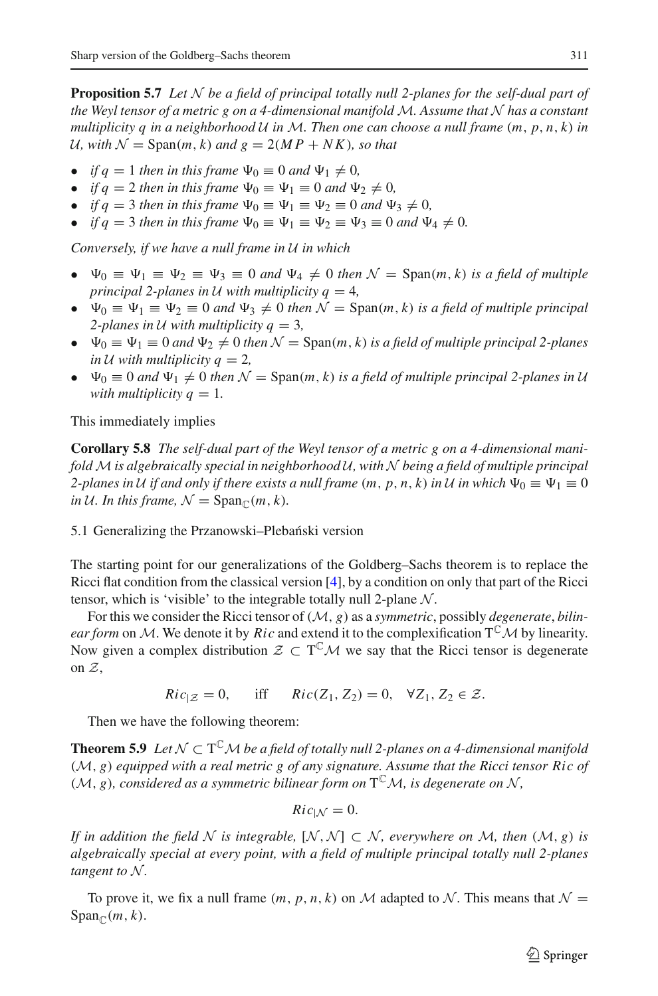**Proposition 5.7** *Let N be a field of principal totally null 2-planes for the self-dual part of the Weyl tensor of a metric g on a 4-dimensional manifold M. Assume that N has a constant multiplicity q in a neighborhood U in M. Then one can choose a null frame* (*m*, *p*, *n*, *k*) *in U, with*  $\mathcal{N} = \text{Span}(m, k)$  *and*  $g = 2(MP + NK)$ *, so that* 

- *if q* = 1 *then in this frame*  $\Psi_0 \equiv 0$  *and*  $\Psi_1 \neq 0$ *,*
- *if*  $q = 2$  *then in this frame*  $\Psi_0 \equiv \Psi_1 \equiv 0$  *and*  $\Psi_2 \neq 0$ *,*
- *if q* = 3 *then in this frame*  $\Psi_0 \equiv \Psi_1 \equiv \Psi_2 \equiv 0$  *and*  $\Psi_3 \neq 0$ ,
- *if q* = 3 *then in this frame*  $\Psi_0 \equiv \Psi_1 \equiv \Psi_2 \equiv \Psi_3 \equiv 0$  *and*  $\Psi_4 \neq 0$ *.*

*Conversely, if we have a null frame in U in which*

- $\Psi_0 \equiv \Psi_1 \equiv \Psi_2 \equiv \Psi_3 \equiv 0$  and  $\Psi_4 \neq 0$  then  $\mathcal{N} = \text{Span}(m, k)$  is a field of multiple *principal 2-planes in U with multiplicity*  $q = 4$ *,*
- $\Psi_0 \equiv \Psi_1 \equiv \Psi_2 \equiv 0$  and  $\Psi_3 \neq 0$  then  $\mathcal{N} = \text{Span}(m, k)$  is a field of multiple principal *2-planes in U with multiplicity*  $q = 3$ *,*
- $\Psi_0 \equiv \Psi_1 \equiv 0$  *and*  $\Psi_2 \neq 0$  *then*  $\mathcal{N} = \text{Span}(m, k)$  *is a field of multiple principal 2-planes in*  $U$  *with multiplicity*  $q = 2$ *,*
- $\Psi_0 \equiv 0$  and  $\Psi_1 \neq 0$  then  $\mathcal{N} = \text{Span}(m, k)$  is a field of multiple principal 2-planes in U *with multiplicity*  $q = 1$ *.*

This immediately implies

**Corollary 5.8** *The self-dual part of the Weyl tensor of a metric g on a 4-dimensional manifoldMis algebraically special in neighborhood U, with N being a field of multiple principal 2-planes in U if and only if there exists a null frame*  $(m, p, n, k)$  *in U in which*  $\Psi_0 \equiv \Psi_1 \equiv 0$ *in U. In this frame,*  $\mathcal{N} = \text{Span}_{\mathcal{C}}(m, k)$ *.* 

<span id="page-16-0"></span>5.1 Generalizing the Przanowski–Plebański version

The starting point for our generalizations of the Goldberg–Sachs theorem is to replace the Ricci flat condition from the classical version [\[4](#page-45-0)], by a condition on only that part of the Ricci tensor, which is 'visible' to the integrable totally null 2-plane *N* .

For this we consider the Ricci tensor of  $(M, g)$  as a *symmetric*, possibly *degenerate*, *bilinear form* on *M*. We denote it by *Ric* and extend it to the complexification  $T^{\mathbb{C}}M$  by linearity. Now given a complex distribution  $\mathcal{Z} \subset T^{\mathbb{C}}\mathcal{M}$  we say that the Ricci tensor is degenerate on  $Z$ ,

<span id="page-16-1"></span>
$$
Ric_{|Z} = 0, \quad \text{iff} \quad Ric(Z_1, Z_2) = 0, \quad \forall Z_1, Z_2 \in \mathcal{Z}.
$$

Then we have the following theorem:

**Theorem 5.9** *Let*  $N \subset T^{\mathbb{C}}M$  *be a field of totally null 2-planes on a 4-dimensional manifold* (*M*, *g*) *equipped with a real metric g of any signature. Assume that the Ricci tensor Ric of*  $(M, g)$ , considered as a symmetric bilinear form on  $T^{\mathbb{C}}M$ , is degenerate on N,

$$
Ric_{|{\mathcal N}}=0.
$$

*If in addition the field*  $\mathcal N$  *is integrable,*  $[\mathcal N, \mathcal N] \subset \mathcal N$ *, everywhere on*  $\mathcal M$ *, then*  $(\mathcal M, g)$  *is algebraically special at every point, with a field of multiple principal totally null 2-planes tangent to N .*

To prove it, we fix a null frame  $(m, p, n, k)$  on M adapted to N. This means that  $\mathcal{N} =$  $Span_{\mathcal{C}}(m, k)$ .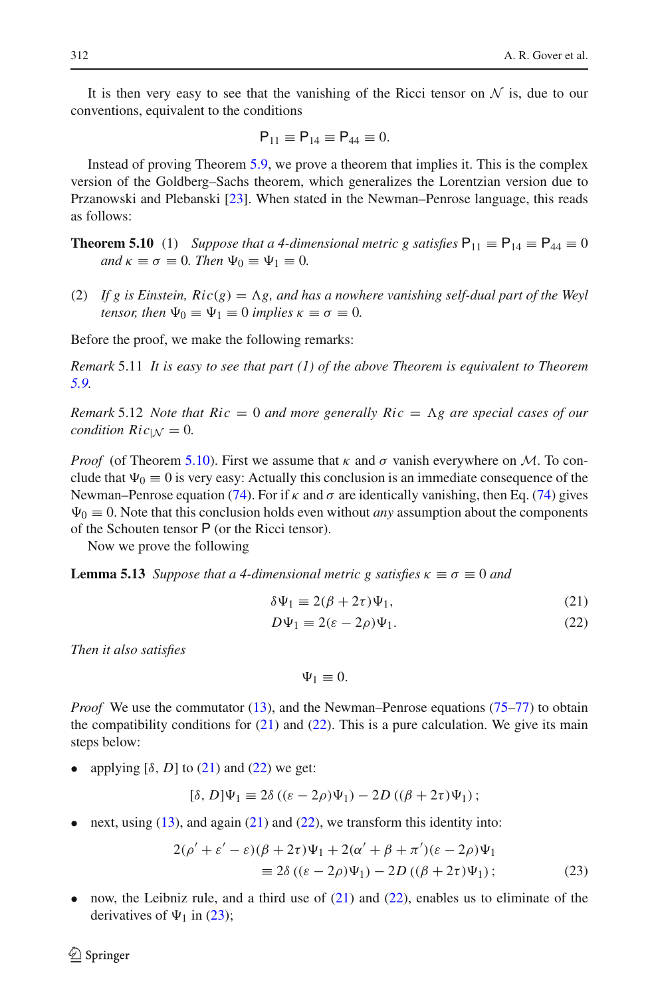It is then very easy to see that the vanishing of the Ricci tensor on  $\mathcal N$  is, due to our conventions, equivalent to the conditions

$$
P_{11} \equiv P_{14} \equiv P_{44} \equiv 0.
$$

Instead of proving Theorem [5.9,](#page-16-1) we prove a theorem that implies it. This is the complex version of the Goldberg–Sachs theorem, which generalizes the Lorentzian version due to Przanowski and Plebanski [\[23\]](#page-45-20). When stated in the Newman–Penrose language, this reads as follows:

- <span id="page-17-0"></span>**Theorem 5.10** (1) *Suppose that a 4-dimensional metric g satisfies*  $P_{11} \equiv P_{14} \equiv P_{44} \equiv 0$ *and*  $\kappa \equiv \sigma \equiv 0$ *. Then*  $\Psi_0 \equiv \Psi_1 \equiv 0$ *.*
- (2) If g is Einstein,  $Ric(g) = \Lambda g$ , and has a nowhere vanishing self-dual part of the Weyl *tensor, then*  $\Psi_0 \equiv \Psi_1 \equiv 0$  *implies*  $\kappa \equiv \sigma \equiv 0$ *.*

Before the proof, we make the following remarks:

*Remark* 5.11 *It is easy to see that part (1) of the above Theorem is equivalent to Theorem [5.9.](#page-16-1)*

*Remark* 5.12 *Note that*  $Ric = 0$  *and more generally*  $Ric = \Lambda g$  *are special cases of our condition*  $Ric_{|N} = 0$ *.* 

*Proof* (of Theorem [5.10\)](#page-17-0). First we assume that  $\kappa$  and  $\sigma$  vanish everywhere on *M*. To conclude that  $\Psi_0 \equiv 0$  is very easy: Actually this conclusion is an immediate consequence of the Newman–Penrose equation [\(74\)](#page-42-2). For if  $\kappa$  and  $\sigma$  are identically vanishing, then Eq. (74) gives  $\Psi_0 \equiv 0$ . Note that this conclusion holds even without *any* assumption about the components of the Schouten tensor P (or the Ricci tensor).

<span id="page-17-3"></span><span id="page-17-1"></span>Now we prove the following

**Lemma 5.13** *Suppose that a 4-dimensional metric g satisfies*  $\kappa \equiv \sigma \equiv 0$  *and* 

$$
\delta\Psi_1 \equiv 2(\beta + 2\tau)\Psi_1,\tag{21}
$$

$$
D\Psi_1 \equiv 2(\varepsilon - 2\rho)\Psi_1. \tag{22}
$$

*Then it also satisfies*

 $\Psi_1 \equiv 0.$ 

*Proof* We use the commutator [\(13\)](#page-12-0), and the Newman–Penrose equations [\(75–77\)](#page-42-2) to obtain the compatibility conditions for  $(21)$  and  $(22)$ . This is a pure calculation. We give its main steps below:

• applying  $\lceil \delta, D \rceil$  to [\(21\)](#page-17-1) and [\(22\)](#page-17-1) we get:

$$
[\delta, D]\Psi_1 \equiv 2\delta ((\varepsilon - 2\rho)\Psi_1) - 2D ((\beta + 2\tau)\Psi_1);
$$

<span id="page-17-2"></span>• next, using  $(13)$ , and again  $(21)$  and  $(22)$ , we transform this identity into:

$$
2(\rho' + \varepsilon' - \varepsilon)(\beta + 2\tau)\Psi_1 + 2(\alpha' + \beta + \pi')(\varepsilon - 2\rho)\Psi_1
$$
  
= 
$$
2\delta ((\varepsilon - 2\rho)\Psi_1) - 2D ((\beta + 2\tau)\Psi_1);
$$
 (23)

• now, the Leibniz rule, and a third use of  $(21)$  and  $(22)$ , enables us to eliminate of the derivatives of  $\Psi_1$  in [\(23\)](#page-17-2);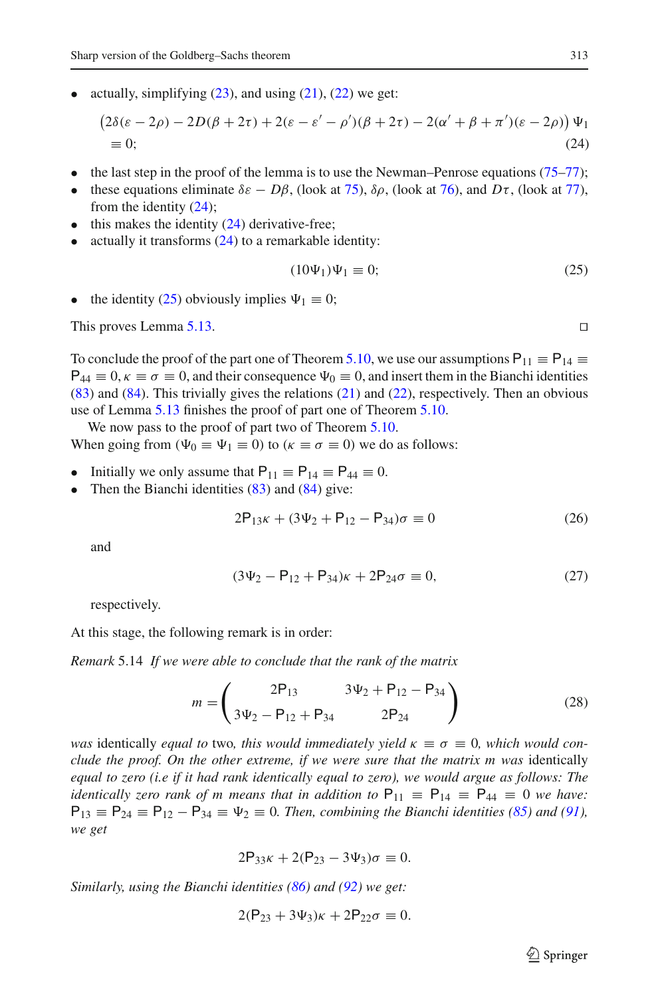<span id="page-18-0"></span>actually, simplifying  $(23)$ , and using  $(21)$ ,  $(22)$  we get:

$$
(2\delta(\varepsilon - 2\rho) - 2D(\beta + 2\tau) + 2(\varepsilon - \varepsilon' - \rho')(\beta + 2\tau) - 2(\alpha' + \beta + \pi')(\varepsilon - 2\rho))\Psi_1
$$
  
= 0; (24)

- the last step in the proof of the lemma is to use the Newman–Penrose equations  $(75–77)$ ;
- these equations eliminate  $\delta \varepsilon D\beta$ , (look at [75\)](#page-42-2),  $\delta \rho$ , (look at [76\)](#page-42-2), and  $D\tau$ , (look at [77\)](#page-42-2), from the identity [\(24\)](#page-18-0);
- $\bullet$  this makes the identity [\(24\)](#page-18-0) derivative-free;
- actually it transforms  $(24)$  to a remarkable identity:

<span id="page-18-1"></span>
$$
(10\Psi_1)\Psi_1 \equiv 0;\t(25)
$$

• the identity [\(25\)](#page-18-1) obviously implies  $\Psi_1 \equiv 0$ ;

This proves Lemma [5.13.](#page-17-3)

To conclude the proof of the part one of Theorem [5.10,](#page-17-0) we use our assumptions  $P_{11} \equiv P_{14} \equiv$  $P_{44} \equiv 0, \kappa \equiv \sigma \equiv 0$ , and their consequence  $\Psi_0 \equiv 0$ , and insert them in the Bianchi identities  $(83)$  and  $(84)$ . This trivially gives the relations  $(21)$  and  $(22)$ , respectively. Then an obvious use of Lemma [5.13](#page-17-3) finishes the proof of part one of Theorem [5.10.](#page-17-0)

We now pass to the proof of part two of Theorem [5.10.](#page-17-0) When going from ( $\Psi_0 \equiv \Psi_1 \equiv 0$ ) to ( $\kappa \equiv \sigma \equiv 0$ ) we do as follows:

- Initially we only assume that  $P_{11} \equiv P_{14} \equiv P_{44} \equiv 0$ .
- Then the Bianchi identities  $(83)$  and  $(84)$  give:

$$
2P_{13}\kappa + (3\Psi_2 + P_{12} - P_{34})\sigma \equiv 0 \tag{26}
$$

and

$$
(3\Psi_2 - P_{12} + P_{34})\kappa + 2P_{24}\sigma \equiv 0, \tag{27}
$$

respectively.

At this stage, the following remark is in order:

*Remark* 5.14 *If we were able to conclude that the rank of the matrix*

$$
m = \begin{pmatrix} 2P_{13} & 3\Psi_2 + P_{12} - P_{34} \\ 3\Psi_2 - P_{12} + P_{34} & 2P_{24} \end{pmatrix}
$$
 (28)

*was* identically *equal to two, this would immediately yield*  $\kappa \equiv \sigma \equiv 0$ *, which would conclude the proof. On the other extreme, if we were sure that the matrix m was* identically *equal to zero (i.e if it had rank identically equal to zero), we would argue as follows: The identically zero rank of m means that in addition to*  $P_{11} \equiv P_{14} \equiv P_{44} \equiv 0$  *we have:*  $P_{13} \equiv P_{24} \equiv P_{12} - P_{34} \equiv \Psi_2 \equiv 0$ . Then, combining the Bianchi identities [\(85\)](#page-43-0) and [\(91\)](#page-43-0), *we get*

$$
2P_{33}\kappa + 2(P_{23} - 3\Psi_3)\sigma \equiv 0.
$$

*Similarly, using the Bianchi identities [\(86\)](#page-43-0) and [\(92\)](#page-43-0) we get:*

$$
2(P_{23} + 3\Psi_3)\kappa + 2P_{22}\sigma \equiv 0.
$$

 $\circled{2}$  Springer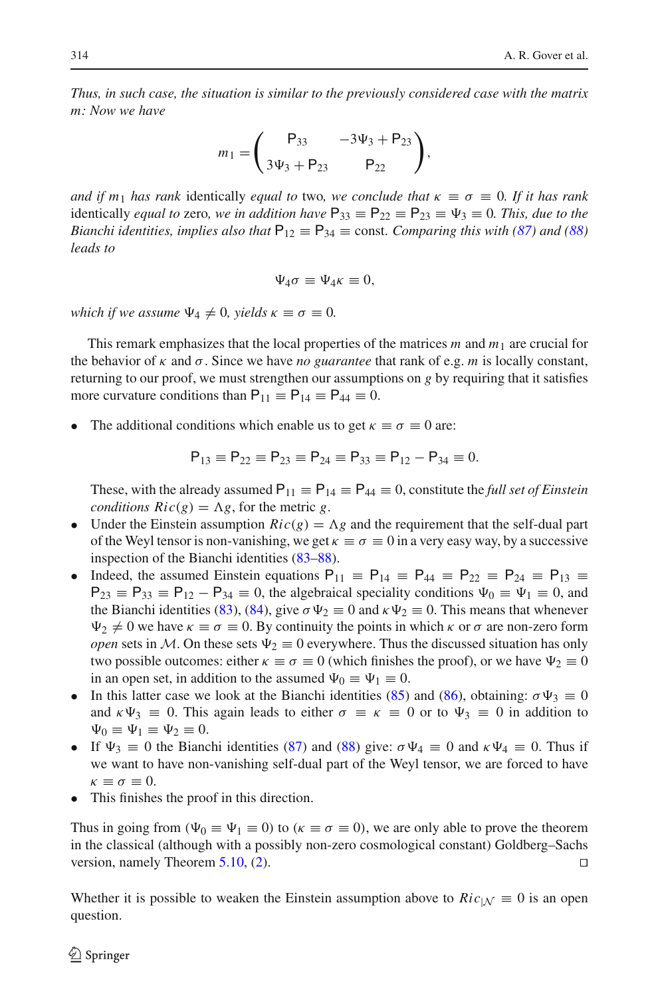*Thus, in such case, the situation is similar to the previously considered case with the matrix m: Now we have*

$$
m_1 = \begin{pmatrix} P_{33} & -3\Psi_3 + P_{23} \\ 3\Psi_3 + P_{23} & P_{22} \end{pmatrix},
$$

*and if m<sub>1</sub> has rank* identically *equal to* two, we conclude that  $\kappa \equiv \sigma \equiv 0$ . If it has rank identically *equal to* zero, we in addition have  $P_{33} \equiv P_{22} \equiv P_{23} \equiv \Psi_3 \equiv 0$ . This, due to the *Bianchi identities, implies also that*  $P_{12} \equiv P_{34} \equiv \text{const.}$  *Comparing this with [\(87\)](#page-43-0) and [\(88\)](#page-43-0) leads to*

$$
\Psi_4 \sigma \equiv \Psi_4 \kappa \equiv 0,
$$

*which if we assume*  $\Psi_4 \neq 0$ *, yields*  $\kappa \equiv \sigma \equiv 0$ *.* 

This remark emphasizes that the local properties of the matrices *m* and *m*<sup>1</sup> are crucial for the behavior of  $\kappa$  and  $\sigma$ . Since we have *no guarantee* that rank of e.g. *m* is locally constant, returning to our proof, we must strengthen our assumptions on *g* by requiring that it satisfies more curvature conditions than  $P_{11} \equiv P_{14} \equiv P_{44} \equiv 0$ .

The additional conditions which enable us to get  $\kappa \equiv \sigma \equiv 0$  are:

$$
\mathsf{P}_{13}\equiv\mathsf{P}_{22}\equiv\mathsf{P}_{23}\equiv\mathsf{P}_{24}\equiv\mathsf{P}_{33}\equiv\mathsf{P}_{12}-\mathsf{P}_{34}\equiv0.
$$

These, with the already assumed  $P_{11} \equiv P_{14} \equiv P_{44} \equiv 0$ , constitute the *full set of Einstein conditions*  $Ric(g) = \Lambda g$ , for the metric *g*.

- Under the Einstein assumption  $Ric(g) = \Lambda g$  and the requirement that the self-dual part of the Weyl tensor is non-vanishing, we get  $\kappa \equiv \sigma \equiv 0$  in a very easy way, by a successive inspection of the Bianchi identities [\(83–88\)](#page-43-0).
- Indeed, the assumed Einstein equations  $P_{11} \equiv P_{14} \equiv P_{44} \equiv P_{22} \equiv P_{24} \equiv P_{13} \equiv$  $P_{23} \equiv P_{33} \equiv P_{12} - P_{34} \equiv 0$ , the algebraical speciality conditions  $\Psi_0 \equiv \Psi_1 \equiv 0$ , and the Bianchi identities [\(83\)](#page-43-0), [\(84\)](#page-43-0), give  $\sigma \Psi_2 \equiv 0$  and  $\kappa \Psi_2 \equiv 0$ . This means that whenever  $\Psi_2 \neq 0$  we have  $\kappa \equiv \sigma \equiv 0$ . By continuity the points in which  $\kappa$  or  $\sigma$  are non-zero form *open* sets in *M*. On these sets  $\Psi_2 \equiv 0$  everywhere. Thus the discussed situation has only two possible outcomes: either  $\kappa \equiv \sigma \equiv 0$  (which finishes the proof), or we have  $\Psi_2 \equiv 0$ in an open set, in addition to the assumed  $\Psi_0 \equiv \Psi_1 \equiv 0$ .
- In this latter case we look at the Bianchi identities [\(85\)](#page-43-0) and [\(86\)](#page-43-0), obtaining:  $\sigma \Psi_3 \equiv 0$ and  $\kappa \Psi_3 \equiv 0$ . This again leads to either  $\sigma \equiv \kappa \equiv 0$  or to  $\Psi_3 \equiv 0$  in addition to  $\Psi_0 \equiv \Psi_1 \equiv \Psi_2 \equiv 0.$
- If  $\Psi_3 \equiv 0$  the Bianchi identities [\(87\)](#page-43-0) and [\(88\)](#page-43-0) give:  $\sigma \Psi_4 \equiv 0$  and  $\kappa \Psi_4 \equiv 0$ . Thus if we want to have non-vanishing self-dual part of the Weyl tensor, we are forced to have  $\kappa \equiv \sigma \equiv 0.$
- This finishes the proof in this direction.

Thus in going from ( $\Psi_0 \equiv \Psi_1 \equiv 0$ ) to ( $\kappa \equiv \sigma \equiv 0$ ), we are only able to prove the theorem in the classical (although with a possibly non-zero cosmological constant) Goldberg–Sachs version, namely Theorem [5.10,](#page-17-0) [\(2\)](#page-8-0).  $\square$ 

Whether it is possible to weaken the Einstein assumption above to  $Ric_{N} \equiv 0$  is an open question.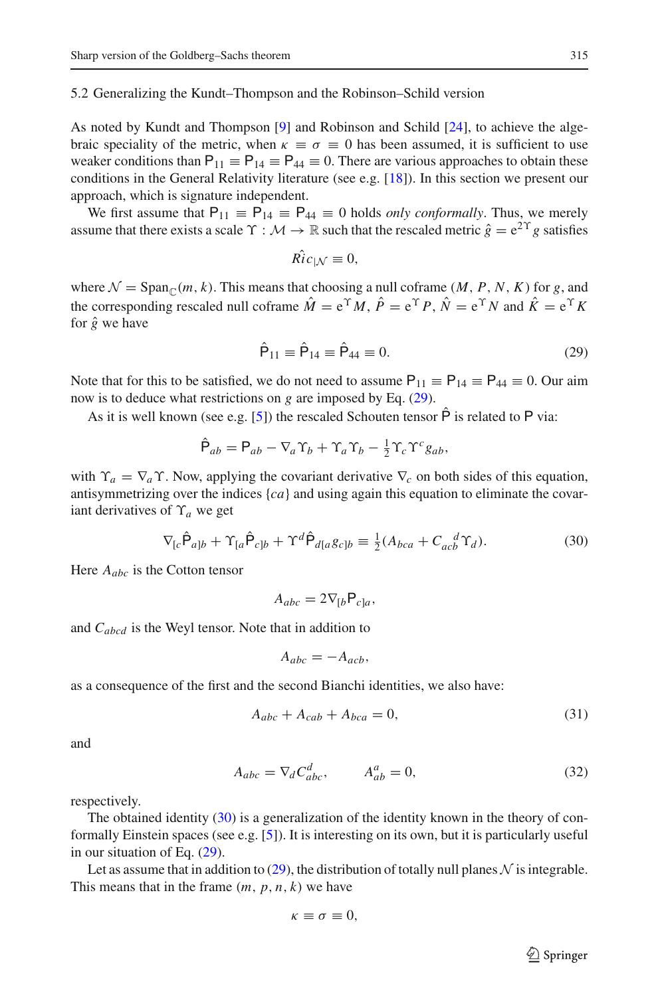#### <span id="page-20-0"></span>5.2 Generalizing the Kundt–Thompson and the Robinson–Schild version

As noted by Kundt and Thompson [\[9](#page-45-11)] and Robinson and Schild [\[24](#page-45-14)], to achieve the algebraic speciality of the metric, when  $\kappa \equiv \sigma \equiv 0$  has been assumed, it is sufficient to use weaker conditions than  $P_{11} \equiv P_{14} \equiv P_{44} \equiv 0$ . There are various approaches to obtain these conditions in the General Relativity literature (see e.g. [\[18](#page-45-12)]). In this section we present our approach, which is signature independent.

We first assume that  $P_{11} \equiv P_{14} \equiv P_{44} \equiv 0$  holds *only conformally*. Thus, we merely assume that there exists a scale  $\Upsilon$  :  $\mathcal{M} \to \mathbb{R}$  such that the rescaled metric  $\hat{g} = e^{2\Upsilon} g$  satisfies

$$
\hat{Ric}_{|{\mathcal{N}}}\equiv 0,
$$

where  $\mathcal{N} = \text{Span}_{\mathcal{C}}(m, k)$ . This means that choosing a null coframe  $(M, P, N, K)$  for *g*, and the corresponding rescaled null coframe  $\hat{M} = e^{\Upsilon} M$ ,  $\hat{P} = e^{\Upsilon} P$ ,  $\hat{N} = e^{\Upsilon} N$  and  $\hat{K} = e^{\Upsilon} K$ for *g*ˆ we have

$$
\hat{\mathsf{P}}_{11} \equiv \hat{\mathsf{P}}_{14} \equiv \hat{\mathsf{P}}_{44} \equiv 0. \tag{29}
$$

<span id="page-20-1"></span>Note that for this to be satisfied, we do not need to assume  $P_{11} \equiv P_{14} \equiv P_{44} \equiv 0$ . Our aim now is to deduce what restrictions on *g* are imposed by Eq. [\(29\)](#page-20-1).

As it is well known (see e.g. [\[5\]](#page-45-10)) the rescaled Schouten tensor  $\hat{P}$  is related to P via:

$$
\hat{\mathsf{P}}_{ab} = \mathsf{P}_{ab} - \nabla_a \Upsilon_b + \Upsilon_a \Upsilon_b - \frac{1}{2} \Upsilon_c \Upsilon^c g_{ab},
$$

with  $\Upsilon_a = \nabla_a \Upsilon$ . Now, applying the covariant derivative  $\nabla_c$  on both sides of this equation, antisymmetrizing over the indices  ${ca}$  and using again this equation to eliminate the covariant derivatives of  $\Upsilon_a$  we get

$$
\nabla_{[c}\hat{\mathsf{P}}_{a]b} + \Upsilon_{[a}\hat{\mathsf{P}}_{c]b} + \Upsilon^d \hat{\mathsf{P}}_{d[a}g_{c]b} \equiv \frac{1}{2}(A_{bca} + C_{acb}^d \Upsilon_d). \tag{30}
$$

<span id="page-20-2"></span>Here *Aabc* is the Cotton tensor

$$
A_{abc} = 2\nabla_{[b} \mathsf{P}_{c]a},
$$

and *Cabcd* is the Weyl tensor. Note that in addition to

$$
A_{abc} = -A_{acb},
$$

<span id="page-20-4"></span>as a consequence of the first and the second Bianchi identities, we also have:

$$
A_{abc} + A_{cab} + A_{bca} = 0,\t\t(31)
$$

<span id="page-20-3"></span>and

$$
A_{abc} = \nabla_d C_{abc}^d, \qquad A_{ab}^a = 0,
$$
\n(32)

respectively.

The obtained identity [\(30\)](#page-20-2) is a generalization of the identity known in the theory of conformally Einstein spaces (see e.g. [\[5\]](#page-45-10)). It is interesting on its own, but it is particularly useful in our situation of Eq. [\(29\)](#page-20-1).

Let as assume that in addition to [\(29\)](#page-20-1), the distribution of totally null planes  $\mathcal N$  is integrable. This means that in the frame  $(m, p, n, k)$  we have

$$
\kappa \equiv \sigma \equiv 0,
$$

 $\circled{2}$  Springer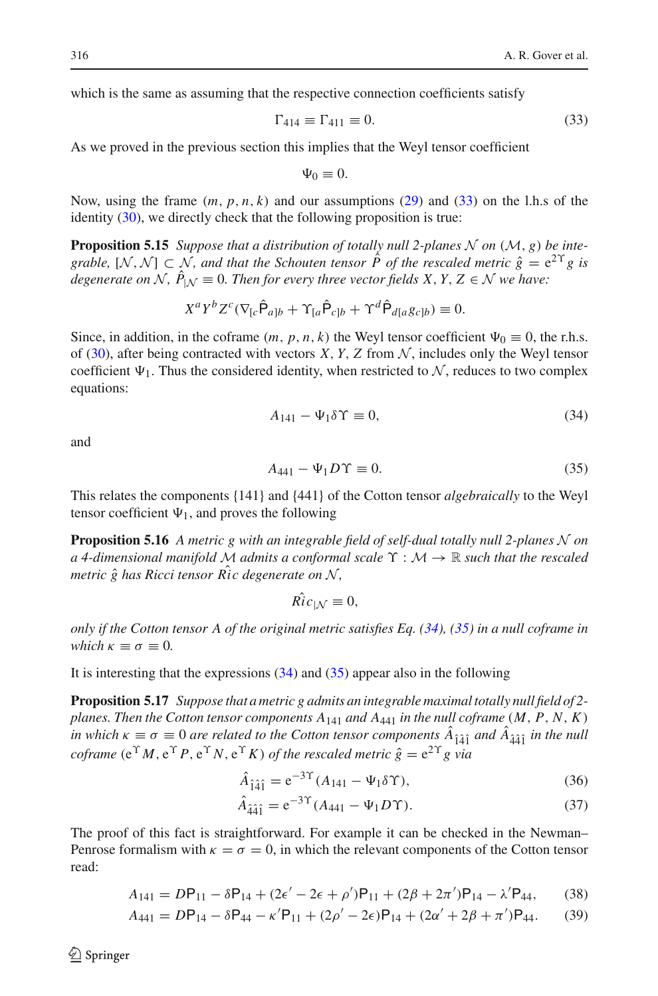<span id="page-21-0"></span>which is the same as assuming that the respective connection coefficients satisfy

$$
\Gamma_{414} \equiv \Gamma_{411} \equiv 0. \tag{33}
$$

As we proved in the previous section this implies that the Weyl tensor coefficient

$$
\Psi_0\equiv 0.
$$

Now, using the frame  $(m, p, n, k)$  and our assumptions [\(29\)](#page-20-1) and [\(33\)](#page-21-0) on the l.h.s of the identity [\(30\)](#page-20-2), we directly check that the following proposition is true:

**Proposition 5.15** *Suppose that a distribution of totally null 2-planes*  $\mathcal N$  *on*  $(\mathcal M, g)$  *be integrable,*  $[N, N] \subset N$ , and that the Schouten tensor  $\hat{P}$  of the rescaled metric  $\hat{g} = e^{2\Upsilon} g$  is  $degenerate on N$ ,  $\hat{P}_{|N} \equiv 0$ . Then for every three vector fields  $X, Y, Z \in \mathcal{N}$  we have:

$$
X^a Y^b Z^c (\nabla_{[c} \hat{P}_{a]b} + \Upsilon_{[a} \hat{P}_{c]b} + \Upsilon^d \hat{P}_{d[a} g_{c]b}) \equiv 0.
$$

Since, in addition, in the coframe  $(m, p, n, k)$  the Weyl tensor coefficient  $\Psi_0 \equiv 0$ , the r.h.s. of [\(30\)](#page-20-2), after being contracted with vectors *X*, *Y*, *Z* from  $\mathcal{N}$ , includes only the Weyl tensor coefficient  $\Psi_1$ . Thus the considered identity, when restricted to  $N$ , reduces to two complex equations:

$$
A_{141} - \Psi_1 \delta \Upsilon \equiv 0,\tag{34}
$$

<span id="page-21-2"></span><span id="page-21-1"></span>and

<span id="page-21-3"></span>
$$
A_{441} - \Psi_1 D \Upsilon \equiv 0. \tag{35}
$$

This relates the components {141} and {441} of the Cotton tensor *algebraically* to the Weyl tensor coefficient  $\Psi_1$ , and proves the following

**Proposition 5.16** *A metric g with an integrable field of self-dual totally null 2-planes N on a 4-dimensional manifold <sup>M</sup> admits a conformal scale* <sup>ϒ</sup> : *<sup>M</sup>* <sup>→</sup> <sup>R</sup> *such that the rescaled metric*  $\hat{g}$  has Ricci tensor Ric degenerate on  $\mathcal{N}$ ,

<span id="page-21-4"></span>
$$
\hat{Ric}_{|{\mathcal{N}}}\equiv 0,
$$

*only if the Cotton tensor A of the original metric satisfies Eq. [\(34\)](#page-21-1), [\(35\)](#page-21-2) in a null coframe in which*  $\kappa \equiv \sigma \equiv 0$ .

It is interesting that the expressions  $(34)$  and  $(35)$  appear also in the following

**Proposition 5.17** *Suppose that a metric g admits an integrable maximal totally null field of 2 planes. Then the Cotton tensor components*  $A_{141}$  *and*  $A_{441}$  *in the null coframe* (*M*, *P*, *N*, *K*) *in which*  $\kappa \equiv \sigma \equiv 0$  *are related to the Cotton tensor components*  $\hat{A}_{\hat{1}4\hat{1}}$  *and*  $\hat{A}_{\hat{4}4\hat{1}}$  *in the null coframe*  $(e^{T}M, e^{T}P, e^{T}N, e^{T}K)$  *of the rescaled metric*  $\hat{g} = e^{2T}g$  *via* 

$$
\hat{A}_{\hat{1}\hat{4}\hat{1}} = e^{-3\Upsilon} (A_{141} - \Psi_1 \delta \Upsilon), \tag{36}
$$

$$
\hat{A}_{\hat{4}\hat{4}\hat{1}} = e^{-3\Upsilon} (A_{441} - \Psi_1 D\Upsilon). \tag{37}
$$

<span id="page-21-6"></span>The proof of this fact is straightforward. For example it can be checked in the Newman– Penrose formalism with  $\kappa = \sigma = 0$ , in which the relevant components of the Cotton tensor read:

$$
A_{141} = DP_{11} - \delta P_{14} + (2\epsilon' - 2\epsilon + \rho')P_{11} + (2\beta + 2\pi')P_{14} - \lambda'P_{44},
$$
 (38)

$$
A_{441} = DP_{14} - \delta P_{44} - \kappa' P_{11} + (2\rho' - 2\epsilon)P_{14} + (2\alpha' + 2\beta + \pi')P_{44}.
$$
 (39)

<span id="page-21-5"></span> $\mathcal{L}$  Springer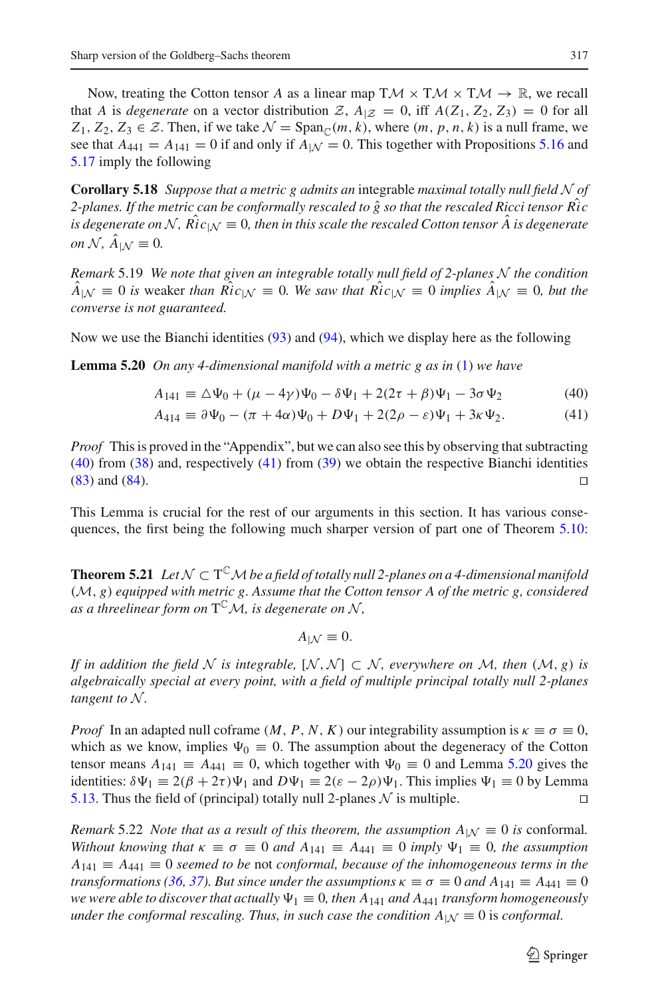Now, treating the Cotton tensor *A* as a linear map  $T\mathcal{M} \times T\mathcal{M} \times T\mathcal{M} \to \mathbb{R}$ , we recall that *A* is *degenerate* on a vector distribution *Z*,  $A_{Z} = 0$ , iff  $A(Z_1, Z_2, Z_3) = 0$  for all *Z*<sub>1</sub>, *Z*<sub>2</sub>, *Z*<sub>3</sub> ∈ *Z*. Then, if we take  $N = \text{Span}_{\Gamma}(m, k)$ , where  $(m, p, n, k)$  is a null frame, we see that  $A_{441} = A_{141} = 0$  if and only if  $A_{1N} = 0$ . This together with Propositions [5.16](#page-21-3) and [5.17](#page-21-4) imply the following

**Corollary 5.18** *Suppose that a metric g admits an* integrable *maximal totally null field N of 2-planes. If the metric can be conformally rescaled to*  $\hat{g}$  so that the rescaled Ricci tensor Ric *is degenerate on*  $N$ ,  $\hat{Ric}_{|N} \equiv 0$ , then in this scale the rescaled Cotton tensor  $\hat{A}$  is degenerate *on*  $N$ ,  $\hat{A}_{N} \equiv 0$ .

*Remark* 5.19 *We note that given an integrable totally null field of 2-planes N the condition*  $\hat{A}_{N} \equiv 0$  *is* weaker *than*  $\hat{Ric}_{N} \equiv 0$ *. We saw that*  $\hat{Ric}_{N} \equiv 0$  *implies*  $\hat{A}_{N} \equiv 0$ *, but the converse is not guaranteed.*

Now we use the Bianchi identities [\(93\)](#page-44-0) and [\(94\)](#page-44-0), which we display here as the following

<span id="page-22-1"></span>**Lemma 5.20** *On any 4-dimensional manifold with a metric g as in* [\(1\)](#page-7-2) *we have*

<span id="page-22-2"></span>
$$
A_{141} \equiv \Delta \Psi_0 + (\mu - 4\gamma)\Psi_0 - \delta \Psi_1 + 2(2\tau + \beta)\Psi_1 - 3\sigma \Psi_2 \tag{40}
$$

$$
A_{414} \equiv \partial \Psi_0 - (\pi + 4\alpha)\Psi_0 + D\Psi_1 + 2(2\rho - \varepsilon)\Psi_1 + 3\kappa\Psi_2. \tag{41}
$$

*Proof* This is proved in the "Appendix", but we can also see this by observing that subtracting [\(40\)](#page-22-1) from [\(38\)](#page-21-5) and, respectively [\(41\)](#page-22-1) from [\(39\)](#page-21-5) we obtain the respective Bianchi identities [\(83\)](#page-43-0) and [\(84\)](#page-43-0).

This Lemma is crucial for the rest of our arguments in this section. It has various consequences, the first being the following much sharper version of part one of Theorem [5.10:](#page-17-0)

<span id="page-22-0"></span>**Theorem 5.21** *Let*  $N$  ⊂  $T^CM$  *be a field of totally null 2-planes on a 4-dimensional manifold* (*M*, *g*) *equipped with metric g. Assume that the Cotton tensor A of the metric g, considered as a threelinear form on*  $T^{\mathbb{C}}\mathcal{M}$ *, is degenerate on*  $\mathcal{N}$ *,* 

$$
A_{|\mathcal{N}}\equiv 0.
$$

*If in addition the field*  $\mathcal N$  *is integrable,*  $[\mathcal N, \mathcal N] \subset \mathcal N$ *, everywhere on*  $\mathcal M$ *, then*  $(\mathcal M, g)$  *is algebraically special at every point, with a field of multiple principal totally null 2-planes tangent to N .*

*Proof* In an adapted null coframe  $(M, P, N, K)$  our integrability assumption is  $\kappa \equiv \sigma \equiv 0$ , which as we know, implies  $\Psi_0 \equiv 0$ . The assumption about the degeneracy of the Cotton tensor means  $A_{141} \equiv A_{441} \equiv 0$ , which together with  $\Psi_0 \equiv 0$  and Lemma [5.20](#page-22-2) gives the identities:  $\delta \Psi_1 \equiv 2(\beta + 2\tau)\Psi_1$  and  $D\Psi_1 \equiv 2(\epsilon - 2\rho)\Psi_1$ . This implies  $\Psi_1 \equiv 0$  by Lemma [5.13.](#page-17-3) Thus the field of (principal) totally null 2-planes  $\mathcal N$  is multiple.

*Remark* 5.22 *Note that as a result of this theorem, the assumption*  $A_{|N} \equiv 0$  *is* conformal. *Without knowing that*  $\kappa \equiv \sigma \equiv 0$  *and*  $A_{141} \equiv A_{441} \equiv 0$  *imply*  $\Psi_1 \equiv 0$ *, the assumption*  $A_{141} \equiv A_{441} \equiv 0$  *seemed to be* not *conformal, because of the inhomogeneous terms in the transformations [\(36,](#page-21-6) [37\)](#page-21-6). But since under the assumptions*  $\kappa \equiv \sigma \equiv 0$  *and*  $A_{141} \equiv A_{441} \equiv 0$ *we were able to discover that actually*  $\Psi_1 \equiv 0$ *, then A*<sub>141</sub> *and A*<sub>441</sub> *transform homogeneously under the conformal rescaling. Thus, in such case the condition*  $A_N \equiv 0$  is *conformal.*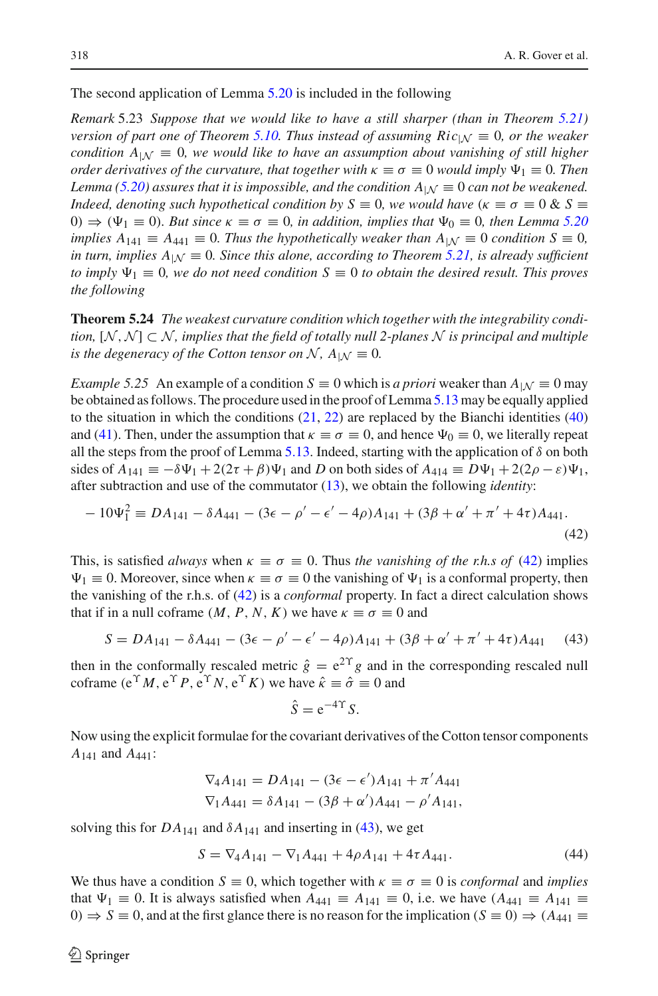<span id="page-23-2"></span>The second application of Lemma [5.20](#page-22-2) is included in the following

*Remark* 5.23 *Suppose that we would like to have a still sharper (than in Theorem [5.21\)](#page-22-0) version of part one of Theorem [5.10.](#page-17-0) Thus instead of assuming*  $Ric_{N} \equiv 0$ *, or the weaker condition*  $A_{|N} \equiv 0$ *, we would like to have an assumption about vanishing of still higher order derivatives of the curvature, that together with*  $\kappa \equiv \sigma \equiv 0$  *would imply*  $\Psi_1 \equiv 0$ *. Then Lemma* [\(5.20\)](#page-22-2) *assures that it is impossible, and the condition*  $A_{1N} \equiv 0$  *can not be weakened. Indeed, denoting such hypothetical condition by S*  $\equiv$  0*, we would have* ( $\kappa \equiv \sigma \equiv 0 \& S \equiv$  $(0) \Rightarrow (\Psi_1 \equiv 0)$ *. But since*  $\kappa \equiv \sigma \equiv 0$ *, in addition, implies that*  $\Psi_0 \equiv 0$ *, then Lemma* [5.20](#page-22-2) *implies*  $A_{141} \equiv A_{441} \equiv 0$ *. Thus the hypothetically weaker than*  $A_{1N} \equiv 0$  *condition*  $S \equiv 0$ *, in turn, implies*  $A_{\downarrow} \equiv 0$ *. Since this alone, according to Theorem [5.21,](#page-22-0) is already sufficient to imply*  $\Psi_1 \equiv 0$ *, we do not need condition*  $S \equiv 0$  *to obtain the desired result. This proves the following*

<span id="page-23-5"></span>**Theorem 5.24** *The weakest curvature condition which together with the integrability condition,*  $[N, N] \subset N$ *, implies that the field of totally null 2-planes*  $N$  *is principal and multiple is the degeneracy of the Cotton tensor on*  $\mathcal{N}$ ,  $A_{|\mathcal{N}} \equiv 0$ *.* 

<span id="page-23-4"></span>*Example 5.25* An example of a condition  $S \equiv 0$  which is *a priori* weaker than  $A_{1N} \equiv 0$  may be obtained as follows. The procedure used in the proof of Lemma [5.13](#page-17-3)may be equally applied to the situation in which the conditions  $(21, 22)$  $(21, 22)$  $(21, 22)$  are replaced by the Bianchi identities  $(40)$ and [\(41\)](#page-22-1). Then, under the assumption that  $\kappa \equiv \sigma \equiv 0$ , and hence  $\Psi_0 \equiv 0$ , we literally repeat all the steps from the proof of Lemma [5.13.](#page-17-3) Indeed, starting with the application of  $\delta$  on both sides of  $A_{141} \equiv -\delta \Psi_1 + 2(2\tau + \beta)\Psi_1$  and *D* on both sides of  $A_{414} \equiv D\Psi_1 + 2(2\rho - \varepsilon)\Psi_1$ , after subtraction and use of the commutator [\(13\)](#page-12-0), we obtain the following *identity*:

$$
-10\Psi_1^2 \equiv DA_{141} - \delta A_{441} - (3\epsilon - \rho' - \epsilon' - 4\rho)A_{141} + (3\beta + \alpha' + \pi' + 4\tau)A_{441}.
$$
\n(42)

<span id="page-23-0"></span>This, is satisfied *always* when  $\kappa \equiv \sigma \equiv 0$ . Thus *the vanishing of the r.h.s of* [\(42\)](#page-23-0) implies  $\Psi_1 \equiv 0$ . Moreover, since when  $\kappa \equiv \sigma \equiv 0$  the vanishing of  $\Psi_1$  is a conformal property, then the vanishing of the r.h.s. of [\(42\)](#page-23-0) is a *conformal* property. In fact a direct calculation shows that if in a null coframe  $(M, P, N, K)$  we have  $\kappa \equiv \sigma \equiv 0$  and

$$
S = DA_{141} - \delta A_{441} - (3\epsilon - \rho' - \epsilon' - 4\rho)A_{141} + (3\beta + \alpha' + \pi' + 4\tau)A_{441}
$$
 (43)

<span id="page-23-1"></span>then in the conformally rescaled metric  $\hat{g} = e^{2\Upsilon}g$  and in the corresponding rescaled null coframe ( $e^{T} M$ ,  $e^{T} P$ ,  $e^{T} N$ ,  $e^{T} K$ ) we have  $\hat{\kappa} \equiv \hat{\sigma} \equiv 0$  and

$$
\hat{S} = e^{-4\Upsilon} S.
$$

Now using the explicit formulae for the covariant derivatives of the Cotton tensor components *A*<sup>141</sup> and *A*441:

$$
\nabla_4 A_{141} = DA_{141} - (3\epsilon - \epsilon')A_{141} + \pi' A_{441}
$$
  

$$
\nabla_1 A_{441} = \delta A_{141} - (3\beta + \alpha')A_{441} - \rho' A_{141},
$$

<span id="page-23-3"></span>solving this for  $DA_{141}$  and  $\delta A_{141}$  and inserting in [\(43\)](#page-23-1), we get

$$
S = \nabla_4 A_{141} - \nabla_1 A_{441} + 4\rho A_{141} + 4\tau A_{441}.
$$
 (44)

We thus have a condition  $S \equiv 0$ , which together with  $\kappa \equiv \sigma \equiv 0$  is *conformal* and *implies* that  $\Psi_1 \equiv 0$ . It is always satisfied when  $A_{441} \equiv A_{141} \equiv 0$ , i.e. we have  $(A_{441} \equiv A_{141} \equiv A_{141})$  $0 \Rightarrow S \equiv 0$ , and at the first glance there is no reason for the implication ( $S \equiv 0 \Rightarrow (A_{441} \equiv$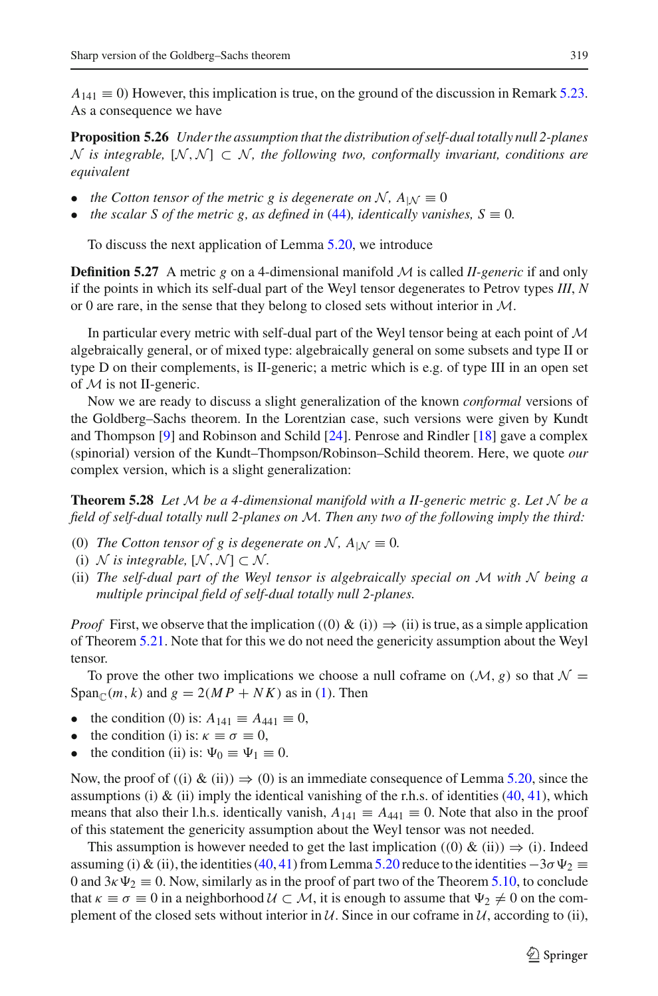$A_{141} \equiv 0$ ) However, this implication is true, on the ground of the discussion in Remark [5.23.](#page-23-2) As a consequence we have

**Proposition 5.26** *Under the assumption that the distribution of self-dual totally null 2-planes <sup>N</sup> is integrable,* [*<sup>N</sup>* , *<sup>N</sup>* ] ⊂ *<sup>N</sup> , the following two, conformally invariant, conditions are equivalent*

- *the Cotton tensor of the metric g is degenerate on*  $N$ ,  $A_{1N} \equiv 0$
- *the scalar S of the metric g, as defined in* [\(44\)](#page-23-3), *identically vanishes,*  $S \equiv 0$ *.*

To discuss the next application of Lemma [5.20,](#page-22-2) we introduce

**Definition 5.27** A metric *g* on a 4-dimensional manifold  $M$  is called *II-generic* if and only if the points in which its self-dual part of the Weyl tensor degenerates to Petrov types *III*, *N* or 0 are rare, in the sense that they belong to closed sets without interior in *M*.

In particular every metric with self-dual part of the Weyl tensor being at each point of *M* algebraically general, or of mixed type: algebraically general on some subsets and type II or type D on their complements, is II-generic; a metric which is e.g. of type III in an open set of *M* is not II-generic.

Now we are ready to discuss a slight generalization of the known *conformal* versions of the Goldberg–Sachs theorem. In the Lorentzian case, such versions were given by Kundt and Thompson [\[9\]](#page-45-11) and Robinson and Schild [\[24](#page-45-14)]. Penrose and Rindler [\[18\]](#page-45-12) gave a complex (spinorial) version of the Kundt–Thompson/Robinson–Schild theorem. Here, we quote *our* complex version, which is a slight generalization:

<span id="page-24-0"></span>**Theorem 5.28** *Let M be a 4-dimensional manifold with a II-generic metric g. Let N be a field of self-dual totally null 2-planes on M. Then any two of the following imply the third:*

- (0) *The Cotton tensor of g is degenerate on*  $N$ ,  $A_N \equiv 0$ .
- (i) *N* is integrable,  $[N, N] \subset N$ .
- (ii) *The self-dual part of the Weyl tensor is algebraically special on M with N being a multiple principal field of self-dual totally null 2-planes.*

*Proof* First, we observe that the implication  $((0) \& (i)) \Rightarrow (ii)$  is true, as a simple application of Theorem [5.21.](#page-22-0) Note that for this we do not need the genericity assumption about the Weyl tensor.

To prove the other two implications we choose a null coframe on  $(M, g)$  so that  $\mathcal{N} =$ Span<sub>C</sub> $(m, k)$  and  $g = 2(MP + NK)$  as in [\(1\)](#page-7-2). Then

- the condition (0) is:  $A_{141} \equiv A_{441} \equiv 0$ ,
- the condition (i) is:  $\kappa \equiv \sigma \equiv 0$ ,
- the condition (ii) is:  $\Psi_0 \equiv \Psi_1 \equiv 0$ .

Now, the proof of ((i)  $\&$  (ii))  $\Rightarrow$  (0) is an immediate consequence of Lemma [5.20,](#page-22-2) since the assumptions (i)  $\&$  (ii) imply the identical vanishing of the r.h.s. of identities [\(40,](#page-22-1) [41\)](#page-22-1), which means that also their l.h.s. identically vanish,  $A_{141} \equiv A_{441} \equiv 0$ . Note that also in the proof of this statement the genericity assumption about the Weyl tensor was not needed.

This assumption is however needed to get the last implication ((0) & (ii))  $\Rightarrow$  (i). Indeed assuming (i) & (ii), the identities [\(40,](#page-22-1) [41\)](#page-22-1) from Lemma [5.20](#page-22-2) reduce to the identities  $-3\sigma \Psi_2 \equiv$ 0 and  $3\kappa\Psi_2 \equiv 0$ . Now, similarly as in the proof of part two of the Theorem [5.10,](#page-17-0) to conclude that  $\kappa \equiv \sigma \equiv 0$  in a neighborhood  $\mathcal{U} \subset \mathcal{M}$ , it is enough to assume that  $\Psi_2 \neq 0$  on the complement of the closed sets without interior in  $U$ . Since in our coframe in  $U$ , according to (ii),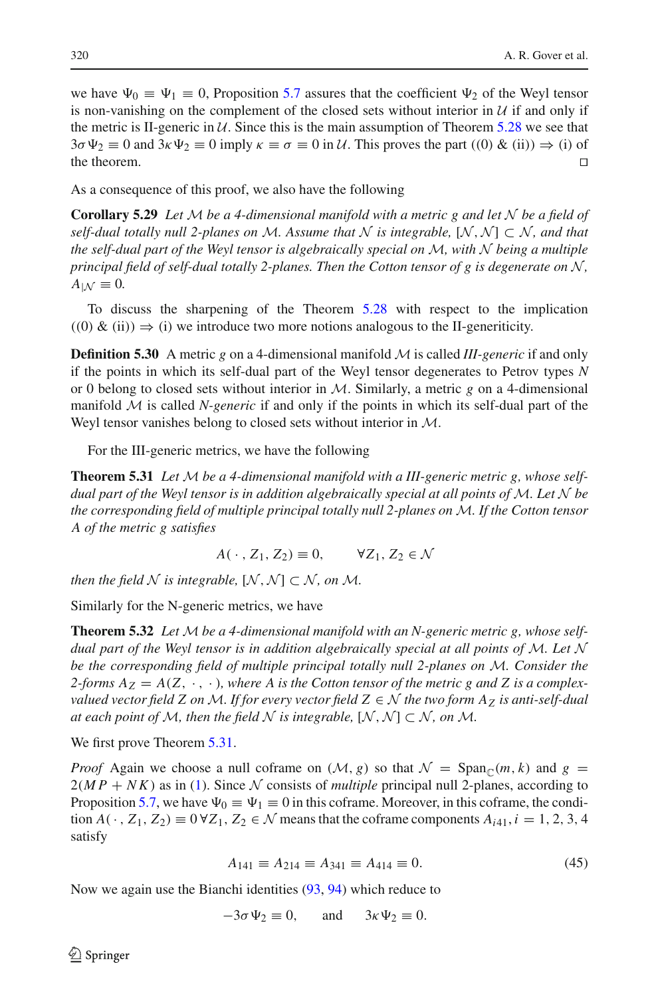we have  $\Psi_0 \equiv \Psi_1 \equiv 0$ , Proposition [5.7](#page-15-2) assures that the coefficient  $\Psi_2$  of the Weyl tensor is non-vanishing on the complement of the closed sets without interior in  $U$  if and only if the metric is II-generic in  $U$ . Since this is the main assumption of Theorem [5.28](#page-24-0) we see that  $3\sigma \Psi_2 \equiv 0$  and  $3\kappa \Psi_2 \equiv 0$  imply  $\kappa \equiv \sigma \equiv 0$  in *U*. This proves the part ((0) & (ii))  $\Rightarrow$  (i) of the theorem. the theorem.

<span id="page-25-3"></span>As a consequence of this proof, we also have the following

**Corollary 5.29** *Let M be a 4-dimensional manifold with a metric g and let N be a field of self-dual totally null 2-planes on M. Assume that*  $\mathcal N$  *is integrable,*  $[\mathcal N, \mathcal N] \subset \mathcal N$ *, and that the self-dual part of the Weyl tensor is algebraically special on M, with N being a multiple principal field of self-dual totally 2-planes. Then the Cotton tensor of g is degenerate on*  $N$ ,  $A_{|N} \equiv 0$ .

To discuss the sharpening of the Theorem [5.28](#page-24-0) with respect to the implication  $((0) \& (ii)) \Rightarrow (i)$  we introduce two more notions analogous to the II-generiticity.

**Definition 5.30** A metric *g* on a 4-dimensional manifold  $M$  is called *III-generic* if and only if the points in which its self-dual part of the Weyl tensor degenerates to Petrov types *N* or 0 belong to closed sets without interior in *M*. Similarly, a metric *g* on a 4-dimensional manifold *M* is called *N-generic* if and only if the points in which its self-dual part of the Weyl tensor vanishes belong to closed sets without interior in *M*.

For the III-generic metrics, we have the following

**Theorem 5.31** *Let M be a 4-dimensional manifold with a III-generic metric g, whose selfdual part of the Weyl tensor is in addition algebraically special at all points of M. Let N be the corresponding field of multiple principal totally null 2-planes on M. If the Cotton tensor A of the metric g satisfies*

<span id="page-25-1"></span><span id="page-25-0"></span> $A(\cdot, Z_1, Z_2) \equiv 0, \quad \forall Z_1, Z_2 \in \mathcal{N}$ 

*then the field*  $N$  *is integrable,*  $[N, N] \subset N$ *, on*  $M$ *.* 

Similarly for the N-generic metrics, we have

**Theorem 5.32** *Let M be a 4-dimensional manifold with an N-generic metric g, whose selfdual part of the Weyl tensor is in addition algebraically special at all points of M. Let N be the corresponding field of multiple principal totally null 2-planes on M. Consider the* 2-forms  $A_Z = A(Z, \cdot, \cdot)$ , where A is the Cotton tensor of the metric g and Z is a complex*valued vector field Z on M. If for every vector field Z*  $\in$  *N the two form A<sub>Z</sub> is anti-self-dual at each point of*  $M$ *, then the field*  $N$  *is integrable,*  $[N, N] \subset N$ *, on*  $M$ *.* 

We first prove Theorem [5.31.](#page-25-0)

*Proof* Again we choose a null coframe on  $(M, g)$  so that  $\mathcal{N} = \text{Span}_{\mathbb{C}}(m, k)$  and  $g =$  $2(MP + NK)$  as in [\(1\)](#page-7-2). Since N consists of *multiple* principal null 2-planes, according to Proposition [5.7,](#page-15-2) we have  $\Psi_0 \equiv \Psi_1 \equiv 0$  in this coframe. Moreover, in this coframe, the condition  $A(\cdot, Z_1, Z_2) \equiv 0 \forall Z_1, Z_2 \in \mathcal{N}$  means that the coframe components  $A_{i41}$ ,  $i = 1, 2, 3, 4$ satisfy

$$
A_{141} \equiv A_{214} \equiv A_{341} \equiv A_{414} \equiv 0. \tag{45}
$$

<span id="page-25-2"></span>Now we again use the Bianchi identities [\(93,](#page-44-0) [94\)](#page-44-0) which reduce to

 $-3\sigma \Psi_2 \equiv 0$ , and  $3\kappa \Psi_2 \equiv 0$ .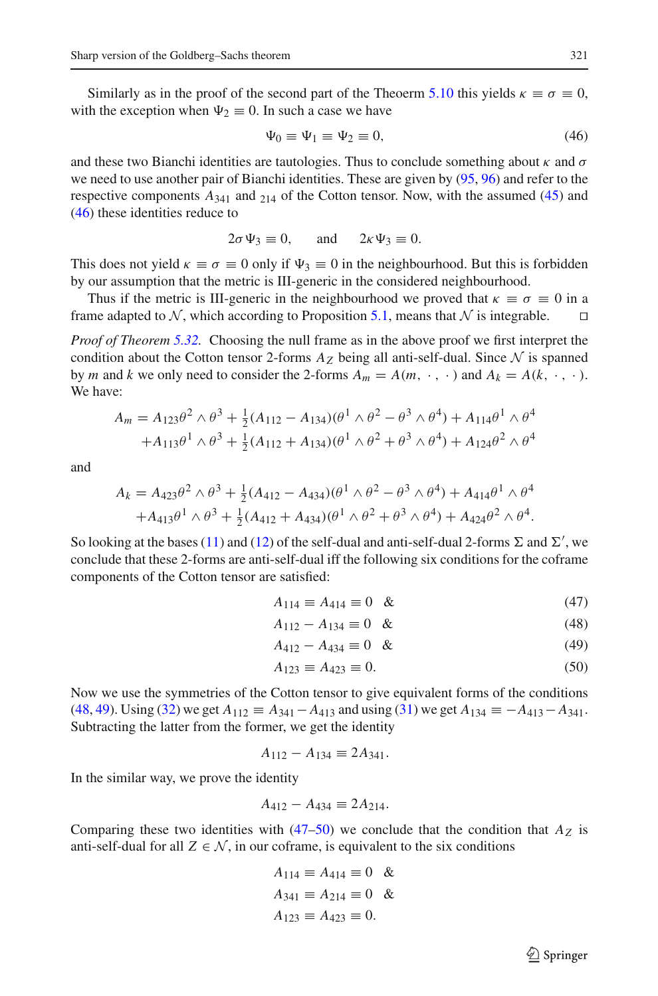Similarly as in the proof of the second part of the Theoerm [5.10](#page-17-0) this yields  $\kappa \equiv \sigma \equiv 0$ , with the exception when  $\Psi_2 \equiv 0$ . In such a case we have

$$
\Psi_0 \equiv \Psi_1 \equiv \Psi_2 \equiv 0,\tag{46}
$$

<span id="page-26-0"></span>and these two Bianchi identities are tautologies. Thus to conclude something about  $\kappa$  and  $\sigma$ we need to use another pair of Bianchi identities. These are given by [\(95,](#page-44-0) [96\)](#page-44-0) and refer to the respective components  $A_{341}$  and  $_{214}$  of the Cotton tensor. Now, with the assumed [\(45\)](#page-25-2) and [\(46\)](#page-26-0) these identities reduce to

$$
2\sigma \Psi_3 \equiv 0
$$
, and  $2\kappa \Psi_3 \equiv 0$ .

This does not yield  $\kappa \equiv \sigma \equiv 0$  only if  $\Psi_3 \equiv 0$  in the neighbourhood. But this is forbidden by our assumption that the metric is III-generic in the considered neighbourhood.

Thus if the metric is III-generic in the neighbourhood we proved that  $\kappa \equiv \sigma \equiv 0$  in a frame adapted to  $N$ , which according to Proposition [5.1,](#page-13-2) means that  $N$  is integrable.  $\square$ 

*Proof of Theorem [5.32.](#page-25-1)* Choosing the null frame as in the above proof we first interpret the condition about the Cotton tensor 2-forms  $A_Z$  being all anti-self-dual. Since  $N$  is spanned by *m* and *k* we only need to consider the 2-forms  $A_m = A(m, \dots, \dots)$  and  $A_k = A(k, \dots, \dots)$ . We have:

$$
A_m = A_{123}\theta^2 \wedge \theta^3 + \frac{1}{2}(A_{112} - A_{134})(\theta^1 \wedge \theta^2 - \theta^3 \wedge \theta^4) + A_{114}\theta^1 \wedge \theta^4
$$
  
+ 
$$
A_{113}\theta^1 \wedge \theta^3 + \frac{1}{2}(A_{112} + A_{134})(\theta^1 \wedge \theta^2 + \theta^3 \wedge \theta^4) + A_{124}\theta^2 \wedge \theta^4
$$

and

$$
A_k = A_{423}\theta^2 \wedge \theta^3 + \frac{1}{2}(A_{412} - A_{434})(\theta^1 \wedge \theta^2 - \theta^3 \wedge \theta^4) + A_{414}\theta^1 \wedge \theta^4
$$
  
+ 
$$
A_{413}\theta^1 \wedge \theta^3 + \frac{1}{2}(A_{412} + A_{434})(\theta^1 \wedge \theta^2 + \theta^3 \wedge \theta^4) + A_{424}\theta^2 \wedge \theta^4.
$$

<span id="page-26-1"></span>So looking at the bases [\(11\)](#page-11-2) and [\(12\)](#page-11-3) of the self-dual and anti-self-dual 2-forms  $\Sigma$  and  $\Sigma'$ , we conclude that these 2-forms are anti-self-dual iff the following six conditions for the coframe components of the Cotton tensor are satisfied:

$$
A_{114} \equiv A_{414} \equiv 0 \& (47)
$$

$$
A_{112} - A_{134} \equiv 0 \&\tag{48}
$$

$$
A_{412} - A_{434} \equiv 0 \& (49)
$$

$$
A_{123} \equiv A_{423} \equiv 0. \tag{50}
$$

Now we use the symmetries of the Cotton tensor to give equivalent forms of the conditions  $(48, 49)$  $(48, 49)$  $(48, 49)$ . Using  $(32)$  we get  $A_{112} \equiv A_{341} - A_{413}$  and using  $(31)$  we get  $A_{134} \equiv -A_{413} - A_{341}$ . Subtracting the latter from the former, we get the identity

$$
A_{112} - A_{134} \equiv 2A_{341}.
$$

In the similar way, we prove the identity

$$
A_{412} - A_{434} \equiv 2A_{214}.
$$

Comparing these two identities with  $(47–50)$  we conclude that the condition that  $A<sub>Z</sub>$  is anti-self-dual for all  $Z \in \mathcal{N}$ , in our coframe, is equivalent to the six conditions

$$
A_{114} \equiv A_{414} \equiv 0 \& A_{341} \equiv A_{214} \equiv 0 \& A_{123} \equiv A_{423} \equiv 0.
$$

 $\circled{2}$  Springer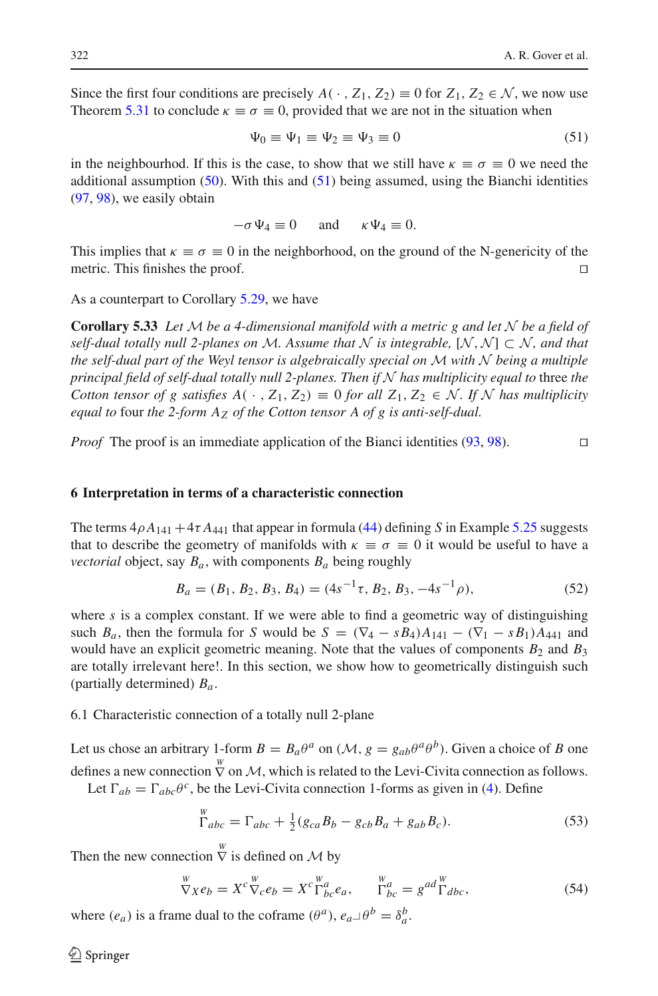Since the first four conditions are precisely  $A(\cdot, Z_1, Z_2) \equiv 0$  for  $Z_1, Z_2 \in \mathcal{N}$ , we now use Theorem [5.31](#page-25-0) to conclude  $\kappa \equiv \sigma \equiv 0$ , provided that we are not in the situation when

$$
\Psi_0 \equiv \Psi_1 \equiv \Psi_2 \equiv \Psi_3 \equiv 0 \tag{51}
$$

<span id="page-27-2"></span>in the neighbourhod. If this is the case, to show that we still have  $\kappa \equiv \sigma \equiv 0$  we need the additional assumption  $(50)$ . With this and  $(51)$  being assumed, using the Bianchi identities [\(97,](#page-44-0) [98\)](#page-44-0), we easily obtain

$$
-\sigma \Psi_4 \equiv 0 \quad \text{and} \quad \kappa \Psi_4 \equiv 0.
$$

This implies that  $\kappa \equiv \sigma \equiv 0$  in the neighborhood, on the ground of the N-genericity of the metric. This finishes the proof.

As a counterpart to Corollary [5.29,](#page-25-3) we have

**Corollary 5.33** *Let M be a 4-dimensional manifold with a metric g and let N be a field of self-dual totally null 2-planes on M. Assume that*  $\mathcal N$  *is integrable,*  $[\mathcal N, \mathcal N] \subset \mathcal N$ *, and that the self-dual part of the Weyl tensor is algebraically special on M with N being a multiple principal field of self-dual totally null 2-planes. Then if N has multiplicity equal to* three *the Cotton tensor of g satisfies*  $A(\cdot, Z_1, Z_2) \equiv 0$  *for all*  $Z_1, Z_2 \in \mathcal{N}$ . If  $\mathcal{N}$  has multiplicity *equal to* four *the 2-form AZ of the Cotton tensor A of g is anti-self-dual.*

*Proof* The proof is an immediate application of the Bianci identities [\(93,](#page-44-0) [98\)](#page-44-0). □

## <span id="page-27-0"></span>**6 Interpretation in terms of a characteristic connection**

The terms  $4\rho A_{141} + 4\tau A_{441}$  that appear in formula [\(44\)](#page-23-3) defining *S* in Example [5.25](#page-23-4) suggests that to describe the geometry of manifolds with  $\kappa \equiv \sigma \equiv 0$  it would be useful to have a *vectorial* object, say  $B_a$ , with components  $B_a$  being roughly

$$
B_a = (B_1, B_2, B_3, B_4) = (4s^{-1}\tau, B_2, B_3, -4s^{-1}\rho),\tag{52}
$$

<span id="page-27-5"></span>where  $s$  is a complex constant. If we were able to find a geometric way of distinguishing such  $B_a$ , then the formula for *S* would be  $S = (\nabla_4 - sB_4)A_{141} - (\nabla_1 - sB_1)A_{441}$  and would have an explicit geometric meaning. Note that the values of components  $B_2$  and  $B_3$ are totally irrelevant here!. In this section, we show how to geometrically distinguish such (partially determined) *Ba*.

## <span id="page-27-1"></span>6.1 Characteristic connection of a totally null 2-plane

Let us chose an arbitrary 1-form  $B = B_a \theta^a$  on  $(M, g = g_{ab} \theta^a \theta^b)$ . Given a choice of *B* one defines a new connection  $\overline{V}$  on  $\mathcal{M}$ , which is related to the Levi-Civita connection as follows.

<span id="page-27-3"></span>Let  $\Gamma_{ab} = \Gamma_{abc}\theta^c$ , be the Levi-Civita connection 1-forms as given in [\(4\)](#page-9-3). Define

$$
\Gamma_{abc} = \Gamma_{abc} + \frac{1}{2}(g_{ca}B_b - g_{cb}B_a + g_{ab}B_c).
$$
 (53)

Then the new connection  $\stackrel{w}{\nabla}$  is defined on *M* by

$$
\nabla_X e_b = X^c \nabla_c e_b = X^c \Gamma^W_{bc} e_a, \qquad \Gamma^W_{bc} = g^{ad} \Gamma^W_{dbc}, \tag{54}
$$

<span id="page-27-4"></span>where  $(e_a)$  is a frame dual to the coframe  $(\theta^a)$ ,  $e_a \Box \theta^b = \delta_a^b$ .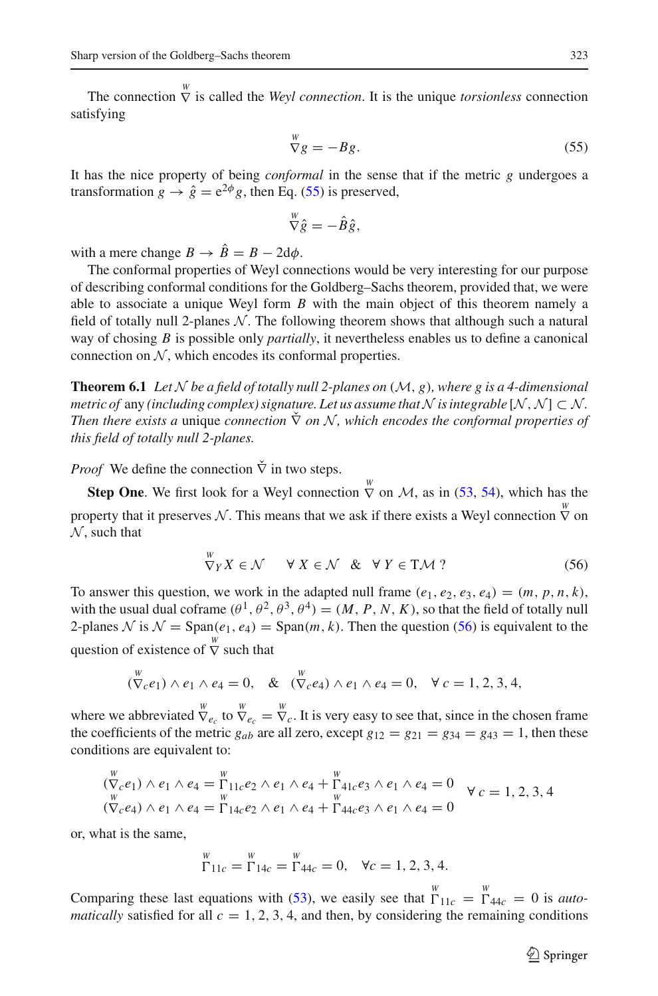The connection  $\overline{\nabla}$  is called the *Weyl connection*. It is the unique *torsionless* connection satisfying

<span id="page-28-1"></span>
$$
\nabla g = -Bg. \tag{55}
$$

It has the nice property of being *conformal* in the sense that if the metric *g* undergoes a transformation  $g \to \hat{g} = e^{2\phi} g$ , then Eq. [\(55\)](#page-28-1) is preserved,

$$
\nabla \hat{g} = -\hat{B}\hat{g},
$$

with a mere change  $B \to \hat{B} = B - 2d\phi$ .

The conformal properties of Weyl connections would be very interesting for our purpose of describing conformal conditions for the Goldberg–Sachs theorem, provided that, we were able to associate a unique Weyl form *B* with the main object of this theorem namely a field of totally null 2-planes  $N$ . The following theorem shows that although such a natural way of chosing *B* is possible only *partially*, it nevertheless enables us to define a canonical connection on  $N$ , which encodes its conformal properties.

<span id="page-28-0"></span>**Theorem 6.1** *Let*  $N$  *be a field of totally null 2-planes on*  $(M, g)$ *, where g is a 4-dimensional metric of* any *(including complex) signature. Let us assume that*  $\mathcal N$  *is integrable*  $[\mathcal N, \mathcal N] \subset \mathcal N$ . *Then there exists a unique connection*  $\nabla$  *on*  $\mathcal N$ *, which encodes the conformal properties of this field of totally null 2-planes.*

*Proof* We define the connection  $\check{\nabla}$  in two steps.

*W*

**Step One**. We first look for a Weyl connection  $\stackrel{w}{\nabla}$  on *M*, as in [\(53,](#page-27-3) [54\)](#page-27-4), which has the property that it preserves *N*. This means that we ask if there exists a Weyl connection  $\overline{V}$  on *N* , such that

$$
\nabla_Y X \in \mathcal{N} \quad \forall X \in \mathcal{N} \quad \& \quad \forall Y \in T \mathcal{M} ? \tag{56}
$$

<span id="page-28-2"></span>To answer this question, we work in the adapted null frame  $(e_1, e_2, e_3, e_4) = (m, p, n, k)$ , with the usual dual coframe  $(\theta^1, \theta^2, \theta^3, \theta^4) = (M, P, N, K)$ , so that the field of totally null 2-planes  $\mathcal N$  is  $\mathcal N = \text{Span}(e_1, e_4) = \text{Span}(m, k)$ . Then the question [\(56\)](#page-28-2) is equivalent to the question of existence of  $\stackrel{w}{\nabla}$  such that

$$
(\nabla_{c} e_{1}) \wedge e_{1} \wedge e_{4} = 0, \& (\nabla_{c} e_{4}) \wedge e_{1} \wedge e_{4} = 0, \forall c = 1, 2, 3, 4,
$$

where we abbreviated  $\overline{V}_{e_c}$  to  $\overline{V}_{e_c} = \overline{V}_c$ . It is very easy to see that, since in the chosen frame the coefficients of the metric  $g_{ab}$  are all zero, except  $g_{12} = g_{21} = g_{34} = g_{43} = 1$ , then these conditions are equivalent to:

$$
(\nabla_{c} e_{1}) \wedge e_{1} \wedge e_{4} = \Gamma_{11c}^{W} e_{2} \wedge e_{1} \wedge e_{4} + \Gamma_{41c}^{W} e_{3} \wedge e_{1} \wedge e_{4} = 0 \forall c = 1, 2, 3, 4
$$
  
\n
$$
(\nabla_{c} e_{4}) \wedge e_{1} \wedge e_{4} = \Gamma_{14c} e_{2} \wedge e_{1} \wedge e_{4} + \Gamma_{44c} e_{3} \wedge e_{1} \wedge e_{4} = 0 \forall c = 1, 2, 3, 4
$$

or, what is the same,

$$
\Gamma_{11c}^{W} = \Gamma_{14c}^{W} = \Gamma_{44c}^{W} = 0, \quad \forall c = 1, 2, 3, 4.
$$

Comparing these last equations with [\(53\)](#page-27-3), we easily see that  $\Gamma_{11c}^W = \Gamma_{44c}^W = 0$  is *automatically* satisfied for all  $c = 1, 2, 3, 4$ , and then, by considering the remaining conditions

 $\mathcal{D}$  Springer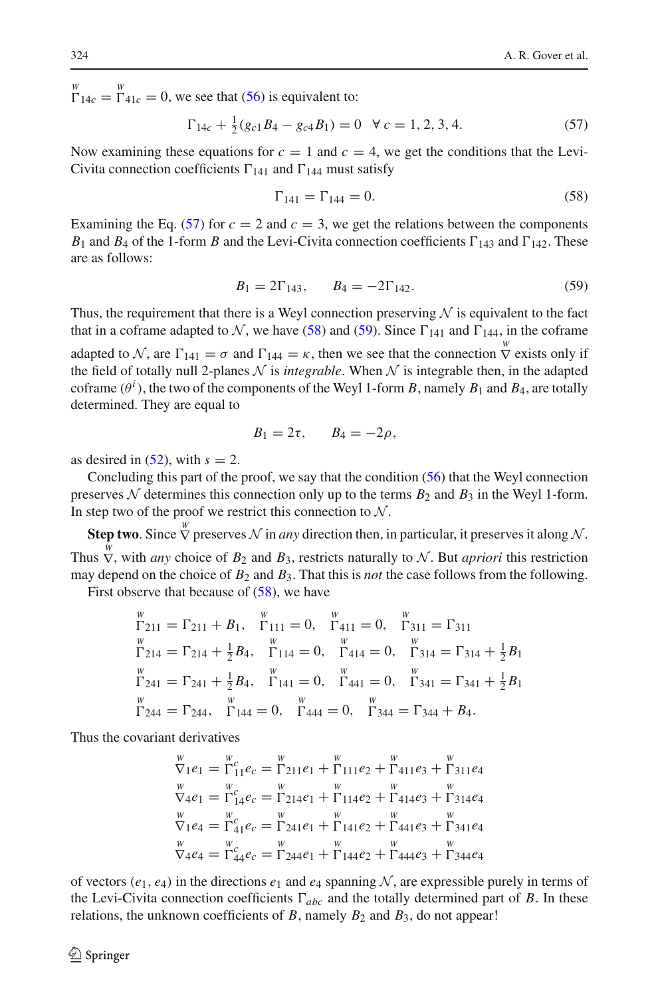<span id="page-29-0"></span> $\Gamma_{14c}^{W} = \Gamma_{41c}^{W} = 0$ , we see that [\(56\)](#page-28-2) is equivalent to:

<span id="page-29-1"></span>
$$
\Gamma_{14c} + \frac{1}{2}(g_{c1}B_4 - g_{c4}B_1) = 0 \quad \forall \ c = 1, 2, 3, 4. \tag{57}
$$

Now examining these equations for  $c = 1$  and  $c = 4$ , we get the conditions that the Levi-Civita connection coefficients  $\Gamma_{141}$  and  $\Gamma_{144}$  must satisfy

$$
\Gamma_{141} = \Gamma_{144} = 0. \tag{58}
$$

Examining the Eq. [\(57\)](#page-29-0) for  $c = 2$  and  $c = 3$ , we get the relations between the components  $B_1$  and  $B_4$  of the 1-form *B* and the Levi-Civita connection coefficients  $\Gamma_{143}$  and  $\Gamma_{142}$ . These are as follows:

$$
B_1 = 2\Gamma_{143}, \qquad B_4 = -2\Gamma_{142}.\tag{59}
$$

<span id="page-29-2"></span>Thus, the requirement that there is a Weyl connection preserving  $N$  is equivalent to the fact that in a coframe adapted to *N*, we have [\(58\)](#page-29-1) and [\(59\)](#page-29-2). Since  $\Gamma_{141}$  and  $\Gamma_{144}$ , in the coframe

adapted to N, are  $\Gamma_{141} = \sigma$  and  $\Gamma_{144} = \kappa$ , then we see that the connection  $\overline{V}$  exists only if the field of totally null 2-planes  $N$  is *integrable*. When  $N$  is integrable then, in the adapted coframe  $(\theta^i)$ , the two of the components of the Weyl 1-form *B*, namely  $B_1$  and  $B_4$ , are totally determined. They are equal to

$$
B_1=2\tau, \qquad B_4=-2\rho,
$$

as desired in  $(52)$ , with  $s = 2$ .

Concluding this part of the proof, we say that the condition [\(56\)](#page-28-2) that the Weyl connection preserves  $N$  determines this connection only up to the terms  $B_2$  and  $B_3$  in the Weyl 1-form. In step two of the proof we restrict this connection to  $N$ .

**Step two**. Since  $\stackrel{w}{\nabla}$  preserves *N* in *any* direction then, in particular, it preserves it along *N*. Thus  $\overline{V}$ , with *any* choice of  $B_2$  and  $B_3$ , restricts naturally to *N*. But *apriori* this restriction may depend on the choice of *B*<sup>2</sup> and *B*3. That this is *not* the case follows from the following.

First observe that because of [\(58\)](#page-29-1), we have

$$
\begin{array}{ll}\n\stackrel{W}{\Gamma}_{211} = \Gamma_{211} + B_1, & \stackrel{W}{\Gamma}_{111} = 0, & \stackrel{W}{\Gamma}_{411} = 0, & \stackrel{W}{\Gamma}_{311} = \Gamma_{311} \\
\stackrel{W}{\Gamma}_{214} = \Gamma_{214} + \frac{1}{2}B_4, & \stackrel{W}{\Gamma}_{114} = 0, & \stackrel{W}{\Gamma}_{414} = 0, & \stackrel{W}{\Gamma}_{314} = \Gamma_{314} + \frac{1}{2}B_1 \\
\stackrel{W}{\Gamma}_{241} = \Gamma_{241} + \frac{1}{2}B_4, & \stackrel{W}{\Gamma}_{141} = 0, & \stackrel{W}{\Gamma}_{441} = 0, & \stackrel{W}{\Gamma}_{341} = \Gamma_{341} + \frac{1}{2}B_1 \\
\stackrel{W}{\Gamma}_{244} = \Gamma_{244}, & \stackrel{W}{\Gamma}_{144} = 0, & \stackrel{W}{\Gamma}_{444} = 0, & \stackrel{W}{\Gamma}_{344} = \Gamma_{344} + B_4.\n\end{array}
$$

Thus the covariant derivatives

$$
\nabla_1 e_1 = \Gamma_{11}^{w} e_c = \Gamma_{211} e_1 + \Gamma_{111} e_2 + \Gamma_{411} e_3 + \Gamma_{311} e_4
$$
\n
$$
\nabla_4 e_1 = \Gamma_{14}^{w} e_c = \Gamma_{214} e_1 + \Gamma_{114} e_2 + \Gamma_{414} e_3 + \Gamma_{314} e_4
$$
\n
$$
\nabla_1 e_4 = \Gamma_{41}^{w} e_c = \Gamma_{241} e_1 + \Gamma_{141} e_2 + \Gamma_{441} e_3 + \Gamma_{341} e_4
$$
\n
$$
\nabla_4 e_4 = \Gamma_{44}^{w} e_c = \Gamma_{244} e_1 + \Gamma_{144} e_2 + \Gamma_{444} e_3 + \Gamma_{344} e_4
$$

of vectors  $(e_1, e_4)$  in the directions  $e_1$  and  $e_4$  spanning N, are expressible purely in terms of the Levi-Civita connection coefficients  $\Gamma_{abc}$  and the totally determined part of *B*. In these relations, the unknown coefficients of  $B$ , namely  $B_2$  and  $B_3$ , do not appear!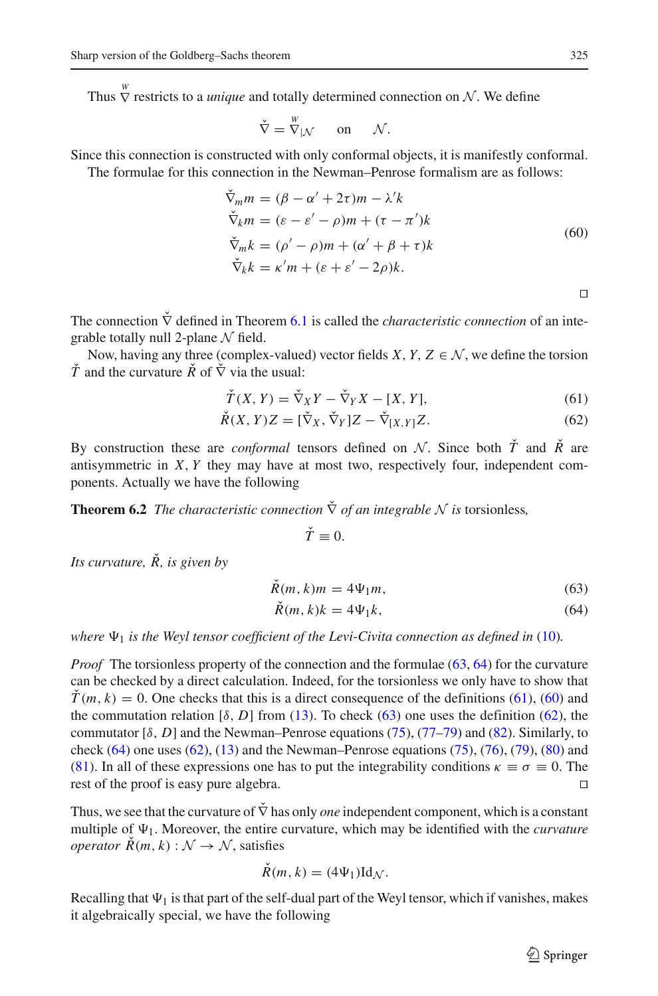Thus  $\overline{V}$  restricts to a *unique* and totally determined connection on  $N$ . We define

$$
\check{\nabla} = \check{\nabla}_{| \mathcal{N}} \quad \text{on} \quad \mathcal{N}.
$$

Since this connection is constructed with only conformal objects, it is manifestly conformal.

<span id="page-30-2"></span>The formulae for this connection in the Newman–Penrose formalism are as follows:

$$
\tilde{\nabla}_m m = (\beta - \alpha' + 2\tau)m - \lambda' k
$$
  
\n
$$
\tilde{\nabla}_k m = (\varepsilon - \varepsilon' - \rho)m + (\tau - \pi')k
$$
  
\n
$$
\tilde{\nabla}_m k = (\rho' - \rho)m + (\alpha' + \beta + \tau)k
$$
  
\n
$$
\tilde{\nabla}_k k = \kappa' m + (\varepsilon + \varepsilon' - 2\rho)k.
$$
\n(60)

 $\Box$ 

The connection  $\overline{V}$  defined in Theorem [6.1](#page-28-0) is called the *characteristic connection* of an integrable totally null 2-plane *N* field.

<span id="page-30-1"></span>Now, having any three (complex-valued) vector fields *X*, *Y*, *Z*  $\in$  *N*, we define the torsion  $\check{T}$  and the curvature  $\check{R}$  of  $\check{\nabla}$  via the usual:

$$
\check{T}(X,Y) = \check{\nabla}_X Y - \check{\nabla}_Y X - [X,Y],\tag{61}
$$

$$
\check{R}(X,Y)Z = [\check{\nabla}_X, \check{\nabla}_Y]Z - \check{\nabla}_{[X,Y]}Z.
$$
\n(62)

By construction these are *conformal* tensors defined on *N*. Since both  $\check{T}$  and  $\check{R}$  are antisymmetric in *X*, *Y* they may have at most two, respectively four, independent components. Actually we have the following

**Theorem 6.2** *The characteristic connection*  $\check{\nabla}$  *of an integrable*  $N$  *is* torsionless,

 $\check{T} = 0$ .

<span id="page-30-0"></span>*Its curvature,*  $\check{R}$ *, is given by* 

$$
\check{R}(m,k)m = 4\Psi_1m,\tag{63}
$$

$$
\check{R}(m,k)k = 4\Psi_1k,\tag{64}
$$

*where*  $\Psi_1$  *is the Weyl tensor coefficient of the Levi-Civita connection as defined in* [\(10\)](#page-11-1)*.* 

*Proof* The torsionless property of the connection and the formulae [\(63,](#page-30-0) [64\)](#page-30-0) for the curvature can be checked by a direct calculation. Indeed, for the torsionless we only have to show that  $\hat{T}(m, k) = 0$ . One checks that this is a direct consequence of the definitions [\(61\)](#page-30-1), [\(60\)](#page-30-2) and the commutation relation  $[\delta, D]$  from [\(13\)](#page-12-0). To check [\(63\)](#page-30-0) one uses the definition [\(62\)](#page-30-1), the commutator  $[\delta, D]$  and the Newman–Penrose equations [\(75\)](#page-42-2), [\(77–79\)](#page-42-2) and [\(82\)](#page-42-2). Similarly, to check  $(64)$  one uses  $(62)$ ,  $(13)$  and the Newman–Penrose equations  $(75)$ ,  $(76)$ ,  $(79)$ ,  $(80)$  and [\(81\)](#page-42-2). In all of these expressions one has to put the integrability conditions  $\kappa \equiv \sigma \equiv 0$ . The rest of the proof is easy pure algebra.

Thus, we see that the curvature of  $\check{\nabla}$  has only *one* independent component, which is a constant multiple of  $\Psi_1$ . Moreover, the entire curvature, which may be identified with the *curvature operator*  $\check{R}(m, k) : \mathcal{N} \to \mathcal{N}$ , satisfies

$$
\check{R}(m,k) = (4\Psi_1)\mathrm{Id}_{\mathcal{N}}.
$$

Recalling that  $\Psi_1$  is that part of the self-dual part of the Weyl tensor, which if vanishes, makes it algebraically special, we have the following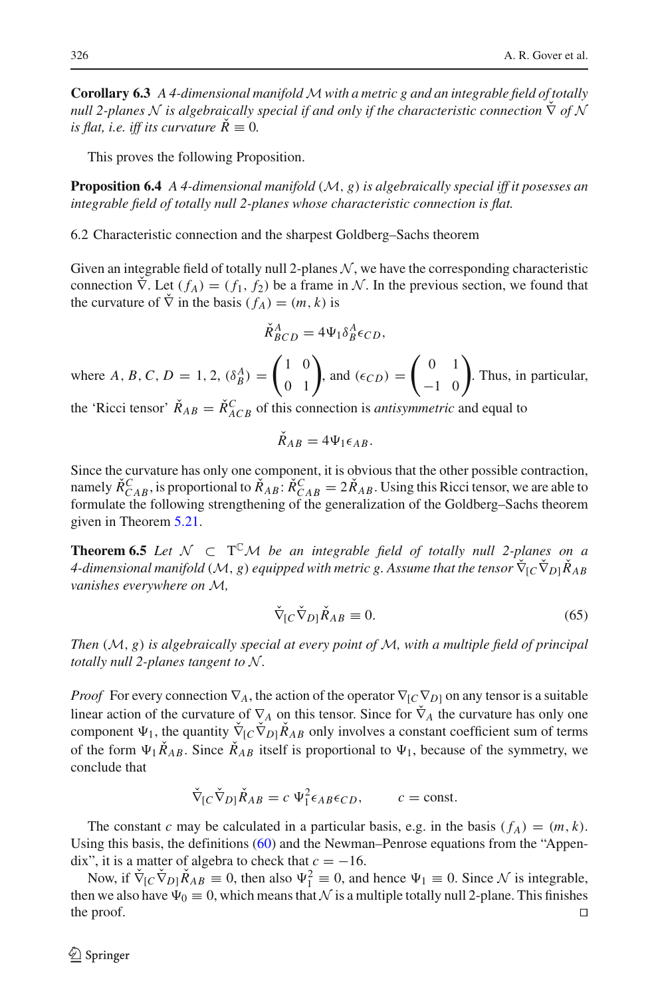**Corollary 6.3** *A 4-dimensional manifoldMwith a metric g and an integrable field of totally null 2-planes N is algebraically special if and only if the characteristic connection*  $\check{\nabla}$  *of N is flat, i.e. iff its curvature*  $\dot{R} \equiv 0$ *.* 

This proves the following Proposition.

**Proposition 6.4** *A 4-dimensional manifold* (*M*, *g*) *is algebraically special iff it posesses an integrable field of totally null 2-planes whose characteristic connection is flat.*

<span id="page-31-0"></span>6.2 Characteristic connection and the sharpest Goldberg–Sachs theorem

Given an integrable field of totally null 2-planes  $N$ , we have the corresponding characteristic connection  $\dot{\nabla}$ . Let  $(f_A) = (f_1, f_2)$  be a frame in *N*. In the previous section, we found that the curvature of  $\check{\nabla}$  in the basis ( $f_A$ ) = (*m*, *k*) is

$$
\check{R}^{A}_{BCD} = 4\Psi_1 \delta^A_B \epsilon_{CD},
$$

where *A*, *B*, *C*, *D* = 1, 2,  $(\delta_B^A)$  =  $\begin{pmatrix} 1 & 0 \\ 0 & 1 \end{pmatrix}$ , and  $(\epsilon_{CD})$  =  $\begin{pmatrix} 0 & 1 \\ -1 & 0 \end{pmatrix}$ . Thus, in particular,

the 'Ricci tensor'  $\check{R}_{AB} = \check{R}_{ACB}^C$  of this connection is *antisymmetric* and equal to

$$
\check{R}_{AB}=4\Psi_1\epsilon_{AB}.
$$

Since the curvature has only one component, it is obvious that the other possible contraction, namely  $\check{R}_{CAB}^C$ , is proportional to  $\check{R}_{AB}$ :  $\check{R}_{CAB}^C = 2\check{R}_{AB}$ . Using this Ricci tensor, we are able to formulate the following strengthening of the generalization of the Goldberg–Sachs theorem given in Theorem [5.21.](#page-22-0)

<span id="page-31-1"></span>**Theorem 6.5** *Let*  $N \subset T^{\mathbb{C}}M$  *be an integrable field of totally null 2-planes on a 4-dimensional manifold* (*M*, *g*) *equipped with metric g. Assume that the tensor*  $\dot{\nabla}_{C}\dot{\nabla}_{D}$ *R*<sup>*A*<sub>*AB*</sub></sup> *vanishes everywhere on M,*

$$
\check{\nabla}_{[C}\check{\nabla}_{D]}\check{R}_{AB} \equiv 0. \tag{65}
$$

<span id="page-31-2"></span>*Then* (*M*, *g*) *is algebraically special at every point of M, with a multiple field of principal totally null 2-planes tangent to N .*

*Proof* For every connection  $\nabla_A$ , the action of the operator  $\nabla_C \nabla_D$  on any tensor is a suitable linear action of the curvature of  $\nabla_A$  on this tensor. Since for  $\tilde{\nabla}_A$  the curvature has only one component  $\Psi_1$ , the quantity  $\overline{V}_{[C}\overline{V}_{D]}\overline{R}_{AB}$  only involves a constant coefficient sum of terms of the form  $\Psi_1 \check{R}_{AB}$ . Since  $\check{R}_{AB}$  itself is proportional to  $\Psi_1$ , because of the symmetry, we conclude that

$$
\check{\nabla}_{[C}\check{\nabla}_{D]}\check{R}_{AB} = c \Psi_1^2 \epsilon_{AB} \epsilon_{CD}, \qquad c = \text{const.}
$$

The constant *c* may be calculated in a particular basis, e.g. in the basis  $(f_A) = (m, k)$ . Using this basis, the definitions [\(60\)](#page-30-2) and the Newman–Penrose equations from the "Appendix", it is a matter of algebra to check that  $c = -16$ .

Now, if  $\check{\nabla}_{[C} \check{\nabla}_{D]} \check{R}_{AB} \equiv 0$ , then also  $\Psi_1^2 \equiv 0$ , and hence  $\Psi_1 \equiv 0$ . Since  $\mathcal N$  is integrable, then we also have  $\Psi_0 \equiv 0$ , which means that  $\mathcal N$  is a multiple totally null 2-plane. This finishes the proof. the proof.  $\Box$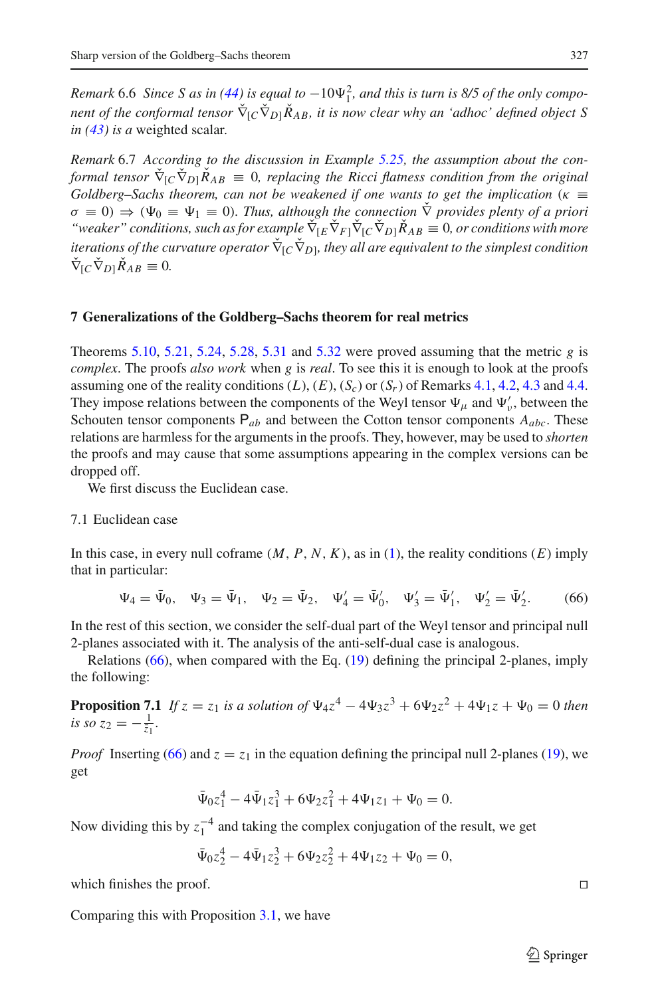*Remark* 6.6 Since S as in [\(44\)](#page-23-3) is equal to  $-10\Psi_1^2$ , and this is turn is 8/5 of the only compo*nent of the conformal tensor*  $\check{\nabla}_{[C} \check{\nabla}_{D]} \check{R}_{AB}$ , *it is now clear why an 'adhoc' defined object S in [\(43\)](#page-23-1) is a* weighted scalar*.*

*Remark* 6.7 *According to the discussion in Example [5.25,](#page-23-4) the assumption about the conformal tensor*  $\check{\nabla}_{C}(\check{\nabla}_{D} \check{R}_{AB} \equiv 0$ , replacing the Ricci flatness condition from the original *Goldberg–Sachs theorem, can not be weakened if one wants to get the implication* ( $\kappa$   $\equiv$  $\sigma \equiv 0$ )  $\Rightarrow (\Psi_0 \equiv \Psi_1 \equiv 0)$ . Thus, although the connection  $\tilde{\nabla}$  provides plenty of a priori *"weaker" conditions, such as for example*  $\vec{\nabla}_{E} \vec{\nabla}_{F} \vec{\nabla}_{C} \vec{\nabla}_{D} \vec{R}_{AB} \equiv 0$ *, or conditions with more iterations of the curvature operator*  $\check{\nabla}_{C}(\check{\nabla}_{D}$ *, they all are equivalent to the simplest condition*  $\check{\nabla}_{\alpha}(\check{\nabla}_{\alpha})\check{R}_{AB} \equiv 0.$ 

#### <span id="page-32-0"></span>**7 Generalizations of the Goldberg–Sachs theorem for real metrics**

Theorems [5.10,](#page-17-0) [5.21,](#page-22-0) [5.24,](#page-23-5) [5.28,](#page-24-0) [5.31](#page-25-0) and [5.32](#page-25-1) were proved assuming that the metric *g* is *complex*. The proofs *also work* when *g* is *real*. To see this it is enough to look at the proofs assuming one of the reality conditions  $(L)$ ,  $(E)$ ,  $(S_c)$  or  $(S_r)$  of Remarks [4.1,](#page-7-1) [4.2,](#page-8-1) [4.3](#page-8-2) and [4.4.](#page-9-0) They impose relations between the components of the Weyl tensor  $\Psi_{\mu}$  and  $\Psi'_{\nu}$ , between the Schouten tensor components  $P_{ab}$  and between the Cotton tensor components  $A_{abc}$ . These relations are harmless for the arguments in the proofs. They, however, may be used to *shorten* the proofs and may cause that some assumptions appearing in the complex versions can be dropped off.

We first discuss the Euclidean case.

#### <span id="page-32-1"></span>7.1 Euclidean case

In this case, in every null coframe  $(M, P, N, K)$ , as in [\(1\)](#page-7-2), the reality conditions  $(E)$  imply that in particular:

$$
\Psi_4 = \bar{\Psi}_0, \quad \Psi_3 = \bar{\Psi}_1, \quad \Psi_2 = \bar{\Psi}_2, \quad \Psi'_4 = \bar{\Psi}'_0, \quad \Psi'_3 = \bar{\Psi}'_1, \quad \Psi'_2 = \bar{\Psi}'_2.
$$
\n(66)

<span id="page-32-2"></span>In the rest of this section, we consider the self-dual part of the Weyl tensor and principal null 2-planes associated with it. The analysis of the anti-self-dual case is analogous.

Relations [\(66\)](#page-32-2), when compared with the Eq. [\(19\)](#page-15-0) defining the principal 2-planes, imply the following:

**Proposition 7.1** *If*  $z = z_1$  *is a solution of*  $\Psi_4 z^4 - 4\Psi_3 z^3 + 6\Psi_2 z^2 + 4\Psi_1 z + \Psi_0 = 0$  *then is so*  $z_2 = -\frac{1}{\bar{z}_1}$ .

*Proof* Inserting [\(66\)](#page-32-2) and  $z = z_1$  in the equation defining the principal null 2-planes [\(19\)](#page-15-0), we get

$$
\bar{\Psi}_0 z_1^4 - 4\bar{\Psi}_1 z_1^3 + 6\Psi_2 z_1^2 + 4\Psi_1 z_1 + \Psi_0 = 0.
$$

Now dividing this by  $z_1^{-4}$  and taking the complex conjugation of the result, we get

$$
\bar{\Psi}_0 z_2^4 - 4\bar{\Psi}_1 z_2^3 + 6\Psi_2 z_2^2 + 4\Psi_1 z_2 + \Psi_0 = 0,
$$

which finishes the proof.  $\Box$ 

Comparing this with Proposition [3.1,](#page-5-0) we have

 $\circled{2}$  Springer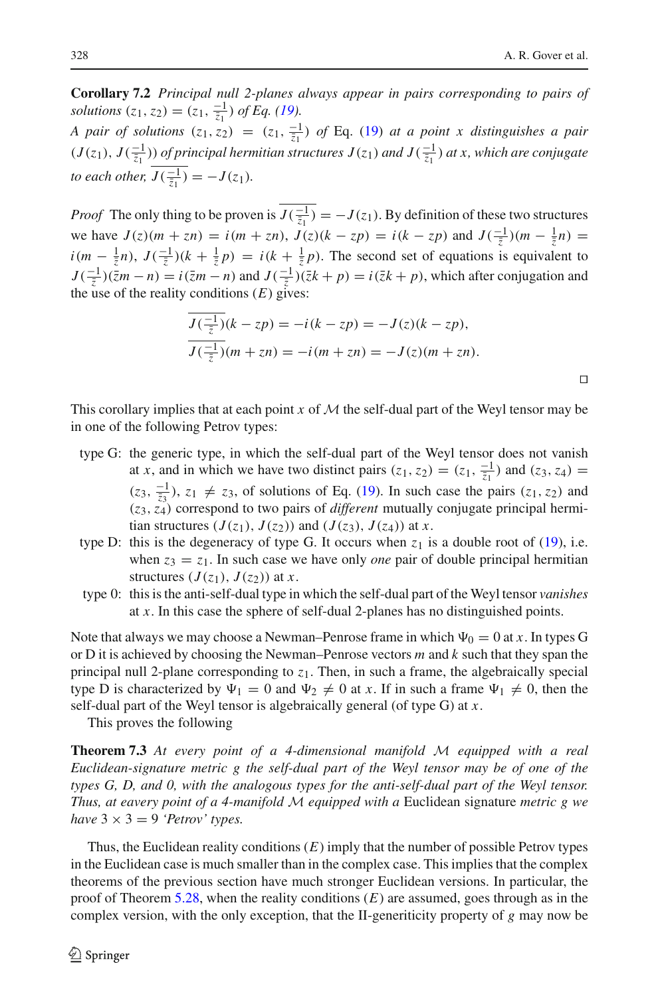**Corollary 7.2** *Principal null 2-planes always appear in pairs corresponding to pairs of solutions*  $(z_1, z_2) = (z_1, \frac{-1}{\overline{z_1}})$  *of Eq.* [\(19\)](#page-15-0).

*A pair of solutions*  $(z_1, z_2) = (z_1, \frac{-1}{\overline{z_1}})$  *of* Eq. [\(19\)](#page-15-0) *at a point x distinguishes a pair*  $(J(z_1), J(\frac{-1}{\bar{z}_1}))$  *of principal hermitian structures*  $J(z_1)$  *and*  $J(\frac{-1}{\bar{z}_1})$  *at x, which are conjugate to each other,*  $J(\frac{-1}{\bar{z}_1}) = -J(z_1)$ *.* 

*Proof* The only thing to be proven is  $J(\frac{-1}{\bar{z}_1}) = -J(z_1)$ . By definition of these two structures we have  $J(z)(m + zn) = i(m + zn)$ ,  $J(z)(k - zp) = i(k - zp)$  and  $J(\frac{-1}{\overline{z}})(m - \frac{1}{\overline{z}}n) =$  $i(m - \frac{1}{\overline{z}}n)$ ,  $J(\frac{-1}{\overline{z}})(k + \frac{1}{\overline{z}}p) = i(k + \frac{1}{\overline{z}}p)$ . The second set of equations is equivalent to  $J(\frac{-1}{\bar{z}})(\bar{z}m-n) = i(\bar{z}m-n)$  and  $J(\frac{-1}{\bar{z}})(\bar{z}k+p) = i(\bar{z}k+p)$ , which after conjugation and the use of the reality conditions (*E*) gives:

$$
J(\frac{-1}{\overline{z}})(k - zp) = -i(k - zp) = -J(z)(k - zp),
$$
  
\n
$$
J(\frac{-1}{\overline{z}})(m + zn) = -i(m + zn) = -J(z)(m + zn).
$$

This corollary implies that at each point *x* of *M* the self-dual part of the Weyl tensor may be in one of the following Petrov types:

- type G: the generic type, in which the self-dual part of the Weyl tensor does not vanish at *x*, and in which we have two distinct pairs  $(z_1, z_2) = (z_1, \frac{-1}{\overline{z}_1})$  and  $(z_3, z_4) =$  $(z_3, \frac{-1}{z_3})$ ,  $z_1 \neq z_3$ , of solutions of Eq. [\(19\)](#page-15-0). In such case the pairs  $(z_1, z_2)$  and (*z*3,*z*4) correspond to two pairs of *different* mutually conjugate principal hermitian structures  $(J(z_1), J(z_2))$  and  $(J(z_3), J(z_4))$  at *x*.
- type D: this is the degeneracy of type G. It occurs when  $z_1$  is a double root of [\(19\)](#page-15-0), i.e. when  $z_3 = z_1$ . In such case we have only *one* pair of double principal hermitian structures  $(J(z_1), J(z_2))$  at *x*.
- type 0: this is the anti-self-dual type in which the self-dual part of the Weyl tensor *vanishes* at *x*. In this case the sphere of self-dual 2-planes has no distinguished points.

Note that always we may choose a Newman–Penrose frame in which  $\Psi_0 = 0$  at *x*. In types G or D it is achieved by choosing the Newman–Penrose vectors *m* and *k* such that they span the principal null 2-plane corresponding to  $z<sub>1</sub>$ . Then, in such a frame, the algebraically special type D is characterized by  $\Psi_1 = 0$  and  $\Psi_2 \neq 0$  at *x*. If in such a frame  $\Psi_1 \neq 0$ , then the self-dual part of the Weyl tensor is algebraically general (of type G) at *x*.

This proves the following

**Theorem 7.3** *At every point of a 4-dimensional manifold M equipped with a real Euclidean-signature metric g the self-dual part of the Weyl tensor may be of one of the types G, D, and 0, with the analogous types for the anti-self-dual part of the Weyl tensor. Thus, at eavery point of a 4-manifold M equipped with a* Euclidean signature *metric g we have*  $3 \times 3 = 9$  *'Petrov' types.* 

Thus, the Euclidean reality conditions (*E*) imply that the number of possible Petrov types in the Euclidean case is much smaller than in the complex case. This implies that the complex theorems of the previous section have much stronger Euclidean versions. In particular, the proof of Theorem [5.28,](#page-24-0) when the reality conditions (*E*) are assumed, goes through as in the complex version, with the only exception, that the II-generiticity property of *g* may now be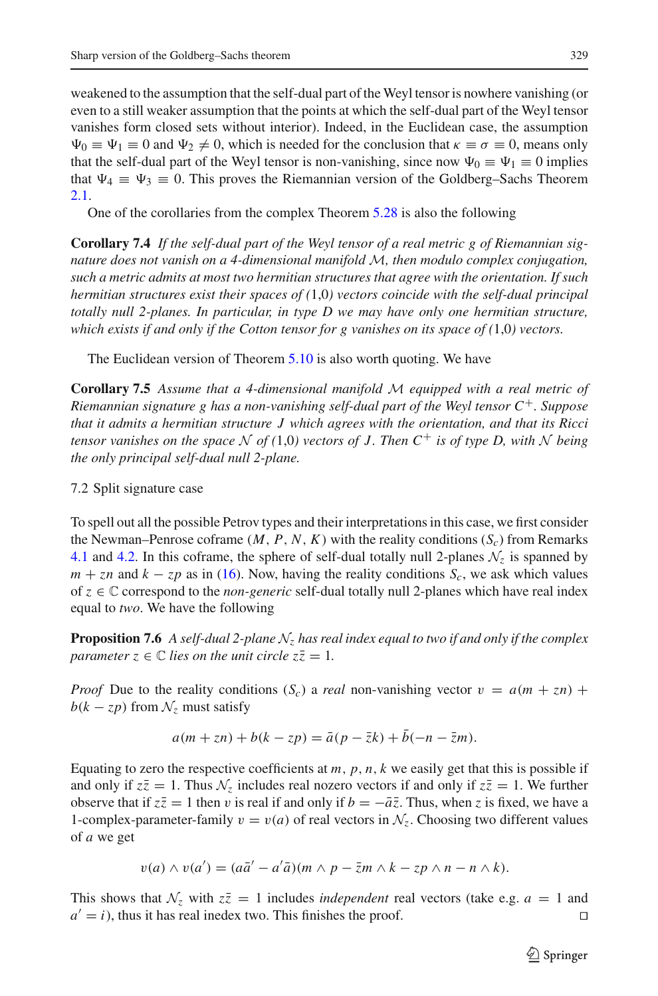weakened to the assumption that the self-dual part of the Weyl tensor is nowhere vanishing (or even to a still weaker assumption that the points at which the self-dual part of the Weyl tensor vanishes form closed sets without interior). Indeed, in the Euclidean case, the assumption  $\Psi_0 \equiv \Psi_1 \equiv 0$  and  $\Psi_2 \neq 0$ , which is needed for the conclusion that  $\kappa \equiv \sigma \equiv 0$ , means only that the self-dual part of the Weyl tensor is non-vanishing, since now  $\Psi_0 = \Psi_1 = 0$  implies that  $\Psi_4 \equiv \Psi_3 \equiv 0$ . This proves the Riemannian version of the Goldberg–Sachs Theorem [2.1.](#page-3-0)

One of the corollaries from the complex Theorem [5.28](#page-24-0) is also the following

**Corollary 7.4** *If the self-dual part of the Weyl tensor of a real metric g of Riemannian signature does not vanish on a 4-dimensional manifold M, then modulo complex conjugation, such a metric admits at most two hermitian structures that agree with the orientation. If such hermitian structures exist their spaces of (*1,0*) vectors coincide with the self-dual principal totally null 2-planes. In particular, in type D we may have only one hermitian structure, which exists if and only if the Cotton tensor for g vanishes on its space of (*1,0*) vectors.*

<span id="page-34-2"></span>The Euclidean version of Theorem [5.10](#page-17-0) is also worth quoting. We have

**Corollary 7.5** *Assume that a 4-dimensional manifold M equipped with a real metric of Riemannian signature g has a non-vanishing self-dual part of the Weyl tensor C*+*. Suppose that it admits a hermitian structure J which agrees with the orientation, and that its Ricci tensor vanishes on the space*  $N$  *of* (1,0) *vectors of J. Then*  $C^+$  *is of type* D, with  $N$  *being the only principal self-dual null 2-plane.*

## <span id="page-34-0"></span>7.2 Split signature case

To spell out all the possible Petrov types and their interpretations in this case, we first consider the Newman–Penrose coframe  $(M, P, N, K)$  with the reality conditions  $(S_c)$  from Remarks [4.1](#page-7-1) and [4.2.](#page-8-1) In this coframe, the sphere of self-dual totally null 2-planes  $\mathcal{N}_z$  is spanned by  $m + zn$  and  $k - zp$  as in [\(16\)](#page-14-1). Now, having the reality conditions  $S_c$ , we ask which values of  $z \in \mathbb{C}$  correspond to the *non-generic* self-dual totally null 2-planes which have real index equal to *two*. We have the following

<span id="page-34-1"></span>**Proposition 7.6** *A self-dual 2-plane*  $N_z$  *has real index equal to two if and only if the complex parameter*  $z \in \mathbb{C}$  *lies on the unit circle*  $z\overline{z} = 1$ *.* 

*Proof* Due to the reality conditions  $(S_c)$  a *real* non-vanishing vector  $v = a(m + zn) +$  $b(k - zp)$  from  $\mathcal{N}_z$  must satisfy

$$
a(m + zn) + b(k - zp) = \bar{a}(p - \bar{z}k) + \bar{b}(-n - \bar{z}m).
$$

Equating to zero the respective coefficients at  $m$ ,  $p$ ,  $n$ ,  $k$  we easily get that this is possible if and only if  $z\overline{z} = 1$ . Thus  $\mathcal{N}_z$  includes real nozero vectors if and only if  $z\overline{z} = 1$ . We further observe that if  $z\overline{z} = 1$  then v is real if and only if  $b = -\overline{a}\overline{z}$ . Thus, when *z* is fixed, we have a 1-complex-parameter-family  $v = v(a)$  of real vectors in  $\mathcal{N}_z$ . Choosing two different values of *a* we get

$$
v(a) \wedge v(a') = (a\overline{a}' - a'\overline{a})(m \wedge p - \overline{z}m \wedge k - zp \wedge n - n \wedge k).
$$

This shows that  $\mathcal{N}_z$  with  $z\overline{z}=1$  includes *independent* real vectors (take e.g.  $a=1$  and  $a' = i$ , thus it has real inedex two. This finishes the proof.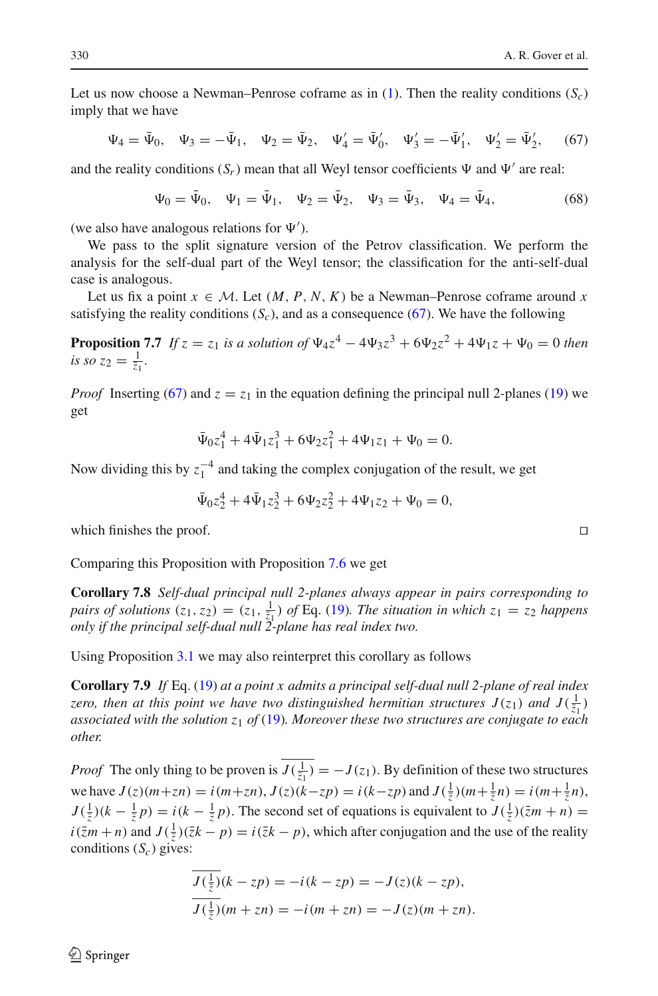Let us now choose a Newman–Penrose coframe as in  $(1)$ . Then the reality conditions  $(S<sub>c</sub>)$ imply that we have

$$
\Psi_4 = \bar{\Psi}_0, \quad \Psi_3 = -\bar{\Psi}_1, \quad \Psi_2 = \bar{\Psi}_2, \quad \Psi'_4 = \bar{\Psi}'_0, \quad \Psi'_3 = -\bar{\Psi}'_1, \quad \Psi'_2 = \bar{\Psi}'_2,\tag{67}
$$

<span id="page-35-1"></span><span id="page-35-0"></span>and the reality conditions  $(S_r)$  mean that all Weyl tensor coefficients  $\Psi$  and  $\Psi'$  are real:

$$
\Psi_0 = \bar{\Psi}_0, \quad \Psi_1 = \bar{\Psi}_1, \quad \Psi_2 = \bar{\Psi}_2, \quad \Psi_3 = \bar{\Psi}_3, \quad \Psi_4 = \bar{\Psi}_4,
$$
\n(68)

(we also have analogous relations for  $\Psi'$ ).

We pass to the split signature version of the Petrov classification. We perform the analysis for the self-dual part of the Weyl tensor; the classification for the anti-self-dual case is analogous.

Let us fix a point  $x \in M$ . Let  $(M, P, N, K)$  be a Newman–Penrose coframe around x satisfying the reality conditions  $(S_c)$ , and as a consequence [\(67\)](#page-35-0). We have the following

**Proposition 7.7** *If*  $z = z_1$  *is a solution of*  $\Psi_4 z^4 - 4\Psi_3 z^3 + 6\Psi_2 z^2 + 4\Psi_1 z + \Psi_0 = 0$  *then is so*  $z_2 = \frac{1}{\bar{z}_1}$ .

*Proof* Inserting [\(67\)](#page-35-0) and  $z = z_1$  in the equation defining the principal null 2-planes [\(19\)](#page-15-0) we get

$$
\bar{\Psi}_0 z_1^4 + 4\bar{\Psi}_1 z_1^3 + 6\Psi_2 z_1^2 + 4\Psi_1 z_1 + \Psi_0 = 0.
$$

Now dividing this by  $z_1^{-4}$  and taking the complex conjugation of the result, we get

$$
\bar{\Psi}_0 z_2^4 + 4\bar{\Psi}_1 z_2^3 + 6\Psi_2 z_2^2 + 4\Psi_1 z_2 + \Psi_0 = 0,
$$

which finishes the proof.  $\Box$ 

Comparing this Proposition with Proposition [7.6](#page-34-1) we get

**Corollary 7.8** *Self-dual principal null 2-planes always appear in pairs corresponding to pairs of solutions*  $(z_1, z_2) = (z_1, \frac{1}{z_1})$  *of* Eq. [\(19\)](#page-15-0)*. The situation in which*  $z_1 = z_2$  *happens only if the principal self-dual null 2-plane has real index two.*

Using Proposition [3.1](#page-5-0) we may also reinterpret this corollary as follows

**Corollary 7.9** *If* Eq. [\(19\)](#page-15-0) *at a point x admits a principal self-dual null 2-plane of real index zero, then at this point we have two distinguished hermitian structures*  $J(z_1)$  *and*  $J(\frac{1}{\overline{z_1}})$ *associated with the solution z*<sup>1</sup> *of* [\(19\)](#page-15-0)*. Moreover these two structures are conjugate to each other.*

*Proof* The only thing to be proven is  $J(\frac{1}{\bar{z}_1}) = -J(z_1)$ . By definition of these two structures we have  $J(z)(m+zn) = i(m+zn)$ ,  $J(z)(k-zp) = i(k-zp)$  and  $J(\frac{1}{z})(m+\frac{1}{z}n) = i(m+\frac{1}{z}n)$ ,  $J(\frac{1}{\overline{z}})(k - \frac{1}{\overline{z}}p) = i(k - \frac{1}{\overline{z}}p)$ . The second set of equations is equivalent to  $J(\frac{1}{\overline{z}})(\overline{z}m + n) =$  $i(\bar{z}m+n)$  and  $J(\frac{1}{\bar{z}})(\bar{z}k-p) = i(\bar{z}k-p)$ , which after conjugation and the use of the reality conditions (*Sc*) gives:

$$
J(\frac{1}{\overline{z}})(k - zp) = -i(k - zp) = -J(z)(k - zp),
$$
  
\n
$$
J(\frac{1}{\overline{z}})(m + zn) = -i(m + zn) = -J(z)(m + zn).
$$

 $\circledcirc$  Springer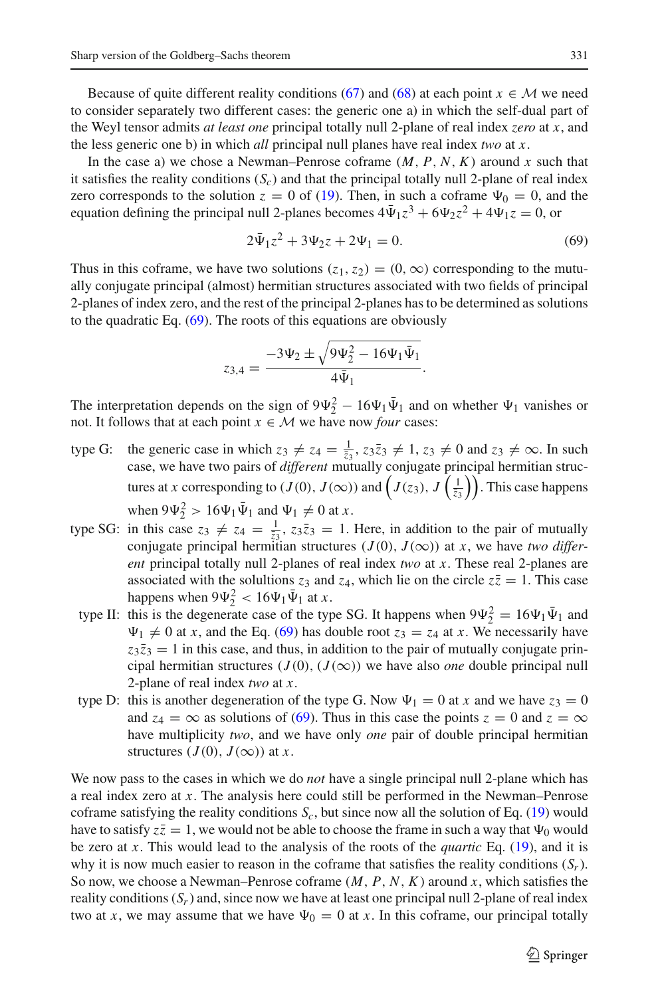Because of quite different reality conditions [\(67\)](#page-35-0) and [\(68\)](#page-35-1) at each point  $x \in M$  we need to consider separately two different cases: the generic one a) in which the self-dual part of the Weyl tensor admits *at least one* principal totally null 2-plane of real index *zero* at *x*, and the less generic one b) in which *all* principal null planes have real index *two* at *x*.

In the case a) we chose a Newman–Penrose coframe (*M*, *P*, *N*, *K*) around *x* such that it satisfies the reality conditions  $(S_c)$  and that the principal totally null 2-plane of real index zero corresponds to the solution  $z = 0$  of [\(19\)](#page-15-0). Then, in such a coframe  $\Psi_0 = 0$ , and the equation defining the principal null 2-planes becomes  $4\bar{\Psi}_1 z^3 + 6\Psi_2 z^2 + 4\Psi_1 z = 0$ , or

$$
2\bar{\Psi}_1 z^2 + 3\Psi_2 z + 2\Psi_1 = 0.
$$
\n(69)

<span id="page-36-0"></span>Thus in this coframe, we have two solutions  $(z_1, z_2) = (0, \infty)$  corresponding to the mutually conjugate principal (almost) hermitian structures associated with two fields of principal 2-planes of index zero, and the rest of the principal 2-planes has to be determined as solutions to the quadratic Eq.  $(69)$ . The roots of this equations are obviously

$$
z_{3,4} = \frac{-3\Psi_2 \pm \sqrt{9\Psi_2^2 - 16\Psi_1\bar{\Psi}_1}}{4\bar{\Psi}_1}.
$$

The interpretation depends on the sign of  $9\Psi_2^2 - 16\Psi_1\Psi_1$  and on whether  $\Psi_1$  vanishes or not. It follows that at each point  $x \in M$  we have now *four* cases:

- type G: the generic case in which  $z_3 \neq z_4 = \frac{1}{z_3}$ ,  $z_3\overline{z_3} \neq 1$ ,  $z_3 \neq 0$  and  $z_3 \neq \infty$ . In such case, we have two pairs of *different* mutually conjugate principal hermitian structures at *x* corresponding to  $(J(0), J(\infty))$  and  $(J(z_3), J(\frac{1}{z_3}))$ . This case happens when  $9\Psi_2^2 > 16\Psi_1\bar{\Psi}_1$  and  $\Psi_1 \neq 0$  at *x*.
- type SG: in this case  $z_3 \neq z_4 = \frac{1}{\bar{z}_3}$ ,  $z_3\bar{z}_3 = 1$ . Here, in addition to the pair of mutually conjugate principal hermitian structures  $(J(0), J(\infty))$  at *x*, we have *two different* principal totally null 2-planes of real index *two* at *x*. These real 2-planes are associated with the solultions  $z_3$  and  $z_4$ , which lie on the circle  $z\overline{z} = 1$ . This case happens when  $9\Psi_2^2 < 16\Psi_1\bar{\Psi}_1$  at *x*.
- type II: this is the degenerate case of the type SG. It happens when  $9\Psi_2^2 = 16\Psi_1\bar{\Psi}_1$  and  $\Psi_1 \neq 0$  at *x*, and the Eq. [\(69\)](#page-36-0) has double root  $z_3 = z_4$  at *x*. We necessarily have  $z_3\bar{z}_3 = 1$  in this case, and thus, in addition to the pair of mutually conjugate principal hermitian structures  $(J(0), (J(\infty)))$  we have also *one* double principal null 2-plane of real index *two* at *x*.
- type D: this is another degeneration of the type G. Now  $\Psi_1 = 0$  at *x* and we have  $z_3 = 0$ and  $z_4 = \infty$  as solutions of [\(69\)](#page-36-0). Thus in this case the points  $z = 0$  and  $z = \infty$ have multiplicity *two*, and we have only *one* pair of double principal hermitian structures  $(J(0), J(\infty))$  at *x*.

We now pass to the cases in which we do *not* have a single principal null 2-plane which has a real index zero at *x*. The analysis here could still be performed in the Newman–Penrose coframe satisfying the reality conditions  $S_c$ , but since now all the solution of Eq. [\(19\)](#page-15-0) would have to satisfy  $z\overline{z}=1$ , we would not be able to choose the frame in such a way that  $\Psi_0$  would be zero at *x*. This would lead to the analysis of the roots of the *quartic* Eq. [\(19\)](#page-15-0), and it is why it is now much easier to reason in the coframe that satisfies the reality conditions (*Sr*). So now, we choose a Newman–Penrose coframe (*M*, *P*, *N*, *K*) around *x*, which satisfies the reality conditions  $(S_r)$  and, since now we have at least one principal null 2-plane of real index two at *x*, we may assume that we have  $\Psi_0 = 0$  at *x*. In this coframe, our principal totally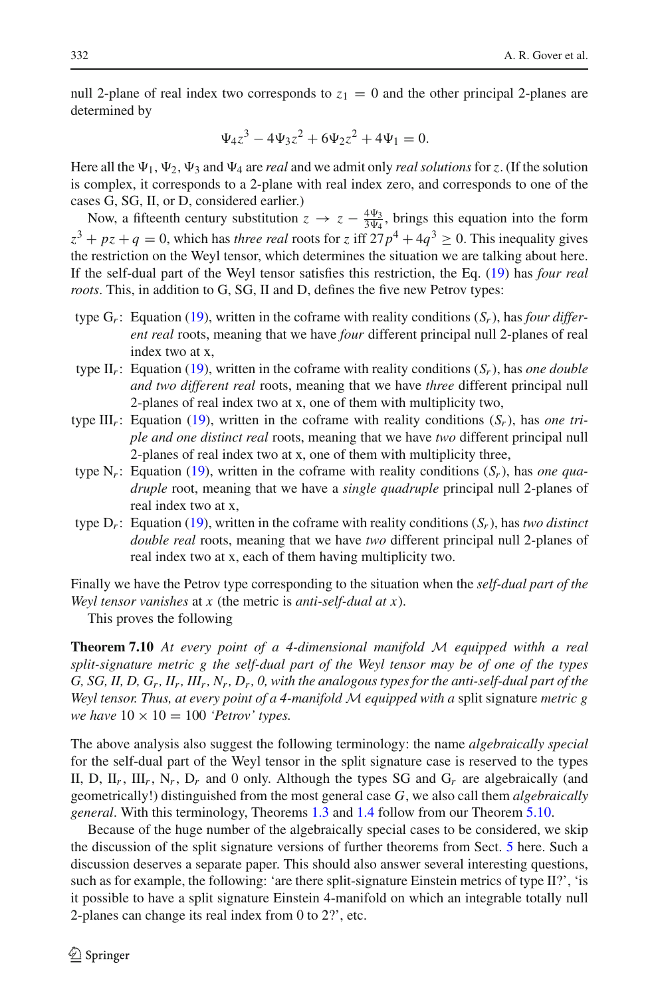null 2-plane of real index two corresponds to  $z_1 = 0$  and the other principal 2-planes are determined by

$$
\Psi_4 z^3 - 4\Psi_3 z^2 + 6\Psi_2 z^2 + 4\Psi_1 = 0.
$$

Here all the  $\Psi_1$ ,  $\Psi_2$ ,  $\Psi_3$  and  $\Psi_4$  are *real* and we admit only *real solutions* for *z*. (If the solution is complex, it corresponds to a 2-plane with real index zero, and corresponds to one of the cases G, SG, II, or D, considered earlier.)

Now, a fifteenth century substitution  $z \to z - \frac{4\Psi_3}{3\Psi_4}$ , brings this equation into the form  $z^3 + pz + q = 0$ , which has *three real* roots for *z* iff  $27p^4 + 4q^3 \ge 0$ . This inequality gives the restriction on the Weyl tensor, which determines the situation we are talking about here. If the self-dual part of the Weyl tensor satisfies this restriction, the Eq. [\(19\)](#page-15-0) has *four real roots*. This, in addition to G, SG, II and D, defines the five new Petrov types:

- type G*r*: Equation [\(19\)](#page-15-0), written in the coframe with reality conditions (*Sr*), has *four different real* roots, meaning that we have *four* different principal null 2-planes of real index two at x,
- type  $II_r$ : Equation [\(19\)](#page-15-0), written in the coframe with reality conditions  $(S_r)$ , has *one double and two different real* roots, meaning that we have *three* different principal null 2-planes of real index two at x, one of them with multiplicity two,
- type  $\text{III}_r$ : Equation [\(19\)](#page-15-0), written in the coframe with reality conditions  $(S_r)$ , has *one triple and one distinct real* roots, meaning that we have *two* different principal null 2-planes of real index two at x, one of them with multiplicity three,
- type  $N_r$ : Equation [\(19\)](#page-15-0), written in the coframe with reality conditions  $(S_r)$ , has *one quadruple* root, meaning that we have a *single quadruple* principal null 2-planes of real index two at x,
- type D*r*: Equation [\(19\)](#page-15-0), written in the coframe with reality conditions (*Sr*), has *two distinct double real* roots, meaning that we have *two* different principal null 2-planes of real index two at x, each of them having multiplicity two.

Finally we have the Petrov type corresponding to the situation when the *self-dual part of the Weyl tensor vanishes* at *x* (the metric is *anti-self-dual at x*).

This proves the following

**Theorem 7.10** *At every point of a 4-dimensional manifold M equipped withh a real split-signature metric g the self-dual part of the Weyl tensor may be of one of the types G, SG, II, D, Gr, IIr, IIIr, Nr, Dr, 0, with the analogous types for the anti-self-dual part of the Weyl tensor. Thus, at every point of a 4-manifold M equipped with a* split signature *metric g we have*  $10 \times 10 = 100$  *'Petrov' types.* 

The above analysis also suggest the following terminology: the name *algebraically special* for the self-dual part of the Weyl tensor in the split signature case is reserved to the types II, D,  $II_r$ ,  $III_r$ ,  $N_r$ ,  $D_r$  and 0 only. Although the types SG and  $G_r$  are algebraically (and geometrically!) distinguished from the most general case *G*, we also call them *algebraically general*. With this terminology, Theorems [1.3](#page-1-2) and [1.4](#page-2-2) follow from our Theorem [5.10.](#page-17-0)

Because of the huge number of the algebraically special cases to be considered, we skip the discussion of the split signature versions of further theorems from Sect. [5](#page-13-0) here. Such a discussion deserves a separate paper. This should also answer several interesting questions, such as for example, the following: 'are there split-signature Einstein metrics of type II?', 'is it possible to have a split signature Einstein 4-manifold on which an integrable totally null 2-planes can change its real index from 0 to 2?', etc.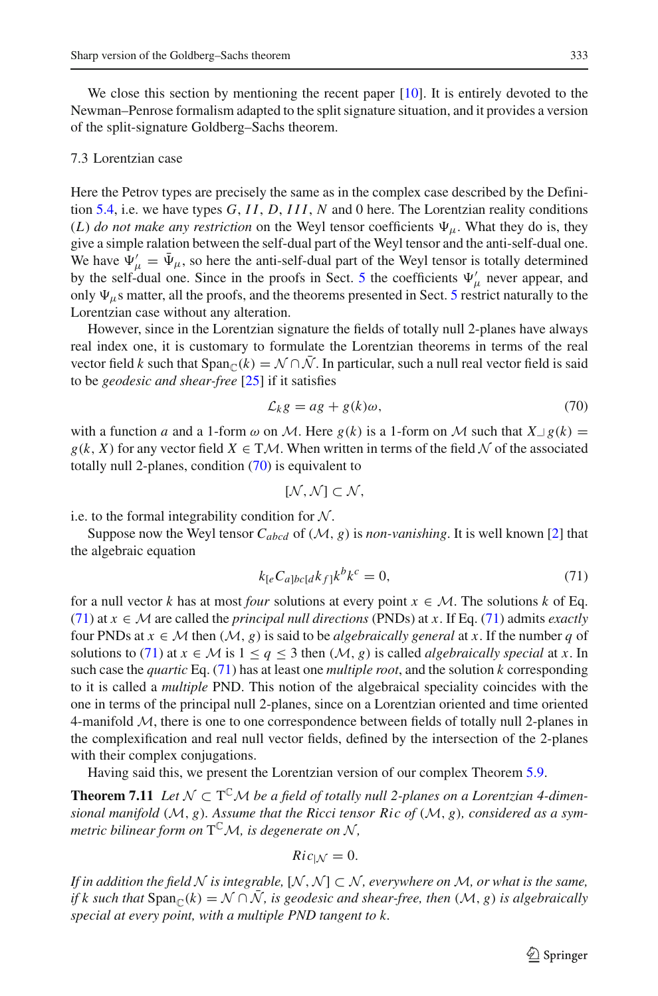We close this section by mentioning the recent paper  $[10]$ . It is entirely devoted to the Newman–Penrose formalism adapted to the split signature situation, and it provides a version of the split-signature Goldberg–Sachs theorem.

#### <span id="page-38-0"></span>7.3 Lorentzian case

Here the Petrov types are precisely the same as in the complex case described by the Definition [5.4,](#page-15-3) i.e. we have types *G*, *I I*, *D*, *III*, *N* and 0 here. The Lorentzian reality conditions (*L*) *do not make any restriction* on the Weyl tensor coefficients  $\Psi_{\mu}$ . What they do is, they give a simple ralation between the self-dual part of the Weyl tensor and the anti-self-dual one. We have  $\Psi'_{\mu} = \bar{\Psi}_{\mu}$ , so here the anti-self-dual part of the Weyl tensor is totally determined by the self-dual one. Since in the proofs in Sect. [5](#page-13-0) the coefficients  $\Psi_{\mu}$  never appear, and only  $\Psi_{\mu}$ s matter, all the proofs, and the theorems presented in Sect. [5](#page-13-0) restrict naturally to the Lorentzian case without any alteration.

However, since in the Lorentzian signature the fields of totally null 2-planes have always real index one, it is customary to formulate the Lorentzian theorems in terms of the real vector field *k* such that  $Span_{\mathbb{C}}(k) = \mathcal{N} \cap \mathcal{N}$ . In particular, such a null real vector field is said to be *geodesic and shear-free* [\[25\]](#page-45-22) if it satisfies

$$
\mathcal{L}_k g = a g + g(k) \omega, \tag{70}
$$

<span id="page-38-1"></span>with a function *a* and a 1-form  $\omega$  on *M*. Here *g*(*k*) is a 1-form on *M* such that  $X\perp g(k) =$  $g(k, X)$  for any vector field  $X \in T\mathcal{M}$ . When written in terms of the field  $\mathcal N$  of the associated totally null 2-planes, condition [\(70\)](#page-38-1) is equivalent to

$$
[\mathcal{N},\mathcal{N}]\subset\mathcal{N},
$$

i.e. to the formal integrability condition for  $N$ .

Suppose now the Weyl tensor *Cabcd* of (*M*, *g*) is *non-vanishing*. It is well known [\[2\]](#page-45-23) that the algebraic equation

$$
k_{\lbrack e}C_{a}b_{c\lbrack d}k_{f}k^{b}k^{c}=0,
$$
\n(71)

<span id="page-38-2"></span>for a null vector *k* has at most *four* solutions at every point  $x \in M$ . The solutions *k* of Eq. [\(71\)](#page-38-2) at  $x \in M$  are called the *principal null directions* (PNDs) at *x*. If Eq. (71) admits *exactly* four PNDs at  $x \in M$  then  $(M, g)$  is said to be *algebraically general* at *x*. If the number *q* of solutions to [\(71\)](#page-38-2) at  $x \in M$  is  $1 \le q \le 3$  then  $(M, g)$  is called *algebraically special* at *x*. In such case the *quartic* Eq. [\(71\)](#page-38-2) has at least one *multiple root*, and the solution *k* corresponding to it is called a *multiple* PND. This notion of the algebraical speciality coincides with the one in terms of the principal null 2-planes, since on a Lorentzian oriented and time oriented 4-manifold  $M$ , there is one to one correspondence between fields of totally null 2-planes in the complexification and real null vector fields, defined by the intersection of the 2-planes with their complex conjugations.

Having said this, we present the Lorentzian version of our complex Theorem [5.9.](#page-16-1)

<span id="page-38-3"></span>**Theorem 7.11** Let  $N \subset T^{\mathbb{C}}M$  be a field of totally null 2-planes on a Lorentzian 4-dimen*sional manifold* (*M*, *g*)*. Assume that the Ricci tensor Ric of* (*M*, *g*)*, considered as a symmetric bilinear form on*  $T^{C}M$ *, is degenerate on*  $\mathcal{N}$ *,* 

$$
Ric_{|{\mathcal N}}=0.
$$

*If in addition the field <sup>N</sup> is integrable,* [*<sup>N</sup>* , *<sup>N</sup>* ] ⊂ *<sup>N</sup> , everywhere on <sup>M</sup>, or what is the same, if k such that*  $Span_{\mathbb{C}}(k) = \mathcal{N} \cap \mathcal{N}$ , *is geodesic and shear-free, then*  $(\mathcal{M}, g)$  *is algebraically special at every point, with a multiple PND tangent to k.*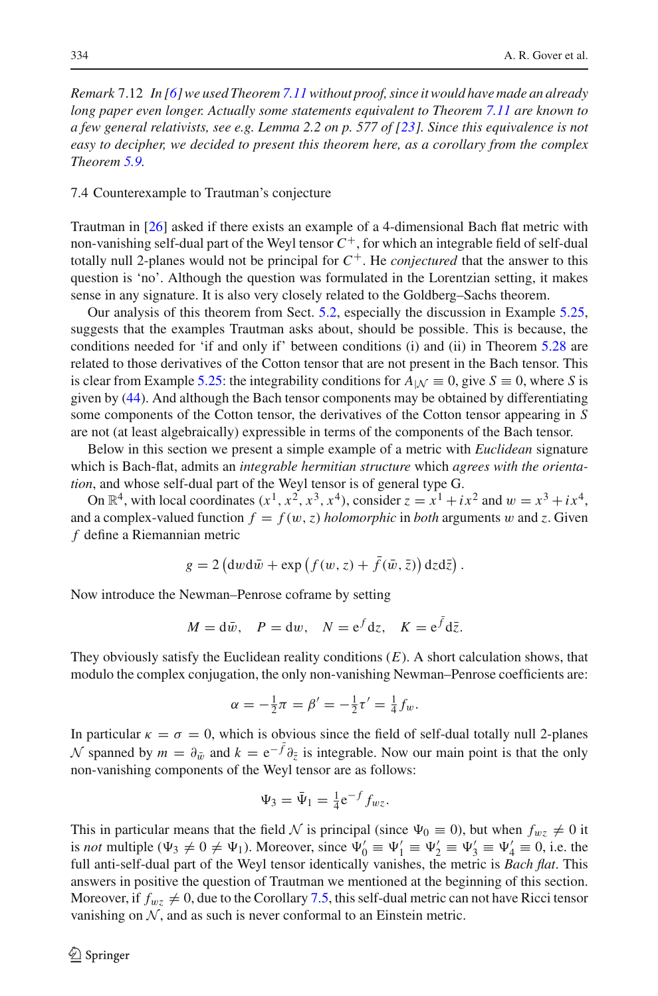*Remark* 7.12 *In [\[6](#page-45-24)] we used Theorem [7.11](#page-38-3)without proof, since it would have made an already long paper even longer. Actually some statements equivalent to Theorem [7.11](#page-38-3) are known to a few general relativists, see e.g. Lemma 2.2 on p. 577 of [\[23](#page-45-20)]. Since this equivalence is not easy to decipher, we decided to present this theorem here, as a corollary from the complex Theorem [5.9.](#page-16-1)*

#### <span id="page-39-0"></span>7.4 Counterexample to Trautman's conjecture

Trautman in [\[26\]](#page-45-9) asked if there exists an example of a 4-dimensional Bach flat metric with non-vanishing self-dual part of the Weyl tensor  $C^+$ , for which an integrable field of self-dual totally null 2-planes would not be principal for  $C^+$ . He *conjectured* that the answer to this question is 'no'. Although the question was formulated in the Lorentzian setting, it makes sense in any signature. It is also very closely related to the Goldberg–Sachs theorem.

Our analysis of this theorem from Sect. [5.2,](#page-20-0) especially the discussion in Example [5.25,](#page-23-4) suggests that the examples Trautman asks about, should be possible. This is because, the conditions needed for 'if and only if' between conditions (i) and (ii) in Theorem [5.28](#page-24-0) are related to those derivatives of the Cotton tensor that are not present in the Bach tensor. This is clear from Example [5.25:](#page-23-4) the integrability conditions for  $A_{1N} \equiv 0$ , give  $S \equiv 0$ , where *S* is given by [\(44\)](#page-23-3). And although the Bach tensor components may be obtained by differentiating some components of the Cotton tensor, the derivatives of the Cotton tensor appearing in *S* are not (at least algebraically) expressible in terms of the components of the Bach tensor.

Below in this section we present a simple example of a metric with *Euclidean* signature which is Bach-flat, admits an *integrable hermitian structure* which *agrees with the orientation*, and whose self-dual part of the Weyl tensor is of general type G.

On  $\mathbb{R}^4$ , with local coordinates  $(x^1, x^2, x^3, x^4)$ , consider  $z = x^1 + ix^2$  and  $w = x^3 + ix^4$ , and a complex-valued function  $f = f(w, z)$  *holomorphic* in *both* arguments w and *z*. Given *f* define a Riemannian metric

$$
g = 2 \left( \mathrm{d}w \mathrm{d}\bar{w} + \exp \left( f(w, z) + \bar{f}(\bar{w}, \bar{z}) \right) \mathrm{d}z \mathrm{d}\bar{z} \right).
$$

Now introduce the Newman–Penrose coframe by setting

$$
M = d\bar{w}, \quad P = dw, \quad N = e^f dz, \quad K = e^{\bar{f}} d\bar{z}.
$$

They obviously satisfy the Euclidean reality conditions (*E*). A short calculation shows, that modulo the complex conjugation, the only non-vanishing Newman–Penrose coefficients are:

$$
\alpha = -\frac{1}{2}\pi = \beta' = -\frac{1}{2}\tau' = \frac{1}{4}f_w.
$$

In particular  $\kappa = \sigma = 0$ , which is obvious since the field of self-dual totally null 2-planes *N* spanned by  $m = \partial_{\bar{w}}$  and  $k = e^{-f} \partial_{\bar{z}}$  is integrable. Now our main point is that the only non-vanishing components of the Weyl tensor are as follows:

$$
\Psi_3 = \bar{\Psi}_1 = \frac{1}{4} \mathrm{e}^{-f} f_{wz}.
$$

This in particular means that the field  $\mathcal N$  is principal (since  $\Psi_0 \equiv 0$ ), but when  $f_{wz} \neq 0$  it is *not* multiple ( $\Psi_3 \neq 0 \neq \Psi_1$ ). Moreover, since  $\Psi'_0 \equiv \Psi'_1 \equiv \Psi'_2 \equiv \Psi'_3 \equiv \Psi'_4 \equiv 0$ , i.e. the full anti-self-dual part of the Weyl tensor identically vanishes, the metric is *Bach flat*. This answers in positive the question of Trautman we mentioned at the beginning of this section. Moreover, if  $f_{wz} \neq 0$ , due to the Corollary [7.5,](#page-34-2) this self-dual metric can not have Ricci tensor vanishing on  $N$ , and as such is never conformal to an Einstein metric.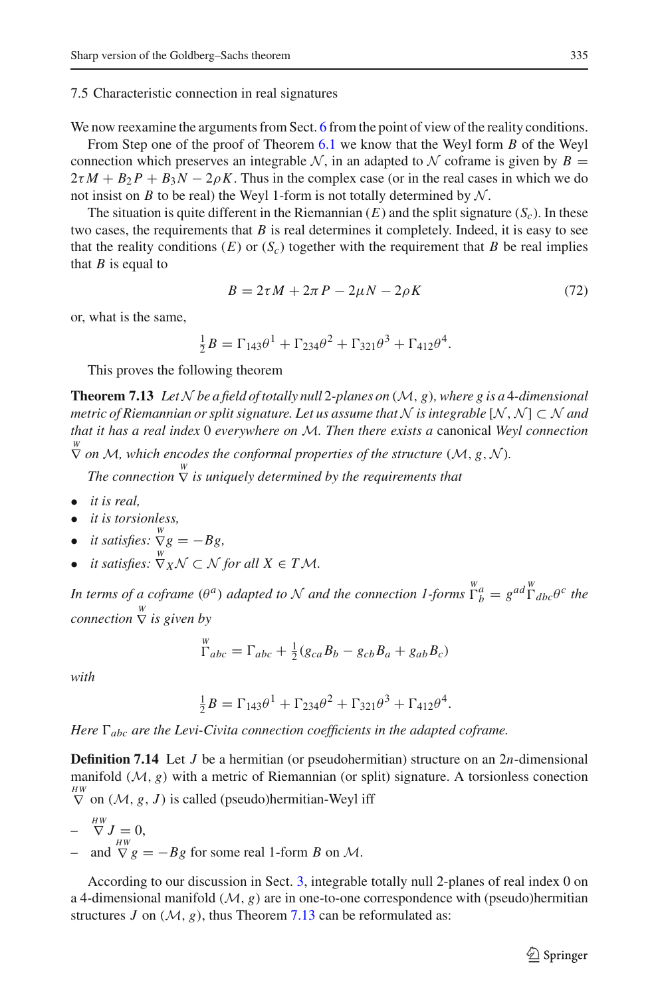#### <span id="page-40-0"></span>7.5 Characteristic connection in real signatures

We now reexamine the arguments from Sect. [6](#page-27-0) from the point of view of the reality conditions.

From Step one of the proof of Theorem [6.1](#page-28-0) we know that the Weyl form *B* of the Weyl connection which preserves an integrable  $N$ , in an adapted to  $N$  coframe is given by  $B =$  $2\tau M + B_2 P + B_3 N - 2\rho K$ . Thus in the complex case (or in the real cases in which we do not insist on *B* to be real) the Weyl 1-form is not totally determined by  $N$ .

The situation is quite different in the Riemannian  $(E)$  and the split signature  $(S_c)$ . In these two cases, the requirements that  $B$  is real determines it completely. Indeed, it is easy to see that the reality conditions  $(E)$  or  $(S_c)$  together with the requirement that *B* be real implies that  $B$  is equal to

$$
B = 2\tau M + 2\pi P - 2\mu N - 2\rho K\tag{72}
$$

<span id="page-40-3"></span>or, what is the same,

<span id="page-40-1"></span>
$$
\frac{1}{2}B = \Gamma_{143}\theta^1 + \Gamma_{234}\theta^2 + \Gamma_{321}\theta^3 + \Gamma_{412}\theta^4.
$$

This proves the following theorem

**Theorem 7.13** Let  $N$  be a field of totally null 2-planes on  $(M, g)$ , where g is a 4-dimensional *metric of Riemannian or split signature. Let us assume that*  $\mathcal N$  *is integrable*  $[\mathcal N, \mathcal N] \subset \mathcal N$  *and that it has a real index* <sup>0</sup> *everywhere on <sup>M</sup>. Then there exists a* canonical *Weyl connection <sup>W</sup>*

 $\stackrel{\text{'}}{\nabla}$  *on M*, which encodes the conformal properties of the structure (M, g, N).

The connection  $\stackrel{w}{\nabla}$  is uniquely determined by the requirements that

- *it is real,*
- *it is torsionless,*
- *it satisfies:*  $\nabla g = -Bg$ ,
- *it satisfies:*  $\overline{\nabla}_X \mathcal{N} \subset \mathcal{N}$  *for all*  $X \in T\mathcal{M}$ *.*

*In terms of a coframe*  $(\theta^a)$  *adapted to*  $N$  *and the connection 1-forms*  $\Gamma_b^u = g^{ad} \Gamma_{dbc} \theta^c$  *the connection <sup>W</sup>* ∇ *is given by*

$$
\Gamma_{abc} = \Gamma_{abc} + \frac{1}{2}(g_{ca}B_b - g_{cb}B_a + g_{ab}B_c)
$$

*with*

<span id="page-40-2"></span>
$$
\frac{1}{2}B = \Gamma_{143}\theta^1 + \Gamma_{234}\theta^2 + \Gamma_{321}\theta^3 + \Gamma_{412}\theta^4.
$$

*Here*  $\Gamma_{abc}$  *are the Levi-Civita connection coefficients in the adapted coframe.* 

**Definition 7.14** Let *J* be a hermitian (or pseudohermitian) structure on an 2*n*-dimensional manifold  $(M, g)$  with a metric of Riemannian (or split) signature. A torsionless conection  $\overline{\nabla}$  on  $(\mathcal{M}, g, J)$  is called (pseudo)hermitian-Weyl iff

- $-\overline{\nabla}^{HW} J = 0,$
- $\begin{aligned} \n\text{and } \nabla g = -Bg \text{ for some real 1-form } B \text{ on } \mathcal{M}. \n\end{aligned}$

According to our discussion in Sect. [3,](#page-4-0) integrable totally null 2-planes of real index 0 on a 4-dimensional manifold  $(M, g)$  are in one-to-one correspondence with (pseudo)hermitian structures *J* on  $(M, g)$ , thus Theorem [7.13](#page-40-1) can be reformulated as: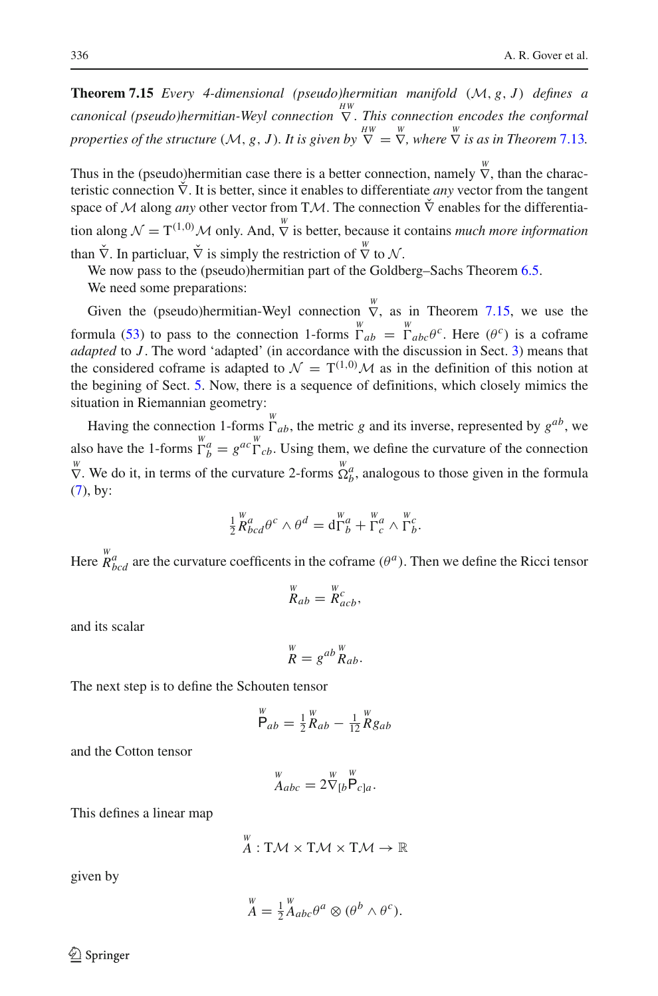**Theorem 7.15** *Every 4-dimensional (pseudo)hermitian manifold* (*M*, *g*, *J* ) *defines a canonical (pseudo)hermitian-Weyl connection H W* ∇ *. This connection encodes the conformal properties of the structure*  $(M, g, J)$ *. It is given by*  $\overline{V} = \overline{V}$ *, where*  $\overline{V}$  *is as in Theorem* [7.13](#page-40-1)*.* 

Thus in the (pseudo)hermitian case there is a better connection, namely  $\overline{V}$ , than the characteristic connection ∇ˇ . It is better, since it enables to differentiate *any* vector from the tangent space of *M* along *any* other vector from T*M*. The connection  $\check{\nabla}$  enables for the differentiation along  $\mathcal{N} = T^{(1,0)} \mathcal{M}$  only. And,  $\nabla$  is better, because it contains *much more information* 

than  $\check{\nabla}$ . In particluar,  $\check{\nabla}$  is simply the restriction of  $\overset{w}{\nabla}$  to  $\mathcal{N}$ . We now pass to the (pseudo)hermitian part of the Goldberg–Sachs Theorem [6.5.](#page-31-1) We need some preparations:

Given the (pseudo)hermitian-Weyl connection  $\overline{V}$ , as in Theorem [7.15,](#page-40-2) we use the formula [\(53\)](#page-27-3) to pass to the connection 1-forms  $\overline{\Gamma}_{ab} = \overline{\Gamma}_{abc} \theta^c$ . Here ( $\theta^c$ ) is a coframe *adapted* to *J* . The word 'adapted' (in accordance with the discussion in Sect. [3\)](#page-4-0) means that the considered coframe is adapted to  $\mathcal{N} = T^{(1,0)} \mathcal{M}$  as in the definition of this notion at the begining of Sect. [5.](#page-13-0) Now, there is a sequence of definitions, which closely mimics the situation in Riemannian geometry:

Having the connection 1-forms  $\Gamma_{ab}^W$ , the metric *g* and its inverse, represented by  $g^{ab}$ , we also have the 1-forms  $\int_{b}^{w} = g^{ac} \int_{c}^{w} b$ . Using them, we define the curvature of the connection  $\overline{V}$ . We do it, in terms of the curvature 2-forms  $\overline{\Omega}_{b}^{u}$ , analogous to those given in the formula [\(7\)](#page-10-0), by:

$$
\frac{1}{2} \overset{w}{R}_{bcd} \theta^c \wedge \theta^d = \mathrm{d} \overset{w}{\Gamma}_b^a + \overset{w}{\Gamma}_c^a \wedge \overset{w}{\Gamma}_b^c.
$$

Here  $\chi_{bcd}^W$  are the curvature coefficents in the coframe ( $\theta^a$ ). Then we define the Ricci tensor

$$
\overset{w}{R}_{ab}=\overset{w}{R}_{acb}^c,
$$

and its scalar

$$
\overset{w}{R}=g^{ab}\overset{w}{R}_{ab}.
$$

The next step is to define the Schouten tensor

$$
\overset{W}{\mathsf{P}}_{ab} = \tfrac{1}{2}\overset{W}{R}_{ab} - \tfrac{1}{12}\overset{W}{R}g_{ab}
$$

and the Cotton tensor

$$
{}_{Aabc}^W = 2 \overset{w}{\nabla}{}_{[b} \overset{w}{\mathsf{P}}_{c]a}.
$$

This defines a linear map

$$
_{A}^{W}:T\mathcal{M}\times T\mathcal{M}\times T\mathcal{M}\rightarrow \mathbb{R}
$$

given by

$$
\stackrel{W}{A} = \frac{1}{2} \stackrel{W}{A} \stackrel{abc}{\theta} \stackrel{a}{\otimes} (\theta^b \wedge \theta^c).
$$

 $\mathcal{L}$  Springer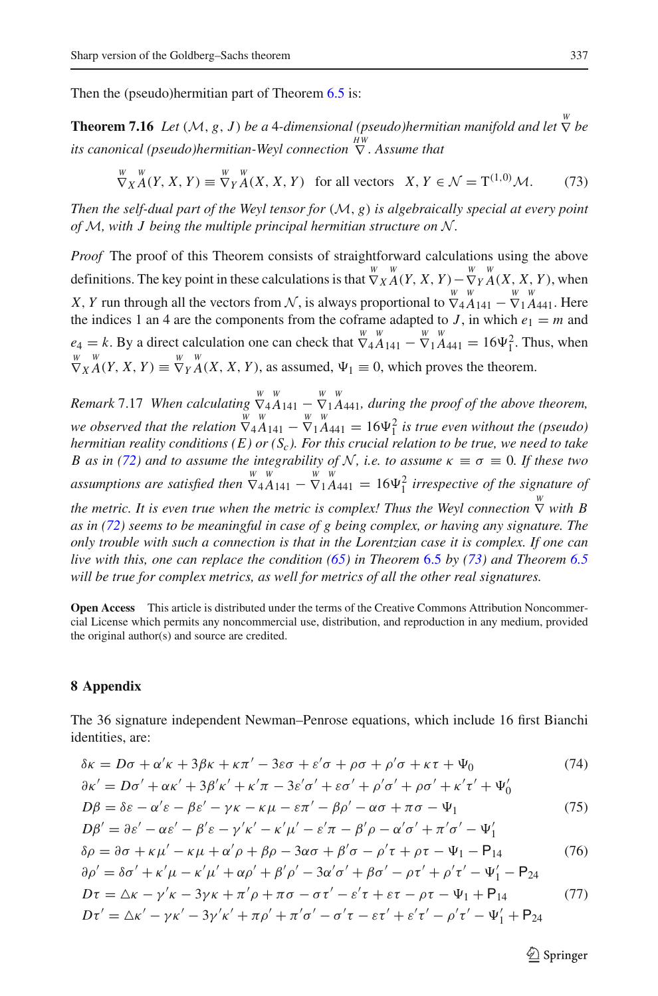Then the (pseudo)hermitian part of Theorem [6.5](#page-31-1) is:

**Theorem 7.16** *Let*  $(\mathcal{M}, g, J)$  *be a* 4-dimensional (pseudo)hermitian manifold and let  $\nabla$  be *its canonical (pseudo)hermitian-Weyl connection H W* ∇ *. Assume that*

<span id="page-42-1"></span>
$$
\nabla_X^W X(X, X, Y) \equiv \nabla_Y^W X(X, X, Y) \quad \text{for all vectors} \quad X, Y \in \mathcal{N} = \mathbf{T}^{(1,0)} \mathcal{M}. \tag{73}
$$

<span id="page-42-3"></span>*Then the self-dual part of the Weyl tensor for* (*M*, *g*) *is algebraically special at every point of M, with J being the multiple principal hermitian structure on N .*

*Proof* The proof of this Theorem consists of straightforward calculations using the above definitions. The key point in these calculations is that  $\overline{V}_{X}^{W} A(Y, X, Y) - \overline{V}_{Y}^{W} A(X, X, Y)$ , when *X*, *Y* run through all the vectors from  $\mathcal{N}$ , is always proportional to  $\overline{V}_4 A_{141} - \overline{V}_1 A_{441}$ . Here the indices 1 an 4 are the components from the coframe adapted to *J*, in which  $e_1 = m$  and *<sup>e</sup>*<sup>4</sup> <sup>=</sup> *<sup>k</sup>*. By a direct calculation one can check that *<sup>W</sup>* ∇4 *W <sup>A</sup>*<sup>141</sup> <sup>−</sup> *<sup>W</sup>* ∇1 *W A*<sup>441</sup> = 16<sup>2</sup> <sup>1</sup> . Thus, when *<sup>W</sup>*  $\nabla_X^W W = \nabla_Y^W A(X, X, Y)$ , as assumed,  $\Psi_1 \equiv 0$ , which proves the theorem.

*Remark* 7.17 *When calculating*  $\overline{V}_4 A_{141} - \overline{V}_1 A_{441}$ *, during the proof of the above theorem, we observed that the relation*  $\bigvee_{4}^{W} A_{141} - \bigvee_{1}^{W} A_{441} = 16\Psi_1^2$  is true even without the (pseudo) *hermitian reality conditions (E) or (Sc). For this crucial relation to be true, we need to take B* as in [\(72\)](#page-40-3) and to assume the integrability of  $N$ , i.e. to assume  $\kappa \equiv \sigma \equiv 0$ . If these two *assumptions are satisfied then*  $\overline{V}_4 A_{141} - \overline{V}_1 A_{441} = 16\Psi_1^2$  *irrespective of the signature of the metric. It is even true when the metric is complex! Thus the Weyl connection*  $\stackrel{w}{\nabla}$  with B *as in [\(72\)](#page-40-3) seems to be meaningful in case of g being complex, or having any signature. The only trouble with such a connection is that in the Lorentzian case it is complex. If one can*

**Open Access** This article is distributed under the terms of the Creative Commons Attribution Noncommercial License which permits any noncommercial use, distribution, and reproduction in any medium, provided the original author(s) and source are credited.

*live with this, one can replace the condition [\(65\)](#page-31-2) in Theorem* [6.5](#page-31-1) *by [\(73\)](#page-42-3) and Theorem [6.5](#page-31-1) will be true for complex metrics, as well for metrics of all the other real signatures.*

### <span id="page-42-0"></span>**8 Appendix**

<span id="page-42-2"></span>The 36 signature independent Newman–Penrose equations, which include 16 first Bianchi identities, are:

$$
\delta \kappa = D\sigma + \alpha' \kappa + 3\beta \kappa + \kappa \pi' - 3\varepsilon \sigma + \varepsilon' \sigma + \rho \sigma + \rho' \sigma + \kappa \tau + \Psi_0
$$
  
\n
$$
\delta \kappa' = D\sigma' + \alpha \kappa' + 3\beta' \kappa' + \kappa' \pi - 3\varepsilon' \sigma' + \varepsilon \sigma' + \rho' \sigma' + \rho \sigma' + \kappa' \tau' + \Psi'_0
$$
\n(74)

$$
D\beta = \delta\varepsilon - \alpha'\varepsilon - \beta\varepsilon' - \gamma\kappa - \kappa\mu - \varepsilon\pi' - \beta\rho' - \alpha\sigma + \pi\sigma - \Psi_1
$$
\n(75)

 $D\beta' = \partial \varepsilon' - \alpha \varepsilon' - \beta' \varepsilon - \gamma' \kappa' - \kappa' \mu' - \varepsilon' \pi - \beta' \rho - \alpha' \sigma' + \pi' \sigma' - \Psi_1'$  $\delta \rho = \partial \sigma + \kappa \mu' - \kappa \mu + \alpha' \rho + \beta \rho - 3\alpha \sigma + \beta' \sigma - \rho' \tau + \rho \tau - \Psi_1 - P_{14}$  (76)

$$
\partial \rho' = \delta \sigma' + \kappa' \mu - \kappa' \mu' + \alpha \rho' + \beta' \rho' - 3\alpha' \sigma' + \beta \sigma' - \rho \tau' + \rho' \tau' - \Psi'_1 - P_{24}
$$
  
\n
$$
D\tau = \Delta \kappa - \gamma' \kappa - 3\gamma \kappa + \pi' \rho + \pi \sigma - \sigma \tau' - \varepsilon' \tau + \varepsilon \tau - \rho \tau - \Psi_1 + P_{14}
$$
 (77)

*Dτ'* = Δκ' – γκ' – 3γ'κ' + πρ' + π'σ' – σ'τ – ετ' + ε'τ' – ρ'τ' – Ψ'<sub>1</sub> + P<sub>24</sub>

 $\mathcal{L}$  Springer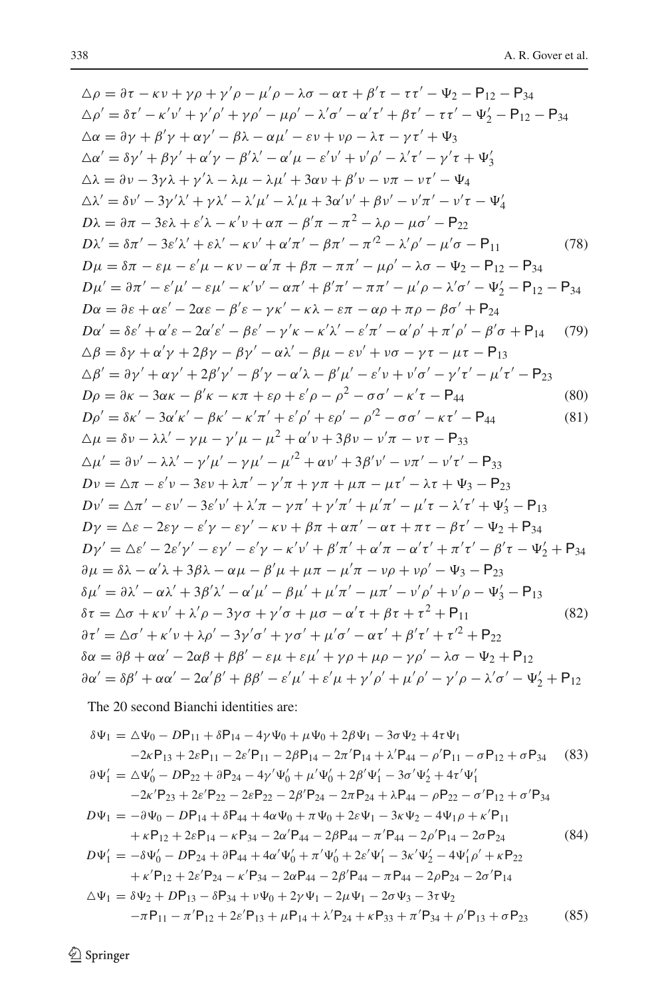$$
\Delta \rho = \partial \tau - \kappa v + \gamma \rho + \gamma' \rho - \mu' \rho - \lambda \sigma - \alpha \tau + \beta' \tau - \tau \tau' - \Psi_2 - P_{12} - P_{34}
$$
  
\n
$$
\Delta \rho' = \delta \tau' - \kappa' v' + \gamma' \rho' + \gamma \rho' - \mu \rho' - \lambda' \sigma' - \alpha' \tau' + \beta \tau' - \tau \tau' - \Psi_2' - P_{12} - P_{34}
$$
  
\n
$$
\Delta \alpha = \partial \gamma + \beta' \gamma + \alpha \gamma' - \beta \lambda - \alpha \mu' - \varepsilon v + \nu \rho - \lambda \tau - \gamma \tau' + \Psi_3
$$
  
\n
$$
\Delta \alpha' = \delta \gamma' + \beta \gamma' + \alpha' \gamma - \beta' \lambda' - \alpha' \mu - \varepsilon' v' + \nu' \rho' - \lambda' \tau' - \gamma' \tau + \Psi_3'
$$
  
\n
$$
\Delta \lambda = \partial \nu - 3 \gamma \lambda + \gamma' \lambda - \lambda \mu - \lambda \mu' + 3 \alpha v + \beta' v - \nu \pi - \nu \tau' - \Psi_4
$$
  
\n
$$
\Delta \lambda' = \delta v' - 3 \gamma' \lambda' + \gamma \lambda' - \lambda' \mu' - \lambda' \mu + 3 \alpha' v' + \beta v' - \nu' \tau' - \Psi_4'
$$
  
\n
$$
D \lambda = \partial \pi - 3 \varepsilon \lambda + \varepsilon' \lambda - \kappa' v + \alpha \pi - \beta' \pi - \pi^2 - \lambda \rho - \mu \sigma' - P_{22}
$$
  
\n
$$
D \lambda' = \delta \pi' - 3 \varepsilon' \lambda' + \varepsilon \lambda' - \kappa v' + \alpha' \pi' - \beta \pi - \pi^2 - \lambda' \rho' - \mu' \sigma - P_{11}
$$
  
\n
$$
D \mu = \delta \pi - \varepsilon \mu - \varepsilon' \mu - \kappa v - \alpha' \pi + \beta \pi - \pi \pi' - \mu \rho' - \lambda \sigma - \Psi_2 - P_{12} - P_{34}
$$
  
\n
$$
D \mu' = \partial \pi' - \varepsilon' \mu' - \varepsilon \mu' - \kappa' \nu' - \alpha \pi' + \beta' \pi' - \pi \
$$

The 20 second Bianchi identities are:

<span id="page-43-0"></span>
$$
\delta\Psi_{1} = \Delta\Psi_{0} - DP_{11} + \delta P_{14} - 4\gamma\Psi_{0} + \mu\Psi_{0} + 2\beta\Psi_{1} - 3\sigma\Psi_{2} + 4\tau\Psi_{1}
$$
  
\n
$$
-2\kappa P_{13} + 2\epsilon P_{11} - 2\epsilon' P_{11} - 2\beta P_{14} - 2\pi' P_{14} + \lambda' P_{44} - \rho' P_{11} - \sigma P_{12} + \sigma P_{34}
$$
(83)  
\n
$$
\partial\Psi'_{1} = \Delta\Psi'_{0} - DP_{22} + \partial P_{24} - 4\gamma'\Psi'_{0} + \mu'\Psi'_{0} + 2\beta'\Psi'_{1} - 3\sigma'\Psi'_{2} + 4\tau'\Psi'_{1}
$$
  
\n
$$
-2\kappa'P_{23} + 2\epsilon'P_{22} - 2\epsilon P_{22} - 2\beta'P_{24} - 2\pi P_{24} + \lambda P_{44} - \rho P_{22} - \sigma' P_{12} + \sigma' P_{34}
$$
  
\n
$$
D\Psi_{1} = -\partial\Psi_{0} - DP_{14} + \delta P_{44} + 4\alpha\Psi_{0} + \pi\Psi_{0} + 2\epsilon\Psi_{1} - 3\kappa\Psi_{2} - 4\Psi_{1}\rho + \kappa' P_{11}
$$
  
\n
$$
+ \kappa P_{12} + 2\epsilon P_{14} - \kappa P_{34} - 2\alpha' P_{44} - 2\beta P_{44} - \pi' P_{44} - 2\rho' P_{14} - 2\sigma P_{24}
$$
(84)  
\n
$$
D\Psi'_{1} = -\delta\Psi'_{0} - DP_{24} + \partial P_{44} + 4\alpha'\Psi'_{0} + \pi'\Psi'_{0} + 2\epsilon'\Psi'_{1} - 3\kappa'\Psi'_{2} - 4\Psi'_{1}\rho' + \kappa P_{22}
$$
  
\n
$$
+ \kappa' P_{12} + 2\epsilon' P_{24} - \kappa' P_{34} - 2\alpha P_{44} - 2\beta' P_{44} - \pi P_{44} - 2\rho P_{24} - 2\sigma' P_{14}
$$

 $\underline{\textcircled{\tiny 2}}$  Springer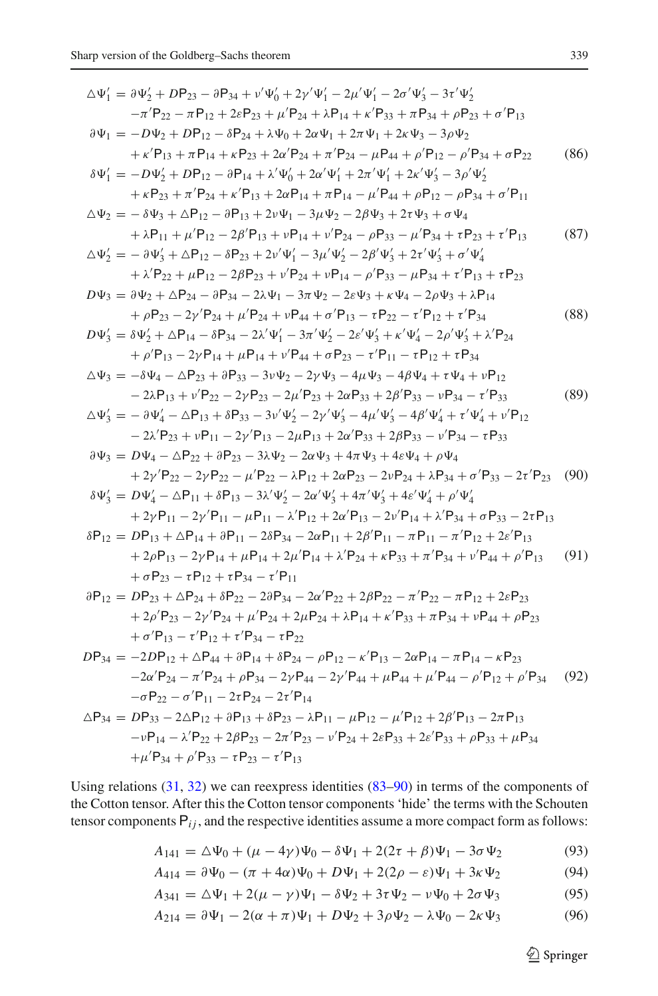$$
\begin{array}{lcl} \Delta\Psi_1' &=& \partial\Psi_2'+D\mathrm{P}_{23}-\partial\mathrm{P}_{34}+v'\Psi_0'+2v'\Psi_1'-2\mu'\Psi_1'-2\sigma'\Psi_3'-3\tau'\Psi_2'\\& & -\pi'\mathrm{P}_{22}-\pi\mathrm{P}_{12}+2\varepsilon\mathrm{P}_{23}+\mu'\mathrm{P}_{24}+\lambda\mathrm{P}_{14}+\kappa'\mathrm{P}_{33}+\pi\mathrm{P}_{34}+\rho\mathrm{P}_{23}+\sigma'\mathrm{P}_{13}\\& & \partial\Psi_1&=-D\Psi_2+D\mathrm{P}_{12}-\partial\mathrm{P}_{24}+\lambda\Psi_0+2\alpha\Psi_1+2\pi\Psi_1+2\kappa\Psi_3-3\rho\Psi_2\\& & +\kappa'\mathrm{P}_{13}+\pi\mathrm{P}_{14}+\kappa'\mathrm{P}_{23}+2\alpha'\mathrm{P}_{24}+\pi'\mathrm{P}_{24}-\mu\mathrm{P}_{44}+\rho'\mathrm{P}_{12}-\rho'\mathrm{P}_{34}+\sigma\mathrm{P}_{22}\\& & \partial\Psi_1'=-D\Psi_2'+D\mathrm{P}_{12}-\partial\mathrm{P}_{14}+\lambda'\Psi_0'+2\alpha'\Psi_1'+2\kappa\Psi_3'-3\rho'\Psi_2'\\& & +\kappa\mathrm{P}_{23}+\pi'\mathrm{P}_{24}+\kappa'\mathrm{P}_{13}+2\alpha\mathrm{P}_{14}+\pi\mathrm{P}_{14}-\mu'\mathrm{P}_{44}+\rho'\mathrm{P}_{12}-\rho'\mathrm{P}_{34}+\sigma'\mathrm{P}_{11}\\& & \Delta\Psi_2& =-\delta\Psi_3+\Delta\mathrm{P}_{12}-\partial\mathrm{P}_{13}+\nu\mathrm{P}_{14}+\nu'\mathrm{P}_{24}-\mu'\mathrm{P}_{44}+\rho'\mathrm{P}_{12}-\rho\mathrm{P}_{34}+\sigma'\mathrm{P}_{11}\\& & +\lambda\mathrm{P}_{11}+\mu'\mathrm{P}_{12}-2\beta\mathrm{P}_{13}+\nu\mathrm{P}_{14}+\nu'\mathrm{P}_{24}-\mu'\mathrm{P}_{44}+\rho'\mathrm{P}_{12}-\rho\mathrm{P}_{33}\\& & \Delta\Psi_2'=-\partial\Psi_3'+\Delta\mathrm{P}_{12}-3\mathrm{P}_{23}+2\nu'\mathrm{V}_{1}-3\mu'\mathrm{V}_{2}-2\beta'\mathrm{V
$$

<span id="page-44-0"></span>Using relations [\(31,](#page-20-4) [32\)](#page-20-3) we can reexpress identities [\(83–90\)](#page-43-0) in terms of the components of the Cotton tensor. After this the Cotton tensor components 'hide' the terms with the Schouten tensor components  $P_{ij}$ , and the respective identities assume a more compact form as follows:

$$
A_{141} = \Delta \Psi_0 + (\mu - 4\gamma)\Psi_0 - \delta \Psi_1 + 2(2\tau + \beta)\Psi_1 - 3\sigma \Psi_2 \tag{93}
$$

$$
A_{414} = \partial \Psi_0 - (\pi + 4\alpha)\Psi_0 + D\Psi_1 + 2(2\rho - \varepsilon)\Psi_1 + 3\kappa\Psi_2
$$
 (94)

$$
A_{341} = \Delta \Psi_1 + 2(\mu - \gamma)\Psi_1 - \delta \Psi_2 + 3\tau \Psi_2 - \nu \Psi_0 + 2\sigma \Psi_3 \tag{95}
$$

$$
A_{214} = \partial \Psi_1 - 2(\alpha + \pi)\Psi_1 + D\Psi_2 + 3\rho\Psi_2 - \lambda\Psi_0 - 2\kappa\Psi_3
$$
 (96)